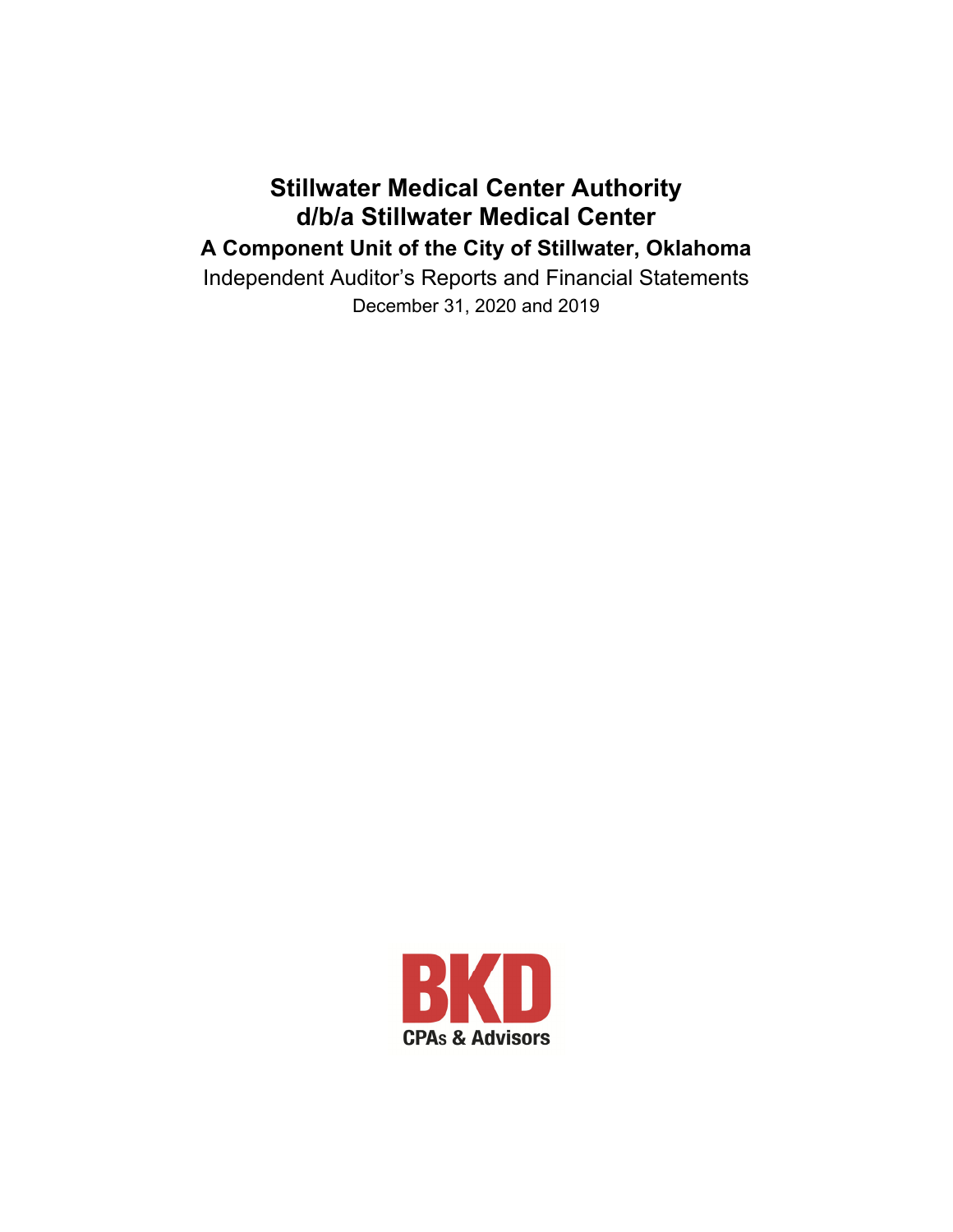## **Stillwater Medical Center Authority d/b/a Stillwater Medical Center A Component Unit of the City of Stillwater, Oklahoma**

Independent Auditor's Reports and Financial Statements December 31, 2020 and 2019

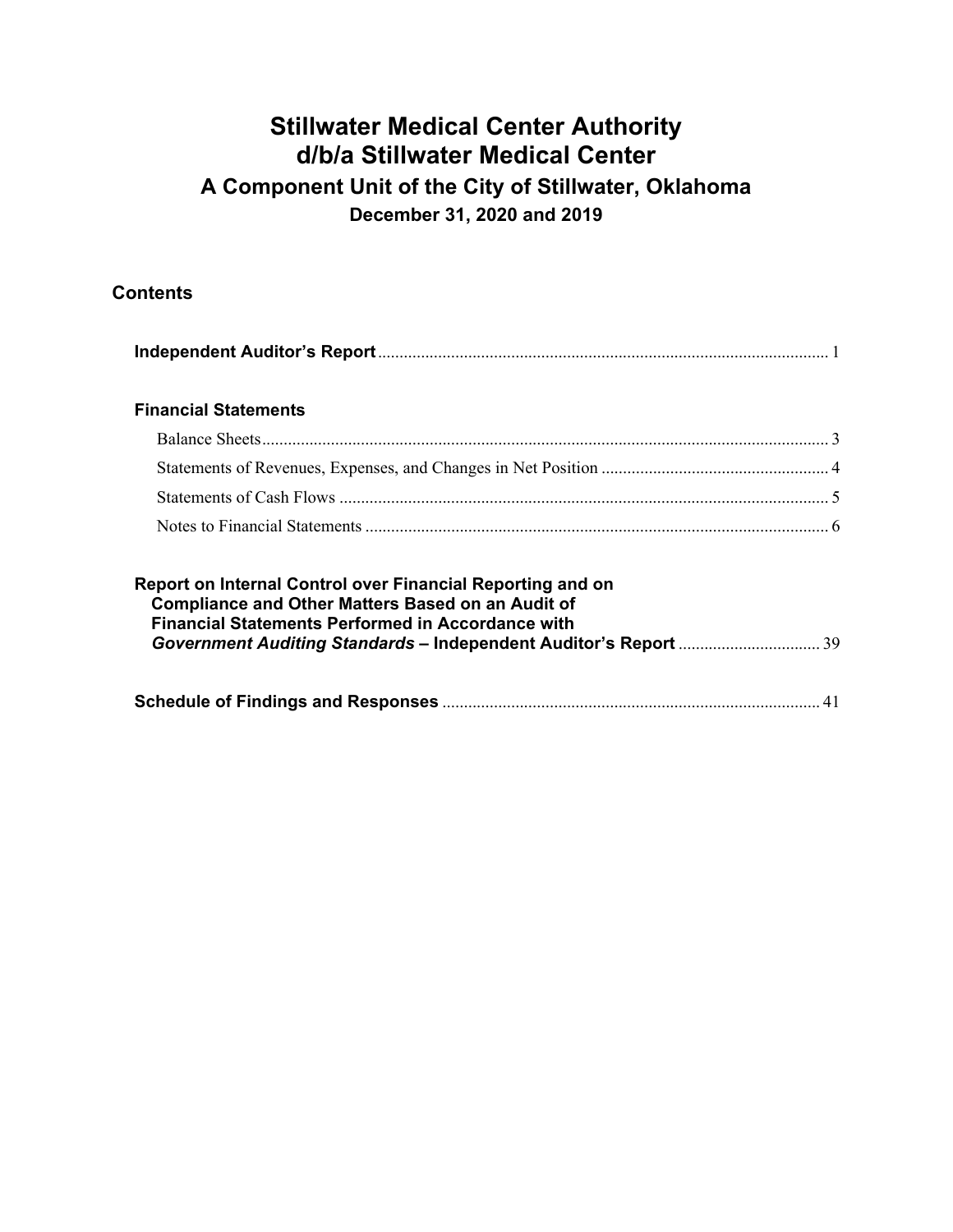### **Contents**

| <b>Financial Statements</b>                                                                                                                                                        |  |
|------------------------------------------------------------------------------------------------------------------------------------------------------------------------------------|--|
|                                                                                                                                                                                    |  |
|                                                                                                                                                                                    |  |
|                                                                                                                                                                                    |  |
|                                                                                                                                                                                    |  |
| Report on Internal Control over Financial Reporting and on<br><b>Compliance and Other Matters Based on an Audit of</b><br><b>Financial Statements Performed in Accordance with</b> |  |
|                                                                                                                                                                                    |  |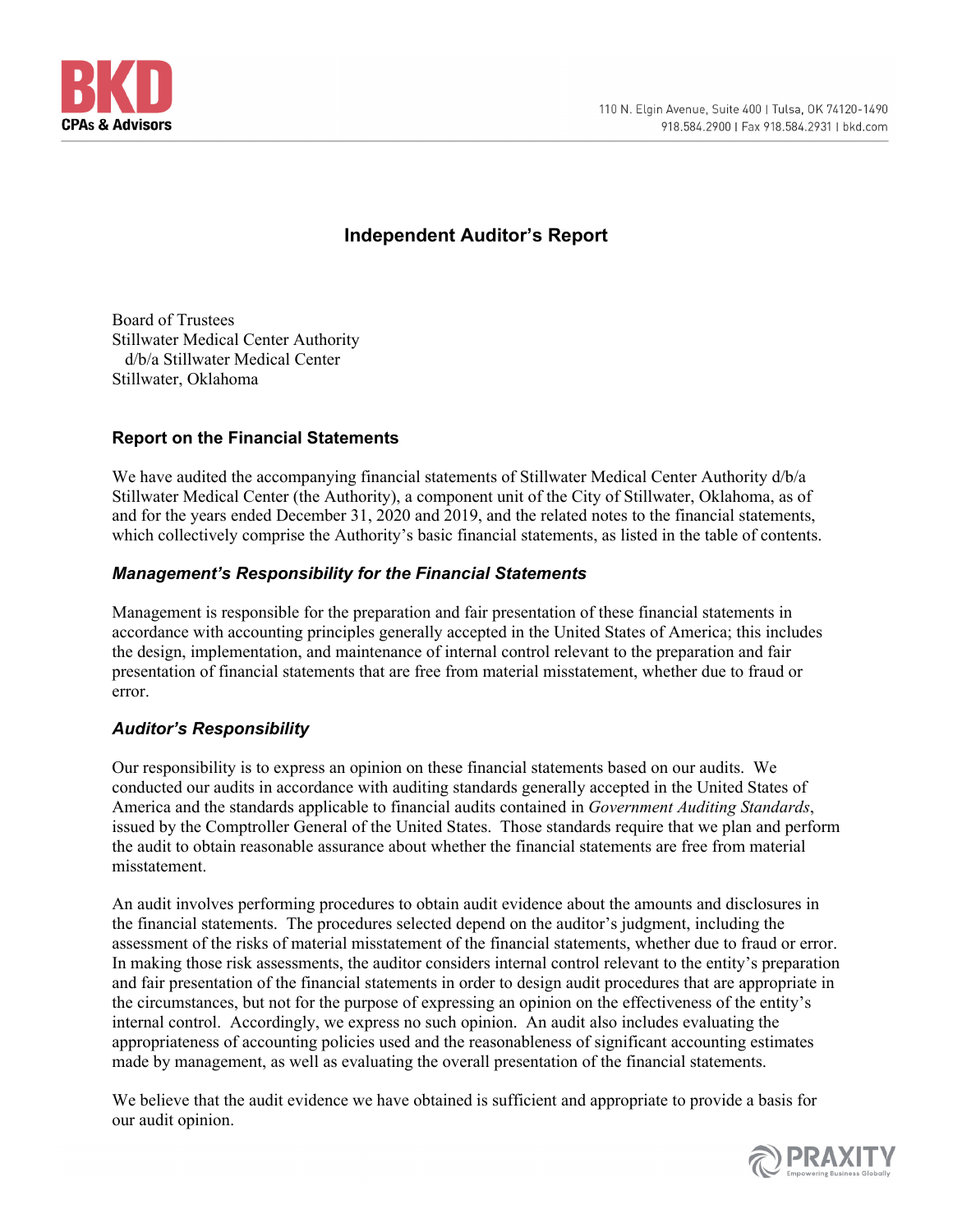

### **Independent Auditor's Report**

Board of Trustees Stillwater Medical Center Authority d/b/a Stillwater Medical Center Stillwater, Oklahoma

#### **Report on the Financial Statements**

We have audited the accompanying financial statements of Stillwater Medical Center Authority d/b/a Stillwater Medical Center (the Authority), a component unit of the City of Stillwater, Oklahoma, as of and for the years ended December 31, 2020 and 2019, and the related notes to the financial statements, which collectively comprise the Authority's basic financial statements, as listed in the table of contents.

#### *Management's Responsibility for the Financial Statements*

Management is responsible for the preparation and fair presentation of these financial statements in accordance with accounting principles generally accepted in the United States of America; this includes the design, implementation, and maintenance of internal control relevant to the preparation and fair presentation of financial statements that are free from material misstatement, whether due to fraud or error.

#### *Auditor's Responsibility*

Our responsibility is to express an opinion on these financial statements based on our audits. We conducted our audits in accordance with auditing standards generally accepted in the United States of America and the standards applicable to financial audits contained in *Government Auditing Standards*, issued by the Comptroller General of the United States. Those standards require that we plan and perform the audit to obtain reasonable assurance about whether the financial statements are free from material misstatement.

An audit involves performing procedures to obtain audit evidence about the amounts and disclosures in the financial statements. The procedures selected depend on the auditor's judgment, including the assessment of the risks of material misstatement of the financial statements, whether due to fraud or error. In making those risk assessments, the auditor considers internal control relevant to the entity's preparation and fair presentation of the financial statements in order to design audit procedures that are appropriate in the circumstances, but not for the purpose of expressing an opinion on the effectiveness of the entity's internal control. Accordingly, we express no such opinion. An audit also includes evaluating the appropriateness of accounting policies used and the reasonableness of significant accounting estimates made by management, as well as evaluating the overall presentation of the financial statements.

We believe that the audit evidence we have obtained is sufficient and appropriate to provide a basis for our audit opinion.

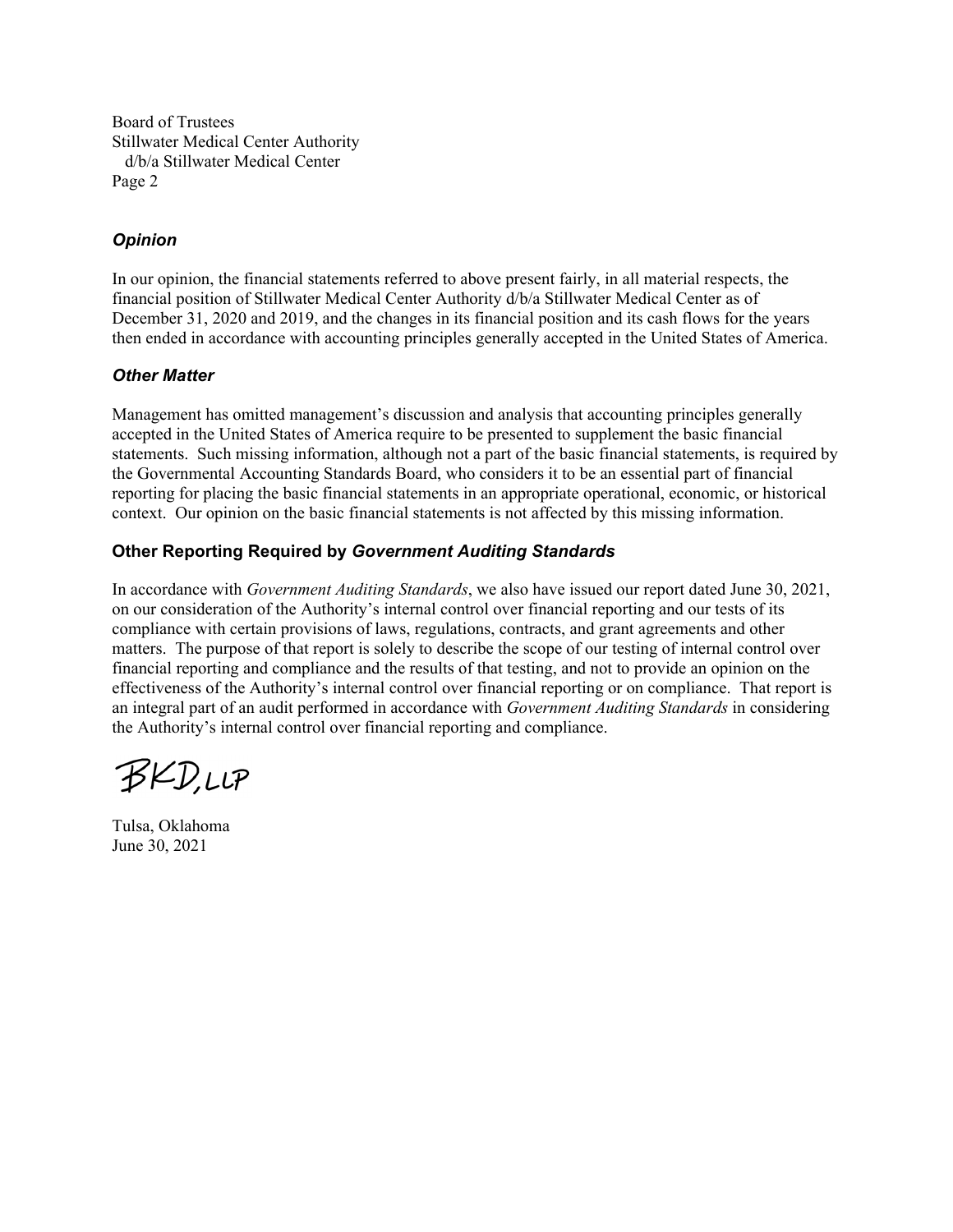Board of Trustees Stillwater Medical Center Authority d/b/a Stillwater Medical Center Page 2

### *Opinion*

In our opinion, the financial statements referred to above present fairly, in all material respects, the financial position of Stillwater Medical Center Authority d/b/a Stillwater Medical Center as of December 31, 2020 and 2019, and the changes in its financial position and its cash flows for the years then ended in accordance with accounting principles generally accepted in the United States of America.

### *Other Matter*

Management has omitted management's discussion and analysis that accounting principles generally accepted in the United States of America require to be presented to supplement the basic financial statements. Such missing information, although not a part of the basic financial statements, is required by the Governmental Accounting Standards Board, who considers it to be an essential part of financial reporting for placing the basic financial statements in an appropriate operational, economic, or historical context. Our opinion on the basic financial statements is not affected by this missing information.

### **Other Reporting Required by** *Government Auditing Standards*

In accordance with *Government Auditing Standards*, we also have issued our report dated June 30, 2021, on our consideration of the Authority's internal control over financial reporting and our tests of its compliance with certain provisions of laws, regulations, contracts, and grant agreements and other matters. The purpose of that report is solely to describe the scope of our testing of internal control over financial reporting and compliance and the results of that testing, and not to provide an opinion on the effectiveness of the Authority's internal control over financial reporting or on compliance. That report is an integral part of an audit performed in accordance with *Government Auditing Standards* in considering the Authority's internal control over financial reporting and compliance.

BKD,LLP

Tulsa, Oklahoma June 30, 2021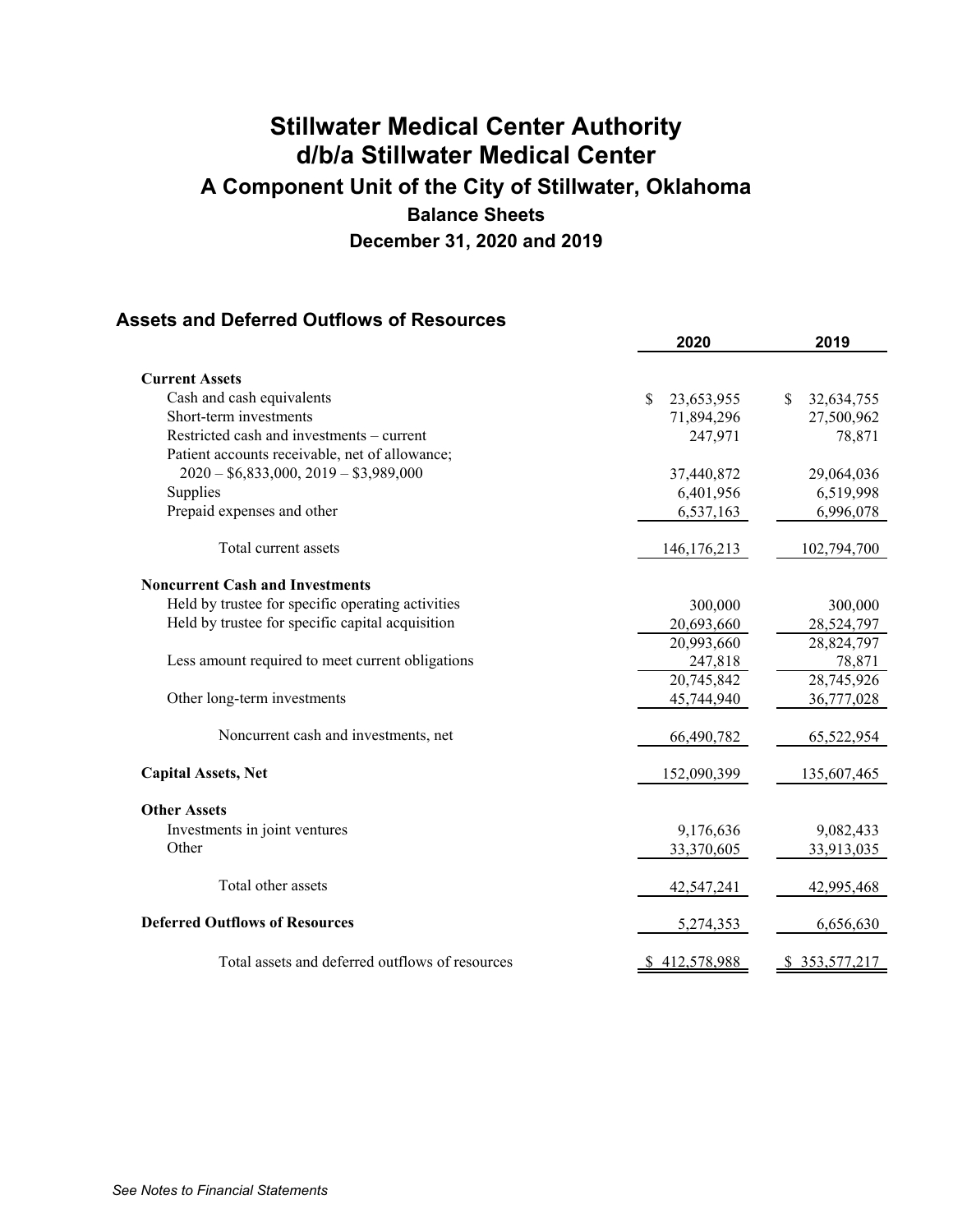### **Assets and Deferred Outflows of Resources**

|                                                   | 2020             | 2019              |
|---------------------------------------------------|------------------|-------------------|
| <b>Current Assets</b>                             |                  |                   |
| Cash and cash equivalents                         | \$<br>23,653,955 | 32,634,755<br>\$. |
| Short-term investments                            | 71,894,296       | 27,500,962        |
| Restricted cash and investments – current         | 247,971          | 78,871            |
| Patient accounts receivable, net of allowance;    |                  |                   |
| $2020 - $6,833,000, 2019 - $3,989,000$            | 37,440,872       | 29,064,036        |
| Supplies                                          | 6,401,956        | 6,519,998         |
| Prepaid expenses and other                        | 6,537,163        | 6,996,078         |
| Total current assets                              | 146, 176, 213    | 102,794,700       |
| <b>Noncurrent Cash and Investments</b>            |                  |                   |
| Held by trustee for specific operating activities | 300,000          | 300,000           |
| Held by trustee for specific capital acquisition  | 20,693,660       | 28,524,797        |
|                                                   | 20,993,660       | 28,824,797        |
| Less amount required to meet current obligations  | 247,818          | 78,871            |
|                                                   | 20,745,842       | 28,745,926        |
| Other long-term investments                       | 45,744,940       | 36,777,028        |
| Noncurrent cash and investments, net              | 66,490,782       | 65,522,954        |
| <b>Capital Assets, Net</b>                        | 152,090,399      | 135,607,465       |
| <b>Other Assets</b>                               |                  |                   |
| Investments in joint ventures                     | 9,176,636        | 9,082,433         |
| Other                                             | 33,370,605       | 33,913,035        |
| Total other assets                                | 42,547,241       | 42,995,468        |
| <b>Deferred Outflows of Resources</b>             | 5,274,353        | 6,656,630         |
| Total assets and deferred outflows of resources   | \$412,578,988    | \$353,577,217     |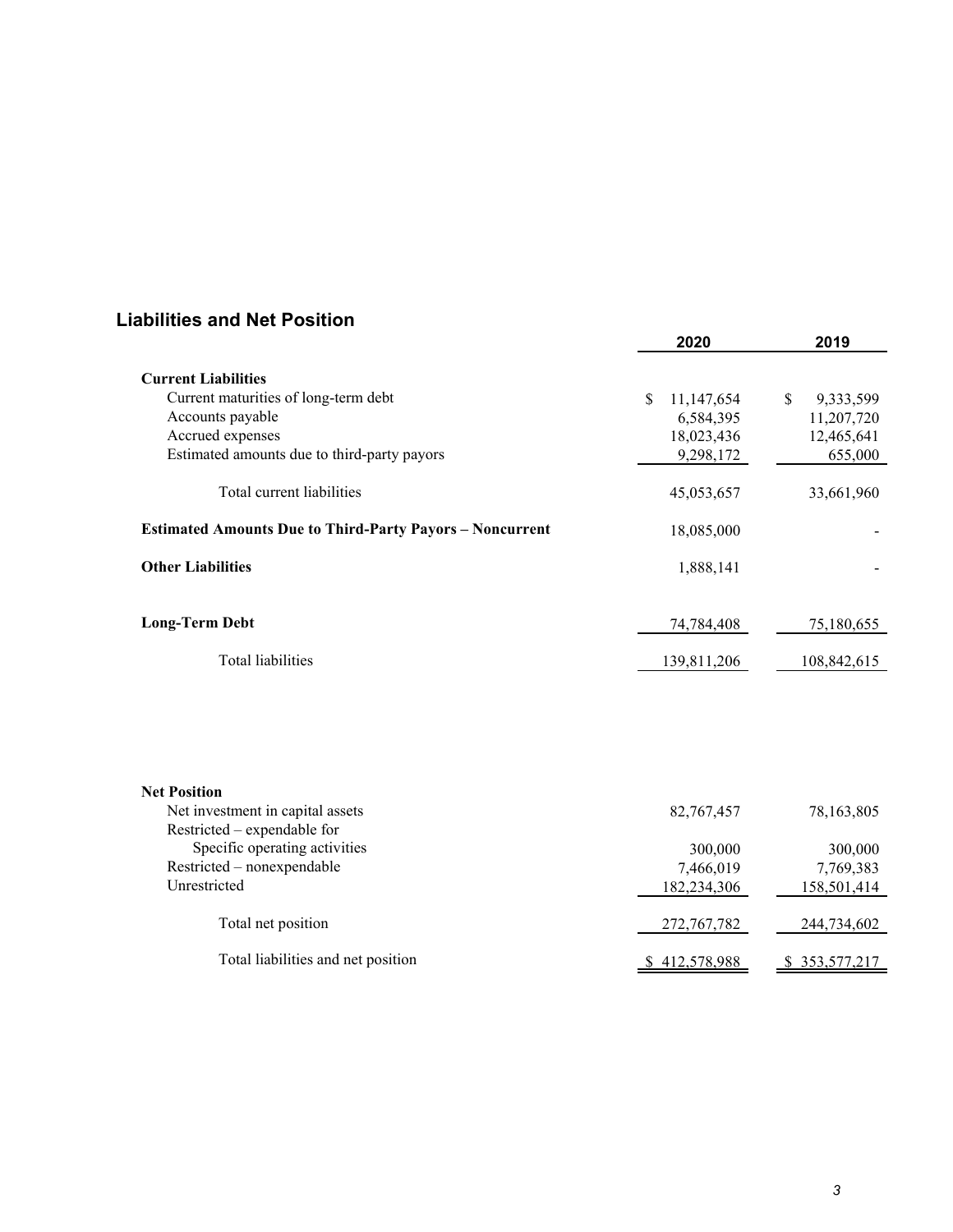### **Liabilities and Net Position**

|                                                                 | 2020             | 2019            |
|-----------------------------------------------------------------|------------------|-----------------|
| <b>Current Liabilities</b>                                      |                  |                 |
| Current maturities of long-term debt                            | 11,147,654<br>\$ | \$<br>9,333,599 |
| Accounts payable                                                | 6,584,395        | 11,207,720      |
| Accrued expenses                                                | 18,023,436       | 12,465,641      |
| Estimated amounts due to third-party payors                     | 9,298,172        | 655,000         |
|                                                                 |                  |                 |
| Total current liabilities                                       | 45,053,657       | 33,661,960      |
| <b>Estimated Amounts Due to Third-Party Payors - Noncurrent</b> | 18,085,000       |                 |
| <b>Other Liabilities</b>                                        | 1,888,141        |                 |
| <b>Long-Term Debt</b>                                           | 74,784,408       | 75,180,655      |
|                                                                 |                  |                 |
| <b>Total liabilities</b>                                        | 139,811,206      | 108,842,615     |
|                                                                 |                  |                 |
| <b>Net Position</b><br>Net investment in capital assets         | 82,767,457       | 78,163,805      |
| Restricted – expendable for                                     |                  |                 |
| Specific operating activities                                   | 300,000          | 300,000         |
| Restricted - nonexpendable                                      | 7,466,019        | 7,769,383       |
| Unrestricted                                                    | 182,234,306      | 158,501,414     |
|                                                                 |                  |                 |
| Total net position                                              | 272,767,782      | 244,734,602     |
| Total liabilities and net position                              | \$412,578,988    | \$ 353,577,217  |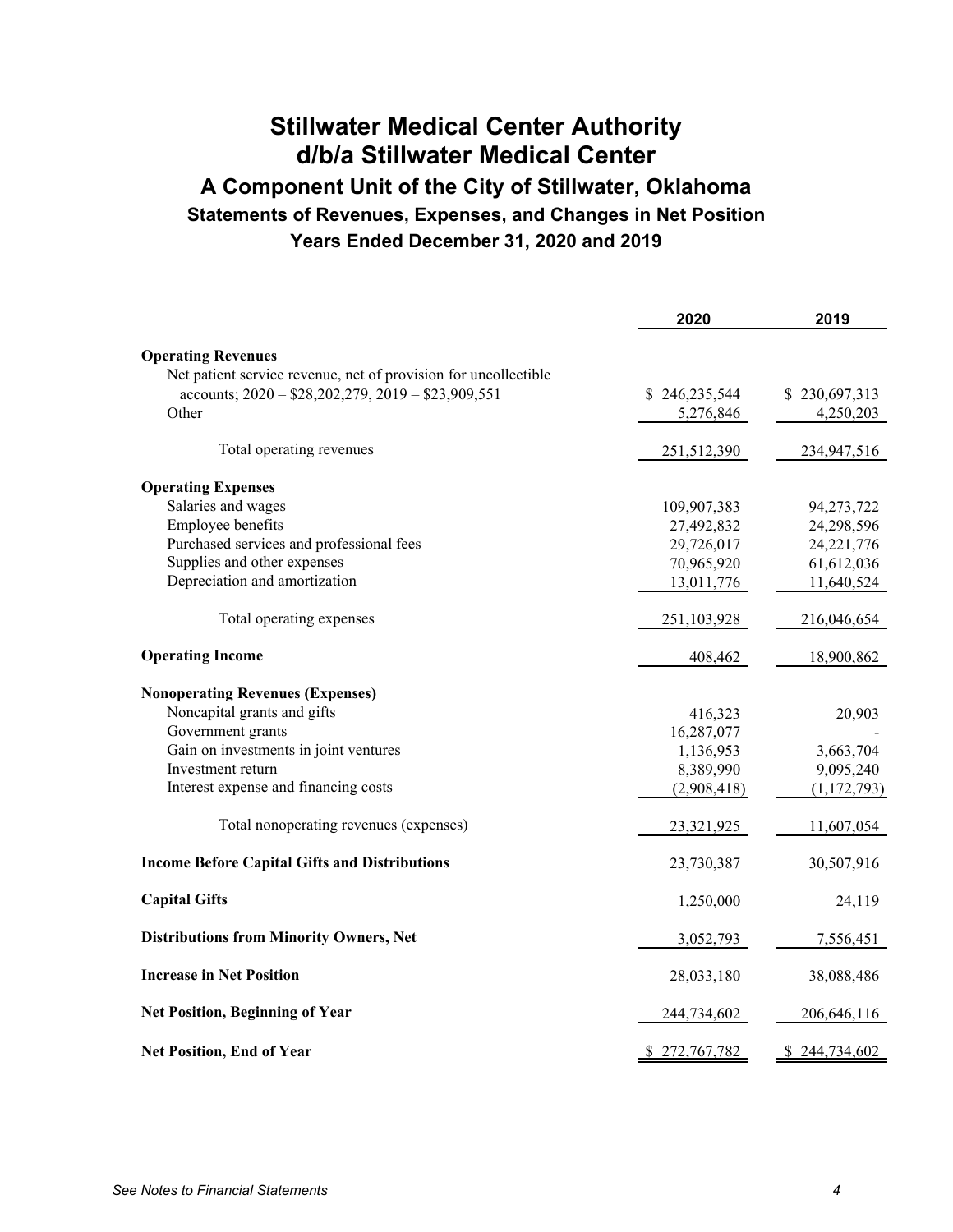# **Stillwater Medical Center Authority d/b/a Stillwater Medical Center A Component Unit of the City of Stillwater, Oklahoma Statements of Revenues, Expenses, and Changes in Net Position Years Ended December 31, 2020 and 2019**

|                                                                 | 2020          | 2019          |
|-----------------------------------------------------------------|---------------|---------------|
| <b>Operating Revenues</b>                                       |               |               |
| Net patient service revenue, net of provision for uncollectible |               |               |
| accounts; $2020 - $28,202,279, 2019 - $23,909,551$              | \$246,235,544 | \$230,697,313 |
| Other                                                           | 5,276,846     | 4,250,203     |
| Total operating revenues                                        | 251,512,390   | 234,947,516   |
| <b>Operating Expenses</b>                                       |               |               |
| Salaries and wages                                              | 109,907,383   | 94,273,722    |
| Employee benefits                                               | 27,492,832    | 24,298,596    |
| Purchased services and professional fees                        | 29,726,017    | 24, 221, 776  |
| Supplies and other expenses                                     | 70,965,920    | 61,612,036    |
| Depreciation and amortization                                   | 13,011,776    | 11,640,524    |
| Total operating expenses                                        | 251,103,928   | 216,046,654   |
| <b>Operating Income</b>                                         | 408,462       | 18,900,862    |
| <b>Nonoperating Revenues (Expenses)</b>                         |               |               |
| Noncapital grants and gifts                                     | 416,323       | 20,903        |
| Government grants                                               | 16,287,077    |               |
| Gain on investments in joint ventures                           | 1,136,953     | 3,663,704     |
| Investment return                                               | 8,389,990     | 9,095,240     |
| Interest expense and financing costs                            | (2,908,418)   | (1, 172, 793) |
| Total nonoperating revenues (expenses)                          | 23,321,925    | 11,607,054    |
| <b>Income Before Capital Gifts and Distributions</b>            | 23,730,387    | 30,507,916    |
| <b>Capital Gifts</b>                                            | 1,250,000     | 24,119        |
| <b>Distributions from Minority Owners, Net</b>                  | 3,052,793     | 7,556,451     |
| <b>Increase in Net Position</b>                                 | 28,033,180    | 38,088,486    |
| <b>Net Position, Beginning of Year</b>                          | 244,734,602   | 206,646,116   |
| <b>Net Position, End of Year</b>                                | \$272,767,782 | \$244,734,602 |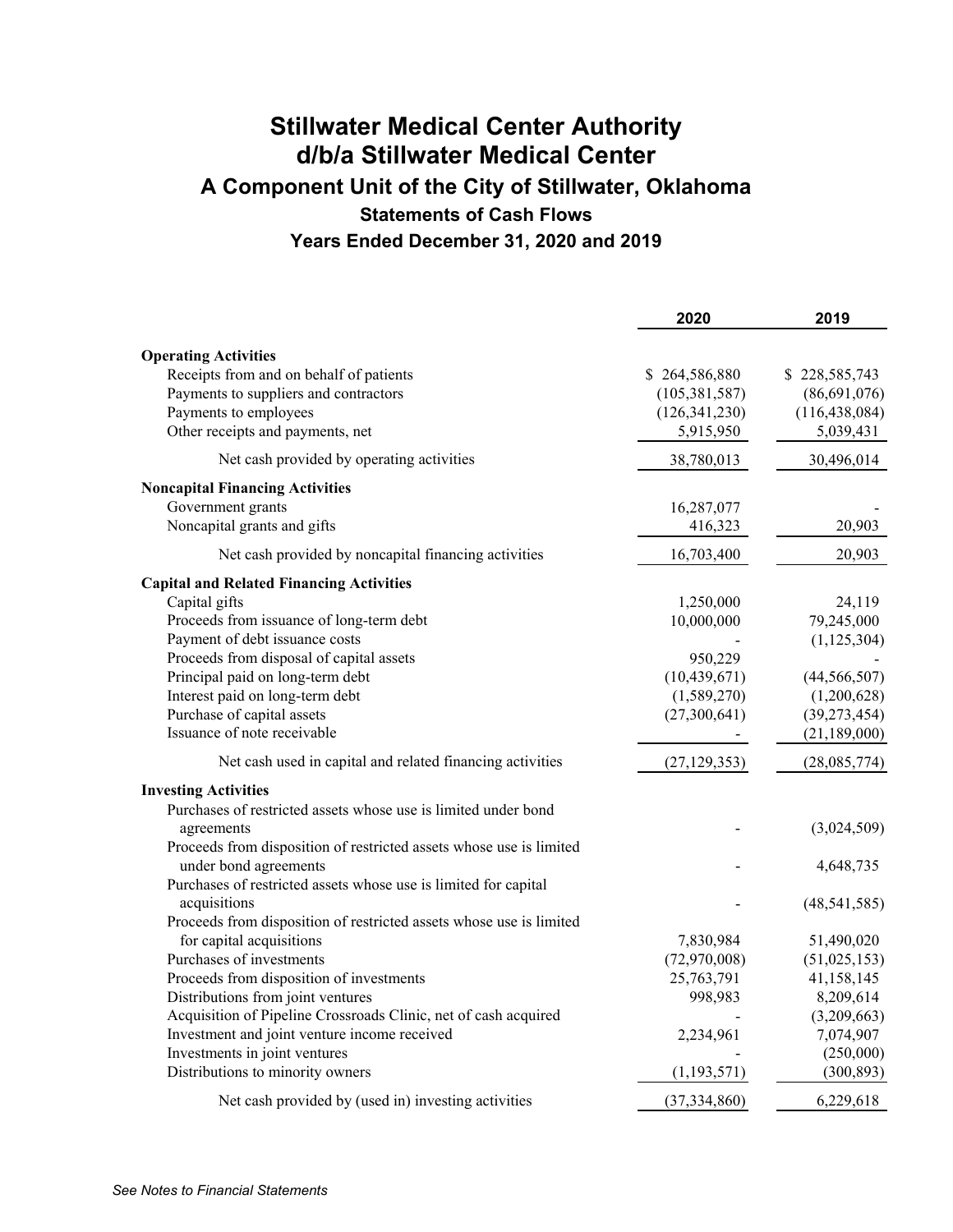# **Stillwater Medical Center Authority d/b/a Stillwater Medical Center A Component Unit of the City of Stillwater, Oklahoma Statements of Cash Flows Years Ended December 31, 2020 and 2019**

|                                                                     | 2020            | 2019            |
|---------------------------------------------------------------------|-----------------|-----------------|
| <b>Operating Activities</b>                                         |                 |                 |
| Receipts from and on behalf of patients                             | \$264,586,880   | \$228,585,743   |
| Payments to suppliers and contractors                               | (105, 381, 587) | (86,691,076)    |
| Payments to employees                                               | (126, 341, 230) | (116, 438, 084) |
| Other receipts and payments, net                                    | 5,915,950       | 5,039,431       |
| Net cash provided by operating activities                           | 38,780,013      | 30,496,014      |
| <b>Noncapital Financing Activities</b>                              |                 |                 |
| Government grants                                                   | 16,287,077      |                 |
| Noncapital grants and gifts                                         | 416,323         | 20,903          |
| Net cash provided by noncapital financing activities                | 16,703,400      | 20,903          |
| <b>Capital and Related Financing Activities</b>                     |                 |                 |
| Capital gifts                                                       | 1,250,000       | 24,119          |
| Proceeds from issuance of long-term debt                            | 10,000,000      | 79,245,000      |
| Payment of debt issuance costs                                      |                 | (1, 125, 304)   |
| Proceeds from disposal of capital assets                            | 950,229         |                 |
| Principal paid on long-term debt                                    | (10, 439, 671)  | (44, 566, 507)  |
| Interest paid on long-term debt                                     | (1,589,270)     | (1,200,628)     |
| Purchase of capital assets                                          | (27,300,641)    | (39, 273, 454)  |
| Issuance of note receivable                                         |                 | (21, 189, 000)  |
| Net cash used in capital and related financing activities           | (27, 129, 353)  | (28,085,774)    |
| <b>Investing Activities</b>                                         |                 |                 |
| Purchases of restricted assets whose use is limited under bond      |                 |                 |
| agreements                                                          |                 | (3,024,509)     |
| Proceeds from disposition of restricted assets whose use is limited |                 |                 |
| under bond agreements                                               |                 | 4,648,735       |
| Purchases of restricted assets whose use is limited for capital     |                 |                 |
| acquisitions                                                        |                 | (48, 541, 585)  |
| Proceeds from disposition of restricted assets whose use is limited |                 |                 |
| for capital acquisitions                                            | 7,830,984       | 51,490,020      |
| Purchases of investments                                            | (72,970,008)    | (51,025,153)    |
| Proceeds from disposition of investments                            | 25,763,791      | 41,158,145      |
| Distributions from joint ventures                                   | 998,983         | 8,209,614       |
| Acquisition of Pipeline Crossroads Clinic, net of cash acquired     |                 | (3,209,663)     |
| Investment and joint venture income received                        | 2,234,961       | 7,074,907       |
| Investments in joint ventures                                       |                 | (250,000)       |
| Distributions to minority owners                                    | (1, 193, 571)   | (300, 893)      |
| Net cash provided by (used in) investing activities                 | (37, 334, 860)  | 6,229,618       |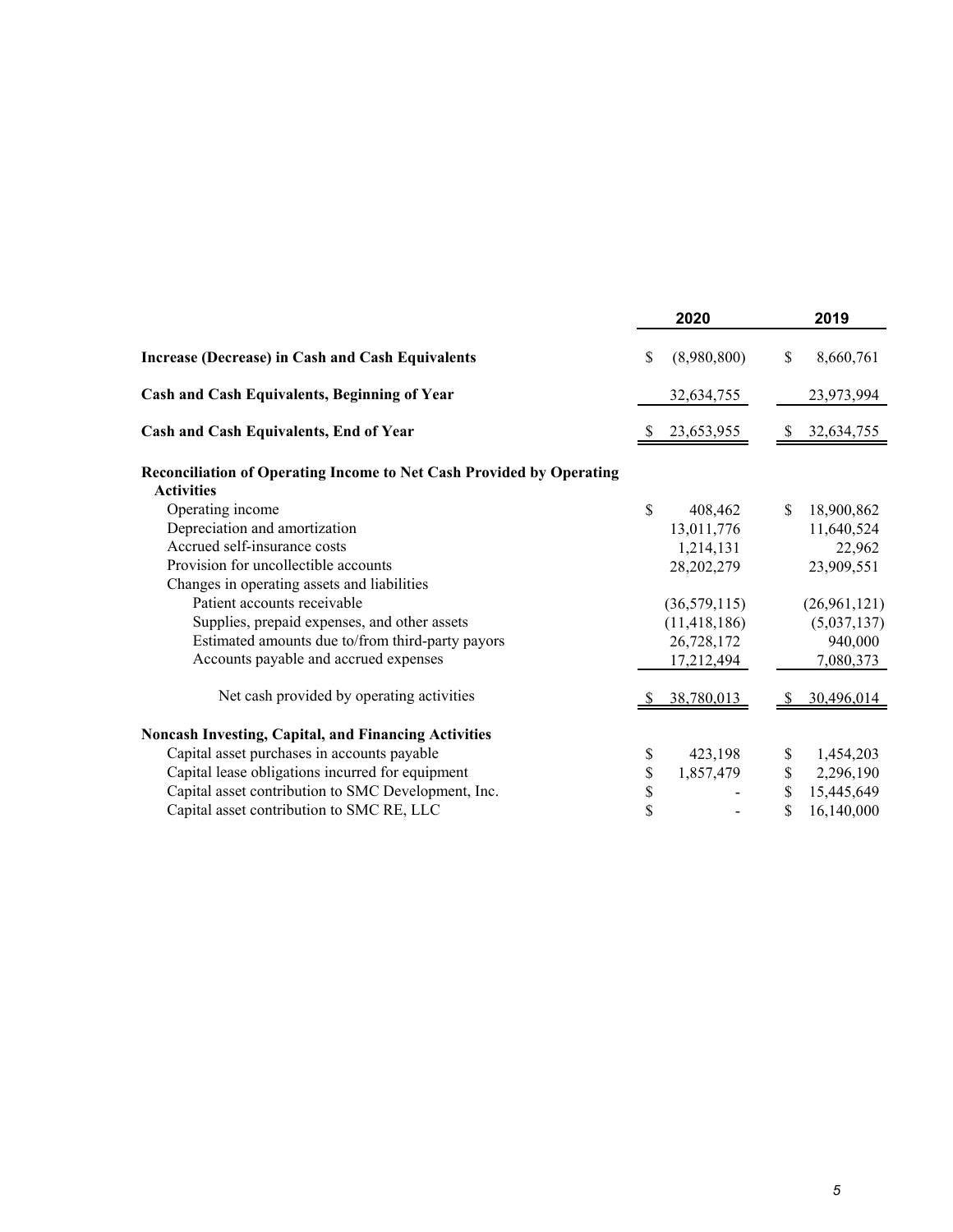|                                                                                           |     | 2020           |               | 2019         |
|-------------------------------------------------------------------------------------------|-----|----------------|---------------|--------------|
| <b>Increase (Decrease) in Cash and Cash Equivalents</b>                                   | \$. | (8,980,800)    | \$            | 8,660,761    |
| Cash and Cash Equivalents, Beginning of Year                                              |     | 32,634,755     |               | 23,973,994   |
| Cash and Cash Equivalents, End of Year                                                    |     | 23,653,955     | S             | 32,634,755   |
| Reconciliation of Operating Income to Net Cash Provided by Operating<br><b>Activities</b> |     |                |               |              |
| Operating income                                                                          | \$  | 408,462        | <sup>\$</sup> | 18,900,862   |
| Depreciation and amortization                                                             |     | 13,011,776     |               | 11,640,524   |
| Accrued self-insurance costs                                                              |     | 1,214,131      |               | 22,962       |
| Provision for uncollectible accounts                                                      |     | 28, 202, 279   |               | 23,909,551   |
| Changes in operating assets and liabilities                                               |     |                |               |              |
| Patient accounts receivable                                                               |     | (36,579,115)   |               | (26,961,121) |
| Supplies, prepaid expenses, and other assets                                              |     | (11, 418, 186) |               | (5,037,137)  |
| Estimated amounts due to/from third-party payors                                          |     | 26,728,172     |               | 940,000      |
| Accounts payable and accrued expenses                                                     |     | 17,212,494     |               | 7,080,373    |
| Net cash provided by operating activities                                                 |     | 38,780,013     |               | 30,496,014   |
| <b>Noncash Investing, Capital, and Financing Activities</b>                               |     |                |               |              |
| Capital asset purchases in accounts payable                                               | \$  | 423,198        |               | 1,454,203    |
| Capital lease obligations incurred for equipment                                          | \$  | 1,857,479      | \$            | 2,296,190    |
| Capital asset contribution to SMC Development, Inc.                                       | \$  |                |               | 15,445,649   |
| Capital asset contribution to SMC RE, LLC                                                 | \$  |                | \$            | 16,140,000   |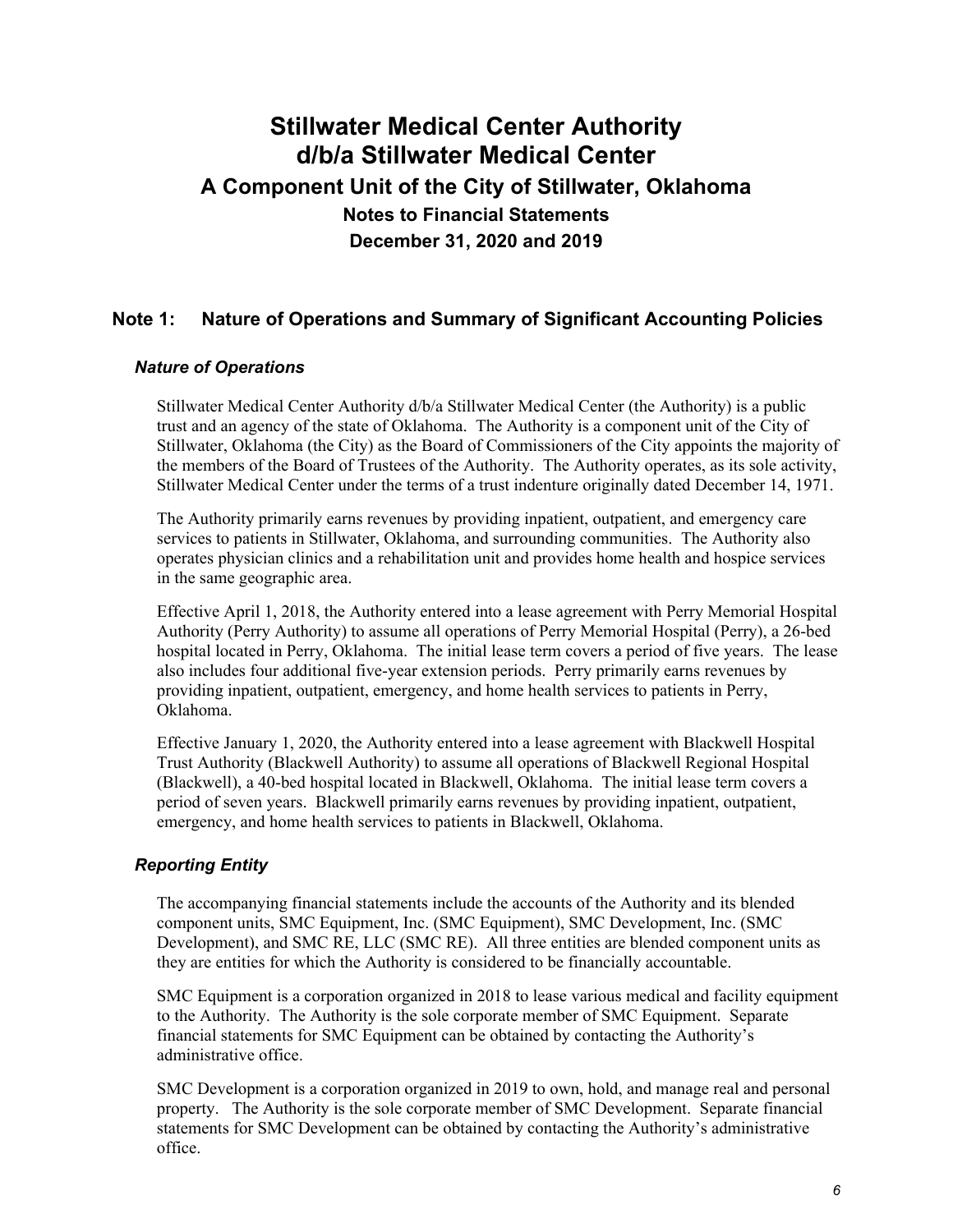### **Note 1: Nature of Operations and Summary of Significant Accounting Policies**

#### *Nature of Operations*

Stillwater Medical Center Authority d/b/a Stillwater Medical Center (the Authority) is a public trust and an agency of the state of Oklahoma. The Authority is a component unit of the City of Stillwater, Oklahoma (the City) as the Board of Commissioners of the City appoints the majority of the members of the Board of Trustees of the Authority. The Authority operates, as its sole activity, Stillwater Medical Center under the terms of a trust indenture originally dated December 14, 1971.

The Authority primarily earns revenues by providing inpatient, outpatient, and emergency care services to patients in Stillwater, Oklahoma, and surrounding communities. The Authority also operates physician clinics and a rehabilitation unit and provides home health and hospice services in the same geographic area.

Effective April 1, 2018, the Authority entered into a lease agreement with Perry Memorial Hospital Authority (Perry Authority) to assume all operations of Perry Memorial Hospital (Perry), a 26-bed hospital located in Perry, Oklahoma. The initial lease term covers a period of five years. The lease also includes four additional five-year extension periods. Perry primarily earns revenues by providing inpatient, outpatient, emergency, and home health services to patients in Perry, Oklahoma.

Effective January 1, 2020, the Authority entered into a lease agreement with Blackwell Hospital Trust Authority (Blackwell Authority) to assume all operations of Blackwell Regional Hospital (Blackwell), a 40-bed hospital located in Blackwell, Oklahoma. The initial lease term covers a period of seven years. Blackwell primarily earns revenues by providing inpatient, outpatient, emergency, and home health services to patients in Blackwell, Oklahoma.

### *Reporting Entity*

The accompanying financial statements include the accounts of the Authority and its blended component units, SMC Equipment, Inc. (SMC Equipment), SMC Development, Inc. (SMC Development), and SMC RE, LLC (SMC RE). All three entities are blended component units as they are entities for which the Authority is considered to be financially accountable.

SMC Equipment is a corporation organized in 2018 to lease various medical and facility equipment to the Authority. The Authority is the sole corporate member of SMC Equipment. Separate financial statements for SMC Equipment can be obtained by contacting the Authority's administrative office.

SMC Development is a corporation organized in 2019 to own, hold, and manage real and personal property. The Authority is the sole corporate member of SMC Development. Separate financial statements for SMC Development can be obtained by contacting the Authority's administrative office.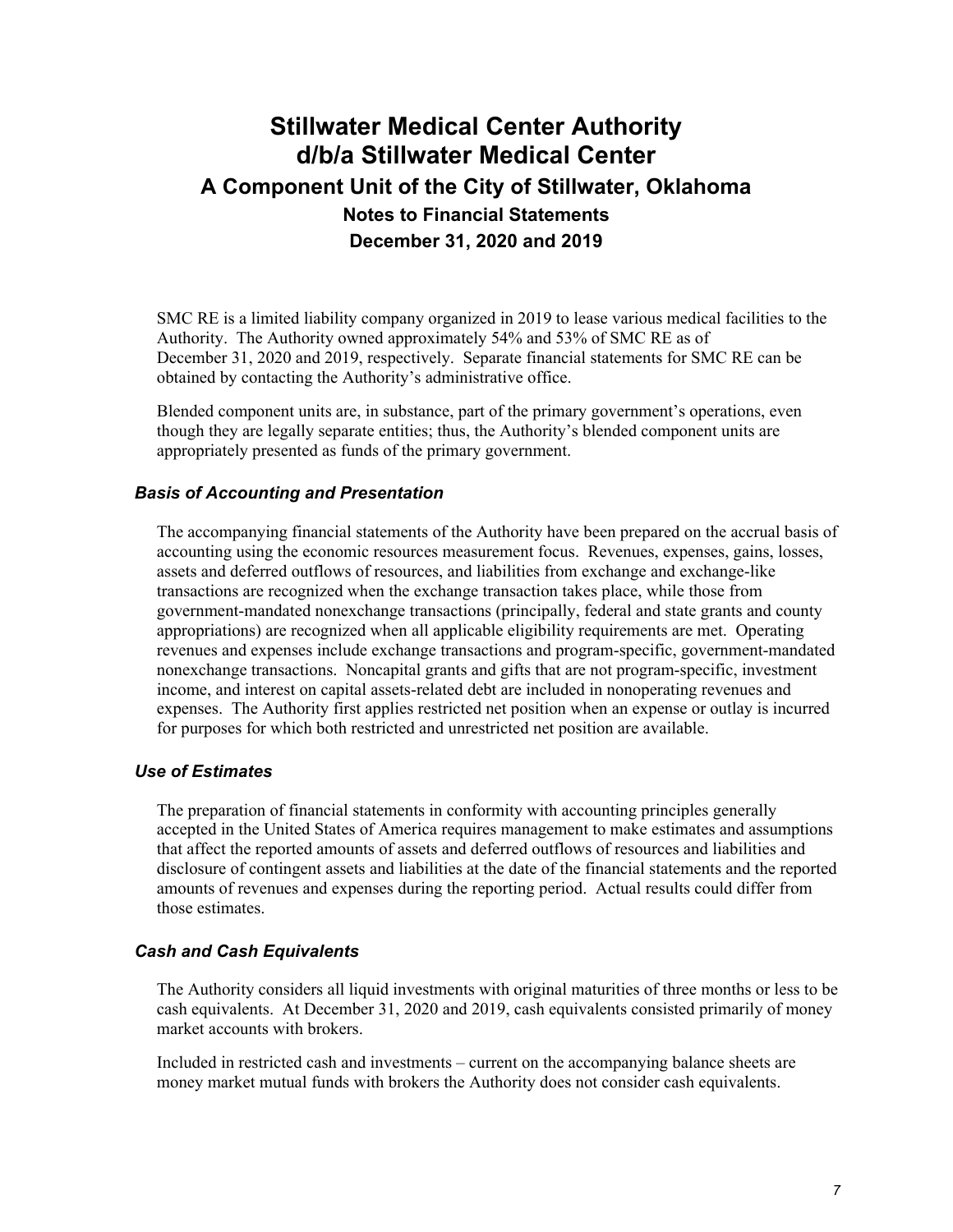SMC RE is a limited liability company organized in 2019 to lease various medical facilities to the Authority. The Authority owned approximately 54% and 53% of SMC RE as of December 31, 2020 and 2019, respectively. Separate financial statements for SMC RE can be obtained by contacting the Authority's administrative office.

Blended component units are, in substance, part of the primary government's operations, even though they are legally separate entities; thus, the Authority's blended component units are appropriately presented as funds of the primary government.

#### *Basis of Accounting and Presentation*

The accompanying financial statements of the Authority have been prepared on the accrual basis of accounting using the economic resources measurement focus. Revenues, expenses, gains, losses, assets and deferred outflows of resources, and liabilities from exchange and exchange-like transactions are recognized when the exchange transaction takes place, while those from government-mandated nonexchange transactions (principally, federal and state grants and county appropriations) are recognized when all applicable eligibility requirements are met. Operating revenues and expenses include exchange transactions and program-specific, government-mandated nonexchange transactions. Noncapital grants and gifts that are not program-specific, investment income, and interest on capital assets-related debt are included in nonoperating revenues and expenses. The Authority first applies restricted net position when an expense or outlay is incurred for purposes for which both restricted and unrestricted net position are available.

#### *Use of Estimates*

The preparation of financial statements in conformity with accounting principles generally accepted in the United States of America requires management to make estimates and assumptions that affect the reported amounts of assets and deferred outflows of resources and liabilities and disclosure of contingent assets and liabilities at the date of the financial statements and the reported amounts of revenues and expenses during the reporting period. Actual results could differ from those estimates.

#### *Cash and Cash Equivalents*

The Authority considers all liquid investments with original maturities of three months or less to be cash equivalents. At December 31, 2020 and 2019, cash equivalents consisted primarily of money market accounts with brokers.

Included in restricted cash and investments – current on the accompanying balance sheets are money market mutual funds with brokers the Authority does not consider cash equivalents.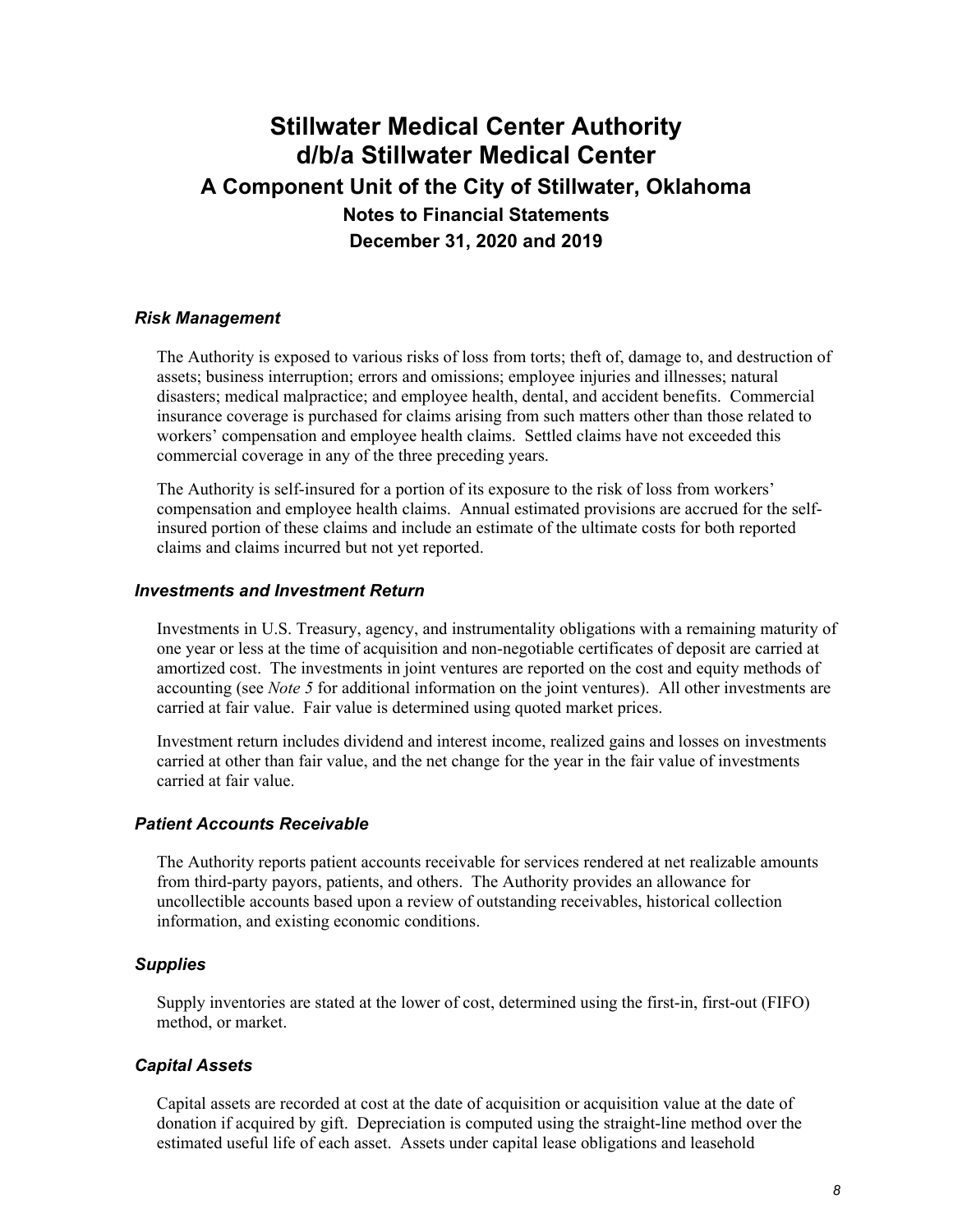#### *Risk Management*

The Authority is exposed to various risks of loss from torts; theft of, damage to, and destruction of assets; business interruption; errors and omissions; employee injuries and illnesses; natural disasters; medical malpractice; and employee health, dental, and accident benefits. Commercial insurance coverage is purchased for claims arising from such matters other than those related to workers' compensation and employee health claims. Settled claims have not exceeded this commercial coverage in any of the three preceding years.

The Authority is self-insured for a portion of its exposure to the risk of loss from workers' compensation and employee health claims. Annual estimated provisions are accrued for the selfinsured portion of these claims and include an estimate of the ultimate costs for both reported claims and claims incurred but not yet reported.

#### *Investments and Investment Return*

Investments in U.S. Treasury, agency, and instrumentality obligations with a remaining maturity of one year or less at the time of acquisition and non-negotiable certificates of deposit are carried at amortized cost. The investments in joint ventures are reported on the cost and equity methods of accounting (see *Note 5* for additional information on the joint ventures). All other investments are carried at fair value. Fair value is determined using quoted market prices.

Investment return includes dividend and interest income, realized gains and losses on investments carried at other than fair value, and the net change for the year in the fair value of investments carried at fair value.

#### *Patient Accounts Receivable*

The Authority reports patient accounts receivable for services rendered at net realizable amounts from third-party payors, patients, and others. The Authority provides an allowance for uncollectible accounts based upon a review of outstanding receivables, historical collection information, and existing economic conditions.

#### *Supplies*

Supply inventories are stated at the lower of cost, determined using the first-in, first-out (FIFO) method, or market.

#### *Capital Assets*

Capital assets are recorded at cost at the date of acquisition or acquisition value at the date of donation if acquired by gift. Depreciation is computed using the straight-line method over the estimated useful life of each asset. Assets under capital lease obligations and leasehold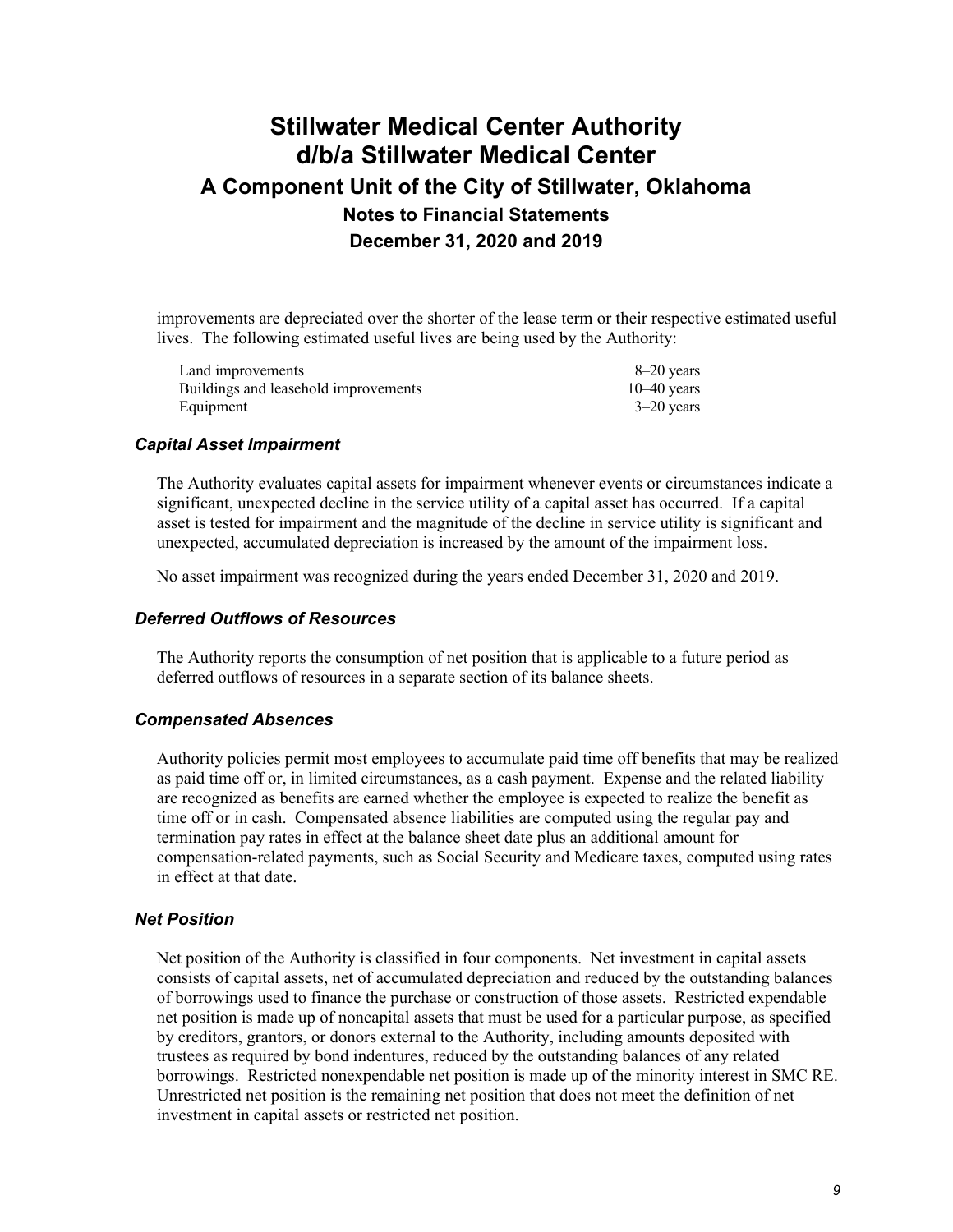improvements are depreciated over the shorter of the lease term or their respective estimated useful lives. The following estimated useful lives are being used by the Authority:

| Land improvements                    | $8-20$ years  |
|--------------------------------------|---------------|
| Buildings and leasehold improvements | $10-40$ years |
| Equipment                            | $3-20$ years  |

#### *Capital Asset Impairment*

The Authority evaluates capital assets for impairment whenever events or circumstances indicate a significant, unexpected decline in the service utility of a capital asset has occurred. If a capital asset is tested for impairment and the magnitude of the decline in service utility is significant and unexpected, accumulated depreciation is increased by the amount of the impairment loss.

No asset impairment was recognized during the years ended December 31, 2020 and 2019.

#### *Deferred Outflows of Resources*

The Authority reports the consumption of net position that is applicable to a future period as deferred outflows of resources in a separate section of its balance sheets.

#### *Compensated Absences*

Authority policies permit most employees to accumulate paid time off benefits that may be realized as paid time off or, in limited circumstances, as a cash payment. Expense and the related liability are recognized as benefits are earned whether the employee is expected to realize the benefit as time off or in cash. Compensated absence liabilities are computed using the regular pay and termination pay rates in effect at the balance sheet date plus an additional amount for compensation-related payments, such as Social Security and Medicare taxes, computed using rates in effect at that date.

#### *Net Position*

Net position of the Authority is classified in four components. Net investment in capital assets consists of capital assets, net of accumulated depreciation and reduced by the outstanding balances of borrowings used to finance the purchase or construction of those assets. Restricted expendable net position is made up of noncapital assets that must be used for a particular purpose, as specified by creditors, grantors, or donors external to the Authority, including amounts deposited with trustees as required by bond indentures, reduced by the outstanding balances of any related borrowings. Restricted nonexpendable net position is made up of the minority interest in SMC RE. Unrestricted net position is the remaining net position that does not meet the definition of net investment in capital assets or restricted net position.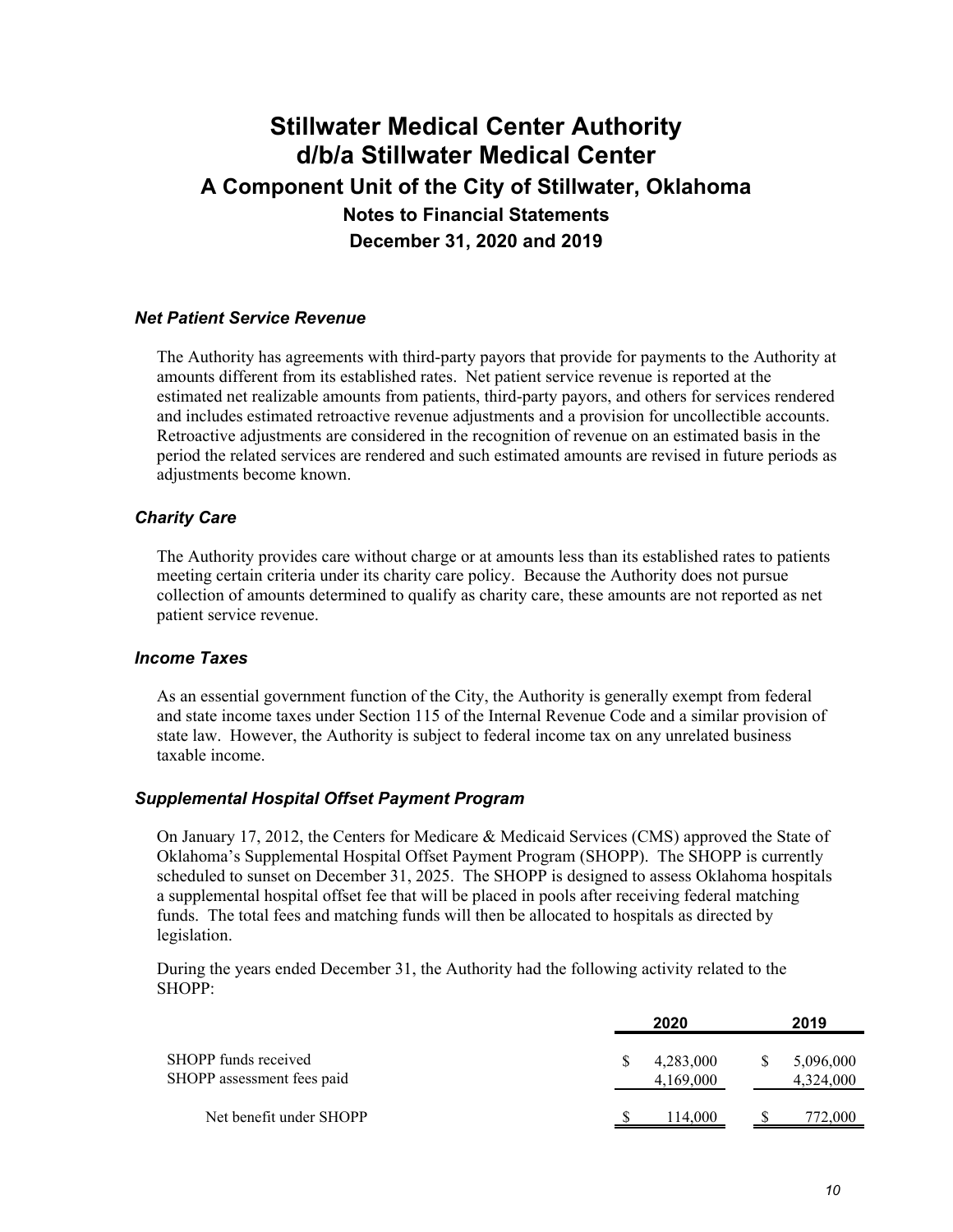#### *Net Patient Service Revenue*

The Authority has agreements with third-party payors that provide for payments to the Authority at amounts different from its established rates. Net patient service revenue is reported at the estimated net realizable amounts from patients, third-party payors, and others for services rendered and includes estimated retroactive revenue adjustments and a provision for uncollectible accounts. Retroactive adjustments are considered in the recognition of revenue on an estimated basis in the period the related services are rendered and such estimated amounts are revised in future periods as adjustments become known.

#### *Charity Care*

The Authority provides care without charge or at amounts less than its established rates to patients meeting certain criteria under its charity care policy. Because the Authority does not pursue collection of amounts determined to qualify as charity care, these amounts are not reported as net patient service revenue.

### *Income Taxes*

As an essential government function of the City, the Authority is generally exempt from federal and state income taxes under Section 115 of the Internal Revenue Code and a similar provision of state law. However, the Authority is subject to federal income tax on any unrelated business taxable income.

#### *Supplemental Hospital Offset Payment Program*

On January 17, 2012, the Centers for Medicare & Medicaid Services (CMS) approved the State of Oklahoma's Supplemental Hospital Offset Payment Program (SHOPP). The SHOPP is currently scheduled to sunset on December 31, 2025. The SHOPP is designed to assess Oklahoma hospitals a supplemental hospital offset fee that will be placed in pools after receiving federal matching funds. The total fees and matching funds will then be allocated to hospitals as directed by legislation.

During the years ended December 31, the Authority had the following activity related to the SHOPP:

|                                                    | 2020                   |     | 2019                   |
|----------------------------------------------------|------------------------|-----|------------------------|
| SHOPP funds received<br>SHOPP assessment fees paid | 4,283,000<br>4,169,000 | \$. | 5,096,000<br>4,324,000 |
| Net benefit under SHOPP                            | 114.000                |     | 72.000                 |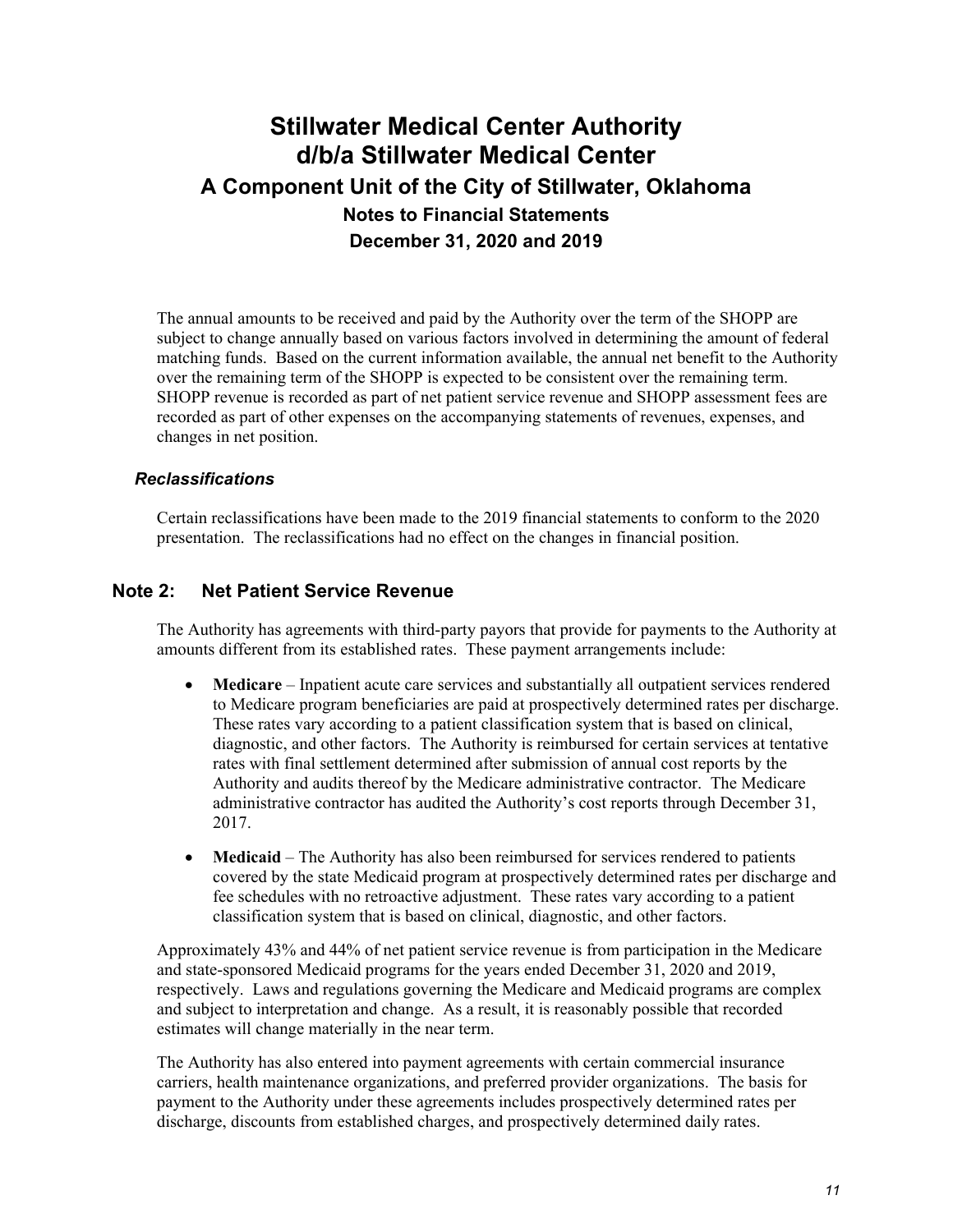The annual amounts to be received and paid by the Authority over the term of the SHOPP are subject to change annually based on various factors involved in determining the amount of federal matching funds. Based on the current information available, the annual net benefit to the Authority over the remaining term of the SHOPP is expected to be consistent over the remaining term. SHOPP revenue is recorded as part of net patient service revenue and SHOPP assessment fees are recorded as part of other expenses on the accompanying statements of revenues, expenses, and changes in net position.

### *Reclassifications*

Certain reclassifications have been made to the 2019 financial statements to conform to the 2020 presentation. The reclassifications had no effect on the changes in financial position.

### **Note 2: Net Patient Service Revenue**

The Authority has agreements with third-party payors that provide for payments to the Authority at amounts different from its established rates. These payment arrangements include:

- **Medicare** Inpatient acute care services and substantially all outpatient services rendered to Medicare program beneficiaries are paid at prospectively determined rates per discharge. These rates vary according to a patient classification system that is based on clinical, diagnostic, and other factors. The Authority is reimbursed for certain services at tentative rates with final settlement determined after submission of annual cost reports by the Authority and audits thereof by the Medicare administrative contractor. The Medicare administrative contractor has audited the Authority's cost reports through December 31, 2017.
- **Medicaid** The Authority has also been reimbursed for services rendered to patients covered by the state Medicaid program at prospectively determined rates per discharge and fee schedules with no retroactive adjustment. These rates vary according to a patient classification system that is based on clinical, diagnostic, and other factors.

Approximately 43% and 44% of net patient service revenue is from participation in the Medicare and state-sponsored Medicaid programs for the years ended December 31, 2020 and 2019, respectively. Laws and regulations governing the Medicare and Medicaid programs are complex and subject to interpretation and change. As a result, it is reasonably possible that recorded estimates will change materially in the near term.

The Authority has also entered into payment agreements with certain commercial insurance carriers, health maintenance organizations, and preferred provider organizations. The basis for payment to the Authority under these agreements includes prospectively determined rates per discharge, discounts from established charges, and prospectively determined daily rates.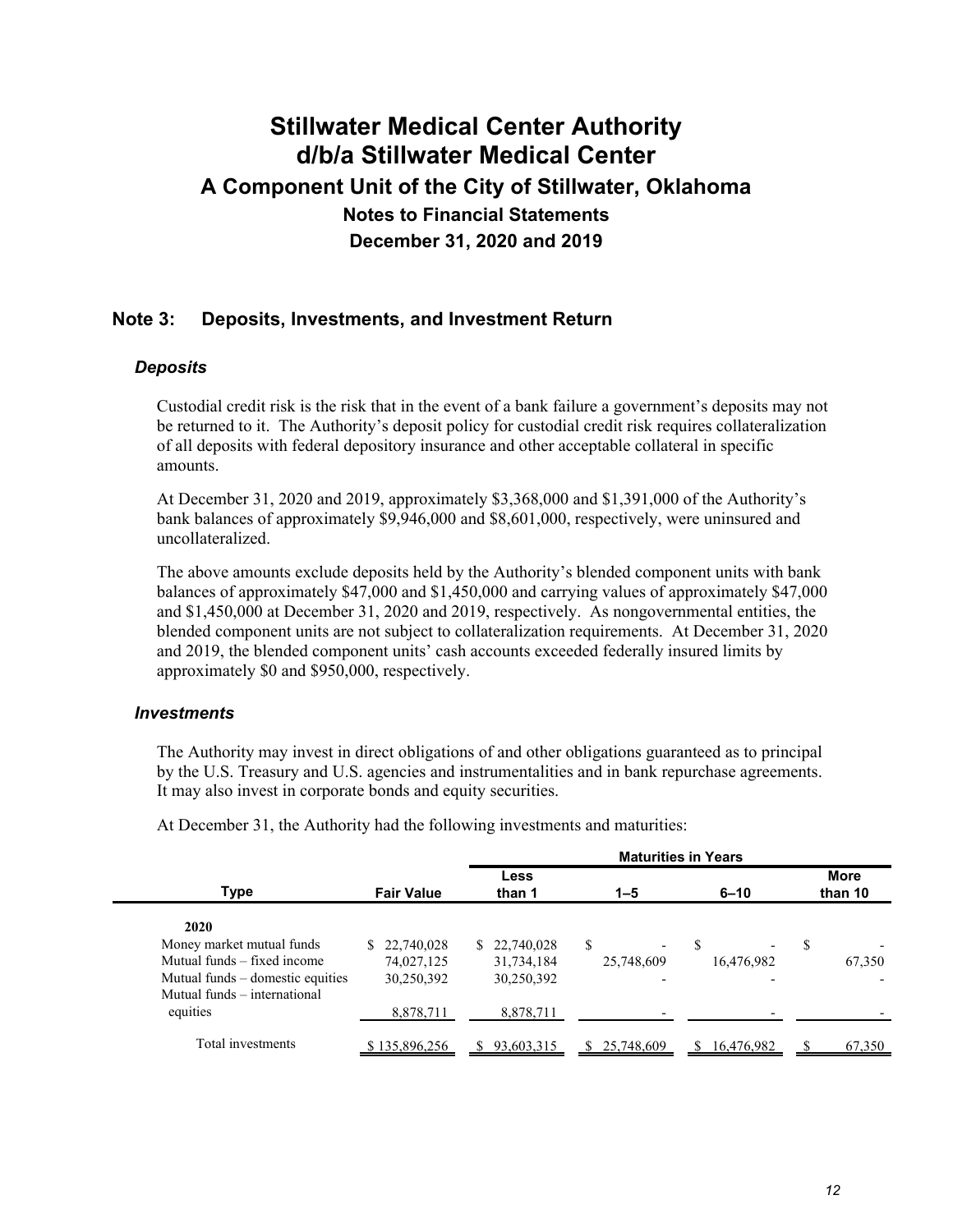### **Note 3: Deposits, Investments, and Investment Return**

#### *Deposits*

Custodial credit risk is the risk that in the event of a bank failure a government's deposits may not be returned to it. The Authority's deposit policy for custodial credit risk requires collateralization of all deposits with federal depository insurance and other acceptable collateral in specific amounts.

At December 31, 2020 and 2019, approximately \$3,368,000 and \$1,391,000 of the Authority's bank balances of approximately \$9,946,000 and \$8,601,000, respectively, were uninsured and uncollateralized.

The above amounts exclude deposits held by the Authority's blended component units with bank balances of approximately \$47,000 and \$1,450,000 and carrying values of approximately \$47,000 and \$1,450,000 at December 31, 2020 and 2019, respectively. As nongovernmental entities, the blended component units are not subject to collateralization requirements. At December 31, 2020 and 2019, the blended component units' cash accounts exceeded federally insured limits by approximately \$0 and \$950,000, respectively.

#### *Investments*

The Authority may invest in direct obligations of and other obligations guaranteed as to principal by the U.S. Treasury and U.S. agencies and instrumentalities and in bank repurchase agreements. It may also invest in corporate bonds and equity securities.

|                                  |                   |                |                               | <b>Maturities in Years</b> |                        |
|----------------------------------|-------------------|----------------|-------------------------------|----------------------------|------------------------|
| Type                             | <b>Fair Value</b> | Less<br>than 1 | $1 - 5$                       | $6 - 10$                   | <b>More</b><br>than 10 |
| 2020                             |                   |                |                               |                            |                        |
| Money market mutual funds        | 22,740,028        | \$22,740,028   | S<br>$\overline{\phantom{a}}$ | S                          | S                      |
| Mutual funds – fixed income      | 74,027,125        | 31,734,184     | 25,748,609                    | 16,476,982                 | 67,350                 |
| Mutual funds – domestic equities | 30,250,392        | 30,250,392     | $\overline{\phantom{0}}$      |                            |                        |
| Mutual funds – international     |                   |                |                               |                            |                        |
| equities                         | 8,878,711         | 8,878,711      |                               |                            |                        |
| Total investments                | \$135,896,256     | 93.603.315     | 25,748,609<br>S.              | \$16,476,982               | 67,350                 |

**Maturities in Years**

At December 31, the Authority had the following investments and maturities: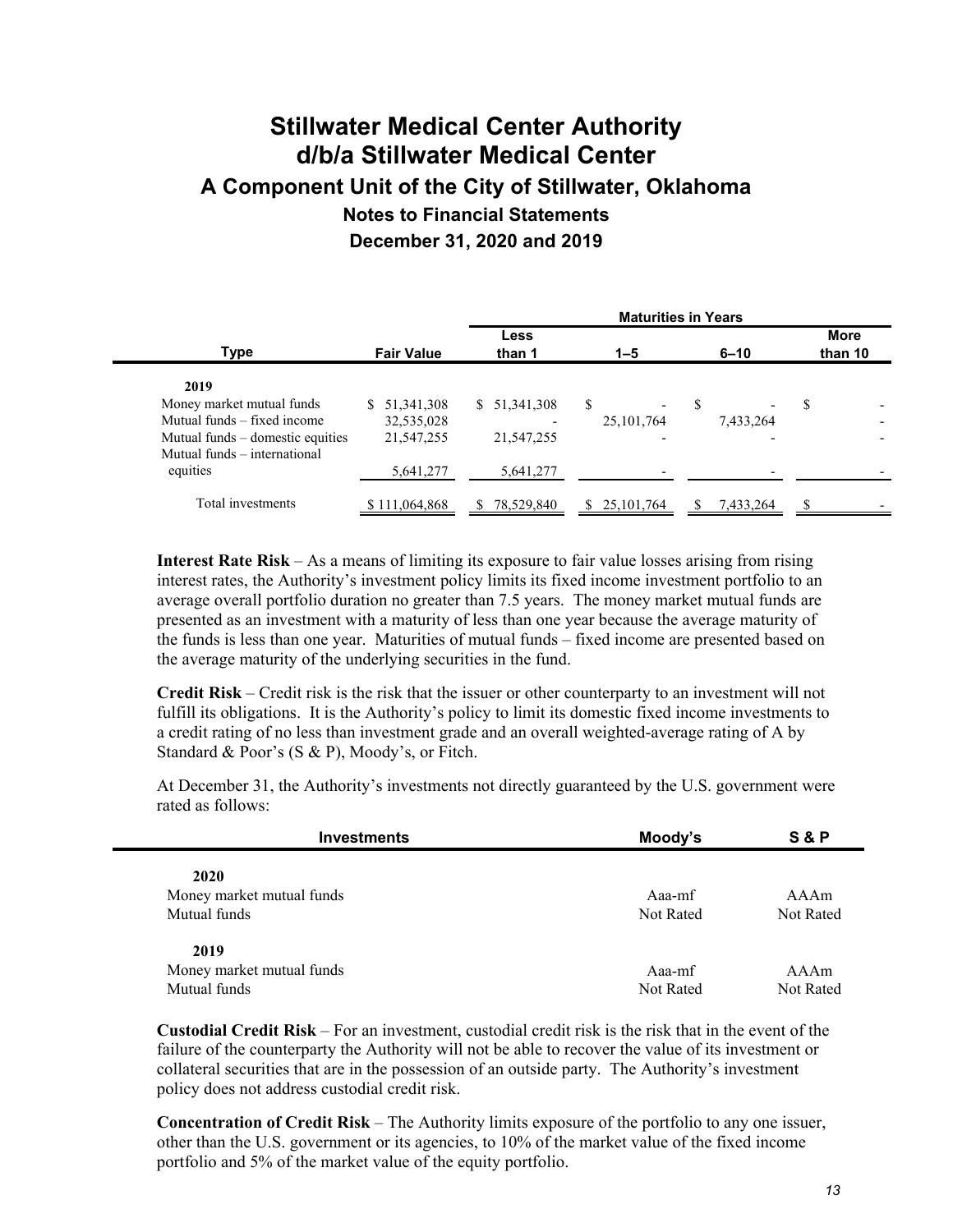|                                  | <b>Maturities in Years</b> |                    |              |           |                        |
|----------------------------------|----------------------------|--------------------|--------------|-----------|------------------------|
| <b>Type</b>                      | <b>Fair Value</b>          | Less<br>than 1     | $1 - 5$      | $6 - 10$  | <b>More</b><br>than 10 |
| 2019                             |                            |                    |              |           |                        |
| Money market mutual funds        | 51, 341, 308               | 51, 341, 308<br>S. | \$           | S         | \$                     |
| Mutual funds – fixed income      | 32,535,028                 |                    | 25, 101, 764 | 7,433,264 |                        |
| Mutual funds – domestic equities | 21,547,255                 | 21, 547, 255       |              |           |                        |
| Mutual funds – international     |                            |                    |              |           |                        |
| equities                         | 5,641,277                  | 5,641,277          |              |           |                        |
| Total investments                | \$111,064,868              | 78,529,840         | 25, 101, 764 | 7,433,264 | S                      |

**Interest Rate Risk** – As a means of limiting its exposure to fair value losses arising from rising interest rates, the Authority's investment policy limits its fixed income investment portfolio to an average overall portfolio duration no greater than 7.5 years. The money market mutual funds are presented as an investment with a maturity of less than one year because the average maturity of the funds is less than one year. Maturities of mutual funds – fixed income are presented based on the average maturity of the underlying securities in the fund.

**Credit Risk** – Credit risk is the risk that the issuer or other counterparty to an investment will not fulfill its obligations. It is the Authority's policy to limit its domestic fixed income investments to a credit rating of no less than investment grade and an overall weighted-average rating of A by Standard & Poor's (S & P), Moody's, or Fitch.

At December 31, the Authority's investments not directly guaranteed by the U.S. government were rated as follows:

| <b>Investments</b>        | Moody's   | S & P     |
|---------------------------|-----------|-----------|
| 2020                      |           |           |
| Money market mutual funds | Aaa-mf    | AAAm      |
| Mutual funds              | Not Rated | Not Rated |
| 2019                      |           |           |
| Money market mutual funds | Aaa-mf    | AAAm      |
| Mutual funds              | Not Rated | Not Rated |

**Custodial Credit Risk** – For an investment, custodial credit risk is the risk that in the event of the failure of the counterparty the Authority will not be able to recover the value of its investment or collateral securities that are in the possession of an outside party. The Authority's investment policy does not address custodial credit risk.

**Concentration of Credit Risk** – The Authority limits exposure of the portfolio to any one issuer, other than the U.S. government or its agencies, to 10% of the market value of the fixed income portfolio and 5% of the market value of the equity portfolio.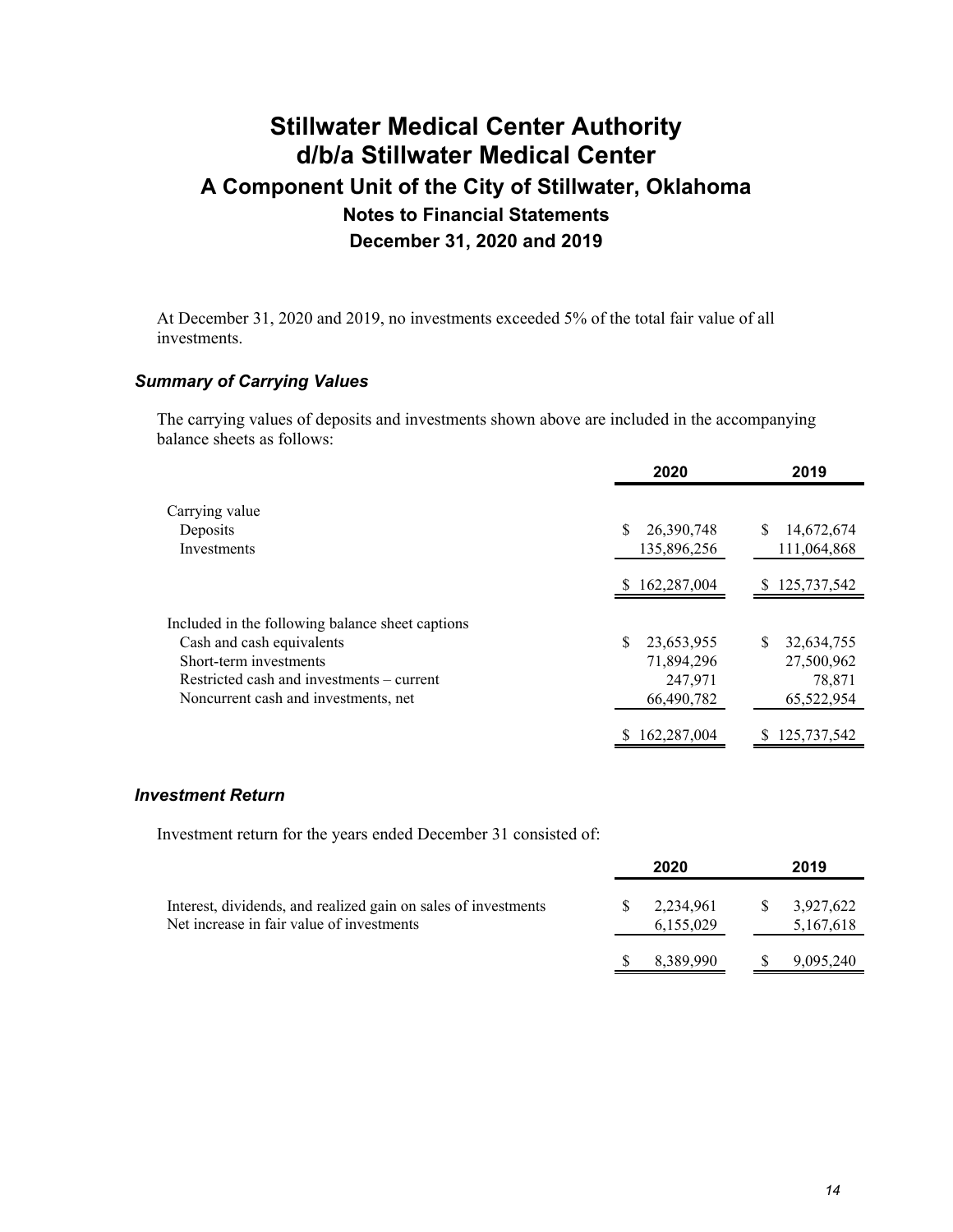At December 31, 2020 and 2019, no investments exceeded 5% of the total fair value of all investments.

### *Summary of Carrying Values*

The carrying values of deposits and investments shown above are included in the accompanying balance sheets as follows:

|                                                  | 2020          | 2019              |
|--------------------------------------------------|---------------|-------------------|
| Carrying value                                   |               |                   |
| Deposits                                         | 26,390,748    | 14,672,674        |
| Investments                                      | 135,896,256   | 111,064,868       |
|                                                  | \$162,287,004 | \$125,737,542     |
| Included in the following balance sheet captions |               |                   |
| Cash and cash equivalents                        | 23,653,955    | 32,634,755<br>\$. |
| Short-term investments                           | 71,894,296    | 27,500,962        |
| Restricted cash and investments – current        | 247,971       | 78,871            |
| Noncurrent cash and investments, net             | 66,490,782    | 65,522,954        |
|                                                  | 162,287,004   | 125,737,542       |

#### *Investment Return*

Investment return for the years ended December 31 consisted of:

|                                                                                                             | 2020                   |    | 2019                   |
|-------------------------------------------------------------------------------------------------------------|------------------------|----|------------------------|
| Interest, dividends, and realized gain on sales of investments<br>Net increase in fair value of investments | 2,234,961<br>6,155,029 | -S | 3,927,622<br>5,167,618 |
|                                                                                                             | 8,389,990              |    | 9,095,240              |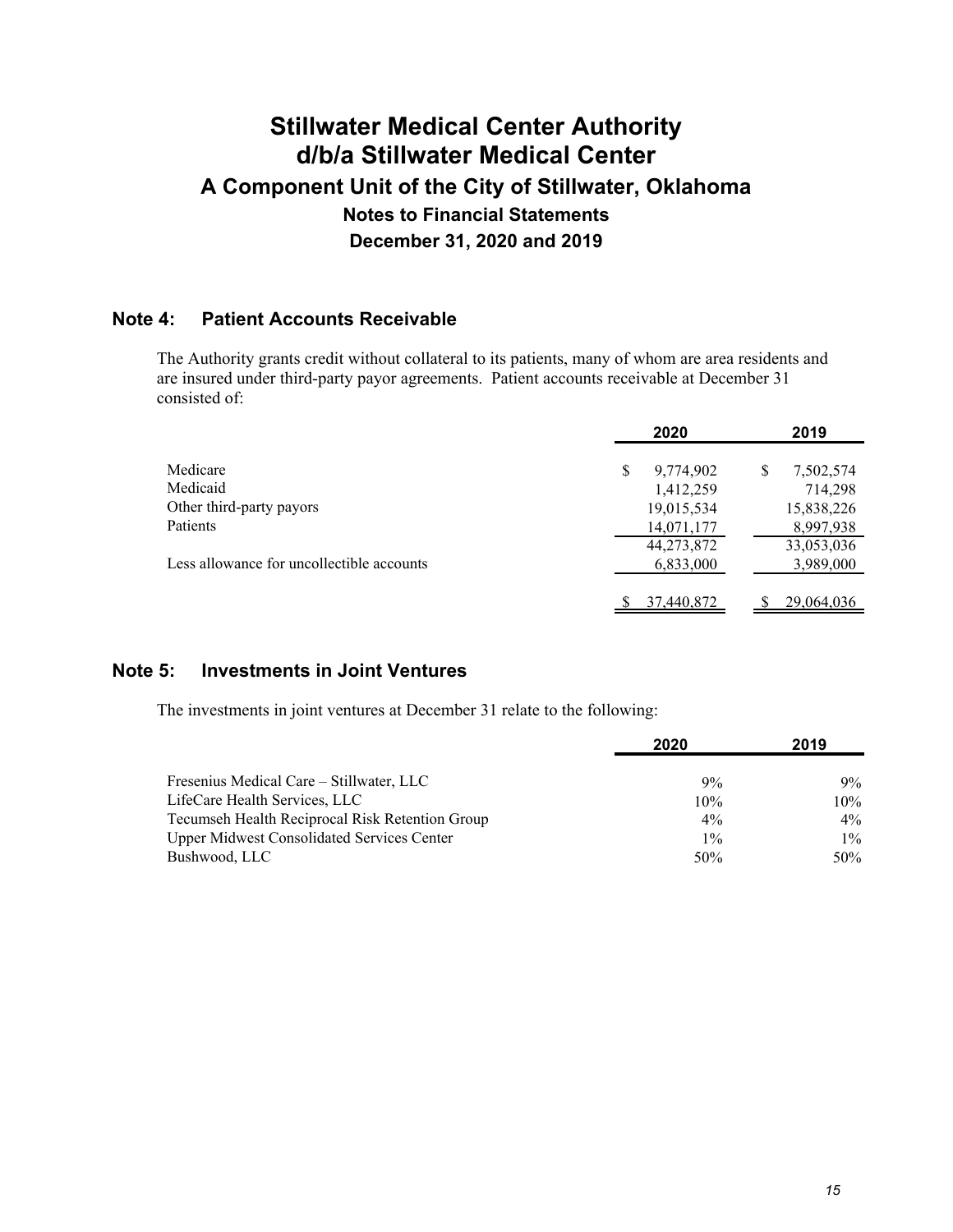### **Note 4: Patient Accounts Receivable**

The Authority grants credit without collateral to its patients, many of whom are area residents and are insured under third-party payor agreements. Patient accounts receivable at December 31 consisted of:

|                                           | 2020       | 2019           |
|-------------------------------------------|------------|----------------|
| Medicare                                  | 9,774,902  | S<br>7,502,574 |
| Medicaid                                  | 1,412,259  | 714,298        |
| Other third-party payors                  | 19,015,534 | 15,838,226     |
| Patients                                  | 14,071,177 | 8,997,938      |
|                                           | 44,273,872 | 33,053,036     |
| Less allowance for uncollectible accounts | 6,833,000  | 3,989,000      |
|                                           |            |                |
|                                           | 37,440,872 | 29,064,036     |

### **Note 5: Investments in Joint Ventures**

The investments in joint ventures at December 31 relate to the following:

|                                                   | 2020  | 2019   |
|---------------------------------------------------|-------|--------|
| Fresenius Medical Care – Stillwater, LLC          | 9%    | $9\%$  |
| LifeCare Health Services, LLC                     | 10%   | $10\%$ |
| Tecumseh Health Reciprocal Risk Retention Group   | $4\%$ | $4\%$  |
| <b>Upper Midwest Consolidated Services Center</b> | $1\%$ | $1\%$  |
| Bushwood, LLC                                     | 50%   | $50\%$ |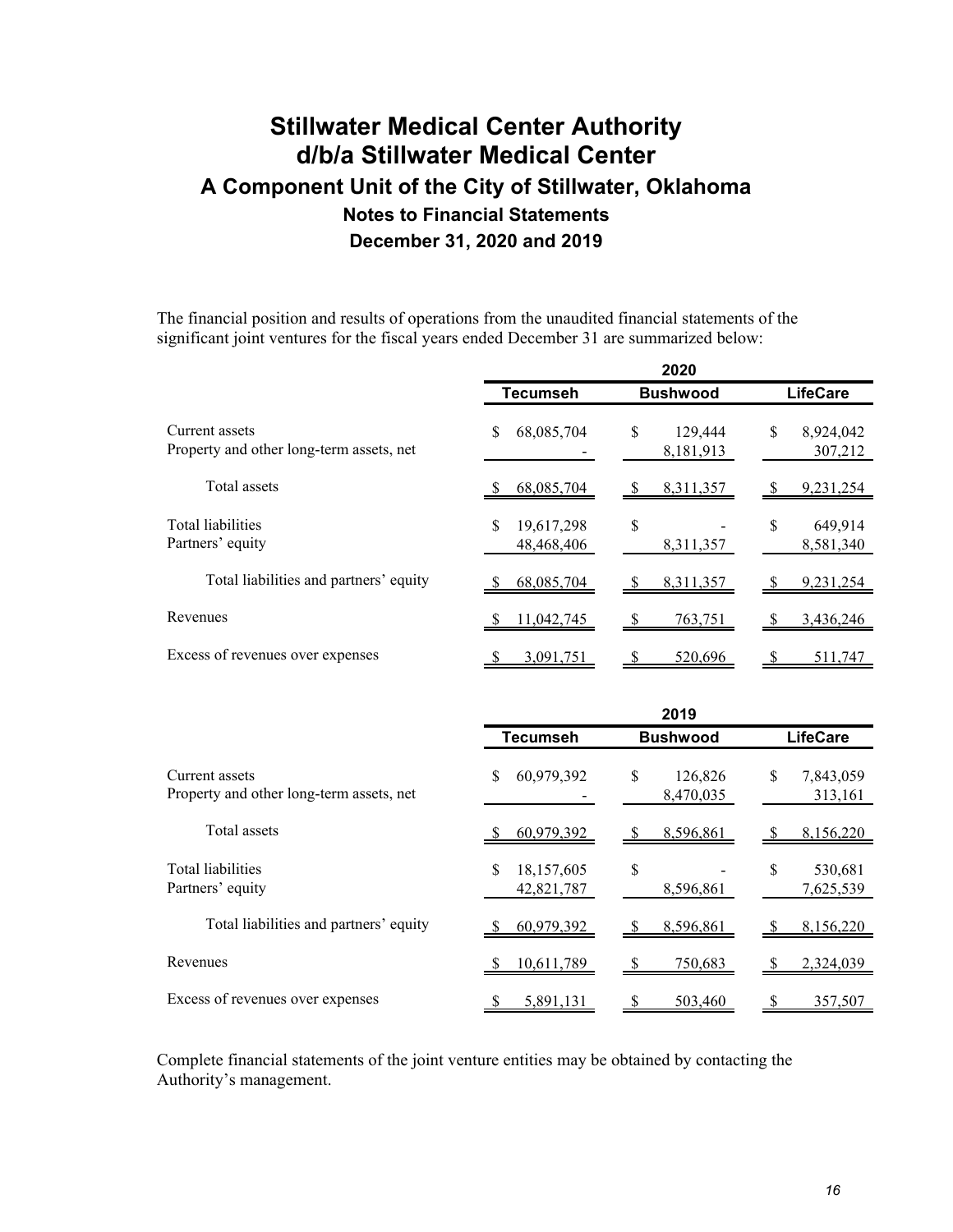The financial position and results of operations from the unaudited financial statements of the significant joint ventures for the fiscal years ended December 31 are summarized below:

|                                                            | 2020                           |                            |                            |  |
|------------------------------------------------------------|--------------------------------|----------------------------|----------------------------|--|
|                                                            | <b>Tecumseh</b>                | <b>Bushwood</b>            | <b>LifeCare</b>            |  |
| Current assets<br>Property and other long-term assets, net | 68,085,704<br>S                | \$<br>129,444<br>8,181,913 | \$<br>8,924,042<br>307,212 |  |
| Total assets                                               | 68,085,704                     | 8,311,357<br>- \$          | 9,231,254<br>- 56          |  |
| <b>Total liabilities</b><br>Partners' equity               | 19,617,298<br>S<br>48,468,406  | \$<br>8,311,357            | \$<br>649,914<br>8,581,340 |  |
| Total liabilities and partners' equity                     | 68,085,704                     | 8,311,357<br>\$            | 9,231,254                  |  |
| Revenues                                                   | 11,042,745                     | 763,751<br><sup>2</sup>    | 3,436,246<br>- 56          |  |
| Excess of revenues over expenses                           | 3,091,751                      | 520,696                    | -S<br>511,747              |  |
|                                                            |                                | 2019                       |                            |  |
|                                                            |                                |                            |                            |  |
|                                                            | <b>Tecumseh</b>                | <b>Bushwood</b>            | <b>LifeCare</b>            |  |
| Current assets<br>Property and other long-term assets, net | 60,979,392<br>S                | \$<br>126,826<br>8,470,035 | \$<br>7,843,059<br>313,161 |  |
| Total assets                                               | 60,979,392                     | 8,596,861<br>-S            | 8,156,220<br>\$            |  |
| <b>Total liabilities</b><br>Partners' equity               | 18,157,605<br>\$<br>42,821,787 | \$<br>8,596,861            | \$<br>530,681<br>7,625,539 |  |
| Total liabilities and partners' equity                     | 60,979,392                     | 8,596,861<br>-S            | 8,156,220<br>- \$          |  |
| Revenues                                                   | 10,611,789                     | 750,683                    | 2,324,039<br>S             |  |

Complete financial statements of the joint venture entities may be obtained by contacting the Authority's management.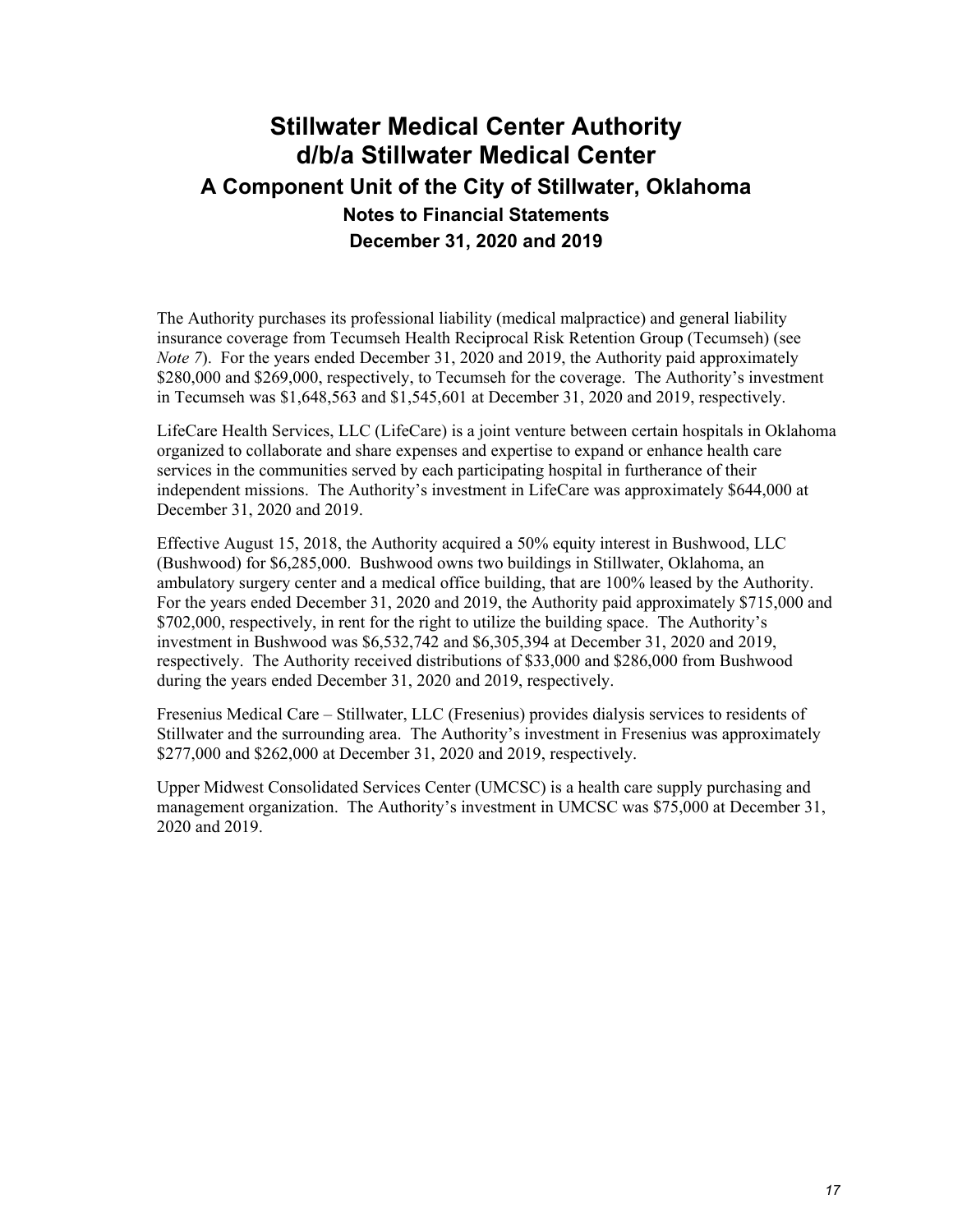The Authority purchases its professional liability (medical malpractice) and general liability insurance coverage from Tecumseh Health Reciprocal Risk Retention Group (Tecumseh) (see *Note 7*). For the years ended December 31, 2020 and 2019, the Authority paid approximately \$280,000 and \$269,000, respectively, to Tecumseh for the coverage. The Authority's investment in Tecumseh was \$1,648,563 and \$1,545,601 at December 31, 2020 and 2019, respectively.

LifeCare Health Services, LLC (LifeCare) is a joint venture between certain hospitals in Oklahoma organized to collaborate and share expenses and expertise to expand or enhance health care services in the communities served by each participating hospital in furtherance of their independent missions. The Authority's investment in LifeCare was approximately \$644,000 at December 31, 2020 and 2019.

Effective August 15, 2018, the Authority acquired a 50% equity interest in Bushwood, LLC (Bushwood) for \$6,285,000. Bushwood owns two buildings in Stillwater, Oklahoma, an ambulatory surgery center and a medical office building, that are 100% leased by the Authority. For the years ended December 31, 2020 and 2019, the Authority paid approximately \$715,000 and \$702,000, respectively, in rent for the right to utilize the building space. The Authority's investment in Bushwood was \$6,532,742 and \$6,305,394 at December 31, 2020 and 2019, respectively. The Authority received distributions of \$33,000 and \$286,000 from Bushwood during the years ended December 31, 2020 and 2019, respectively.

Fresenius Medical Care – Stillwater, LLC (Fresenius) provides dialysis services to residents of Stillwater and the surrounding area. The Authority's investment in Fresenius was approximately \$277,000 and \$262,000 at December 31, 2020 and 2019, respectively.

Upper Midwest Consolidated Services Center (UMCSC) is a health care supply purchasing and management organization. The Authority's investment in UMCSC was \$75,000 at December 31, 2020 and 2019.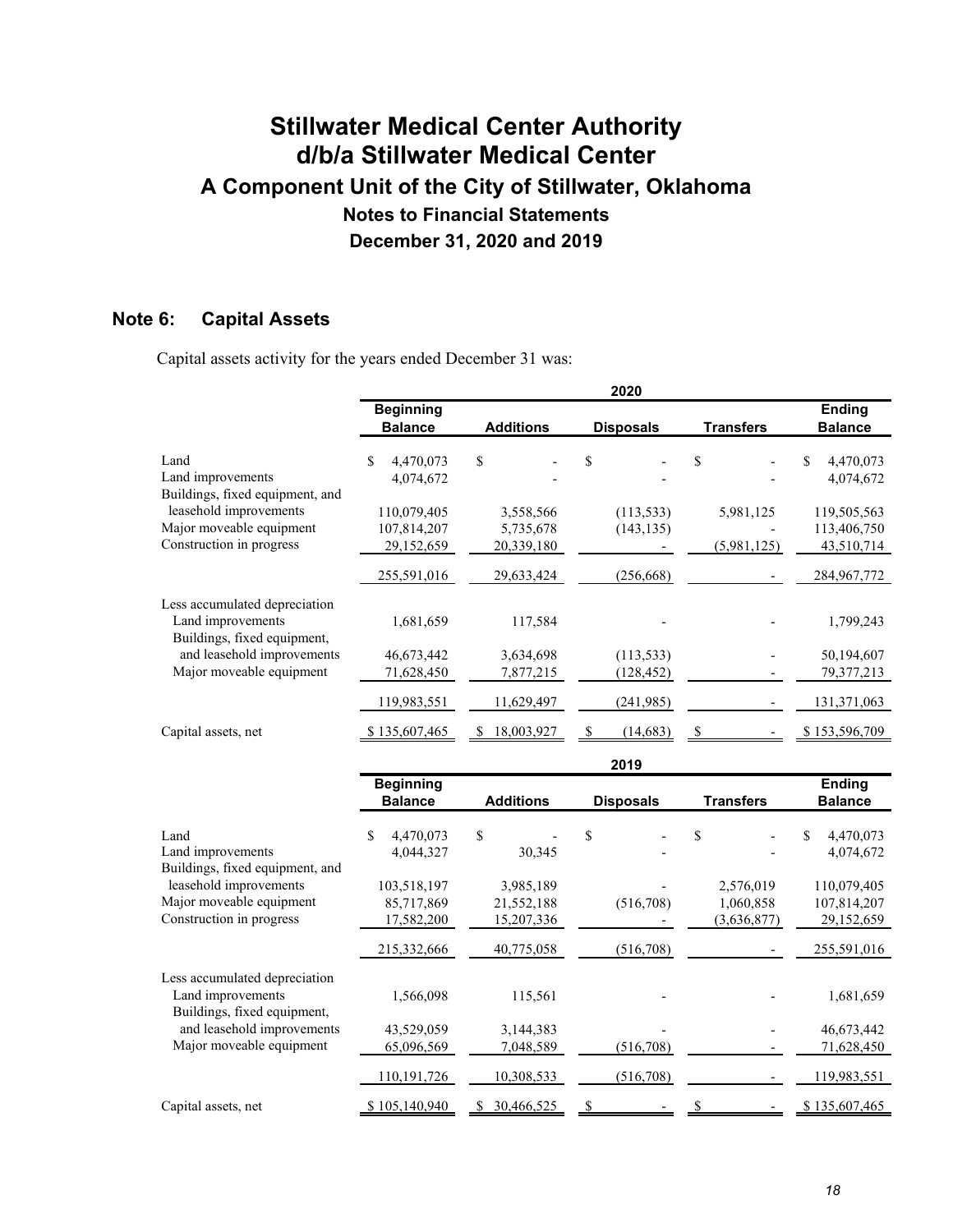### **Note 6: Capital Assets**

Capital assets activity for the years ended December 31 was:

|                                                                                   |                                         |                                       | 2020             |                                       |                                          |
|-----------------------------------------------------------------------------------|-----------------------------------------|---------------------------------------|------------------|---------------------------------------|------------------------------------------|
|                                                                                   | <b>Beginning</b><br><b>Balance</b>      | <b>Additions</b>                      | <b>Disposals</b> | <b>Transfers</b>                      | <b>Ending</b><br><b>Balance</b>          |
| Land<br>Land improvements<br>Buildings, fixed equipment, and                      | \$<br>4,470,073<br>4,074,672            | \$                                    | \$               | \$                                    | \$<br>4,470,073<br>4,074,672             |
| leasehold improvements                                                            | 110,079,405                             | 3,558,566                             | (113, 533)       | 5,981,125                             | 119,505,563                              |
| Major moveable equipment<br>Construction in progress                              | 107,814,207<br>29,152,659               | 5,735,678<br>20,339,180               | (143, 135)       | (5,981,125)                           | 113,406,750<br>43,510,714                |
|                                                                                   | 255,591,016                             | 29,633,424                            | (256, 668)       |                                       | 284,967,772                              |
| Less accumulated depreciation<br>Land improvements<br>Buildings, fixed equipment, | 1,681,659                               | 117,584                               |                  |                                       | 1,799,243                                |
| and leasehold improvements                                                        | 46,673,442                              | 3,634,698                             | (113, 533)       |                                       | 50,194,607                               |
| Major moveable equipment                                                          | 71,628,450                              | 7,877,215                             | (128, 452)       |                                       | 79,377,213                               |
|                                                                                   | 119,983,551                             | 11,629,497                            | (241, 985)       |                                       | 131,371,063                              |
| Capital assets, net                                                               | \$135,607,465                           | 18,003,927                            | (14, 683)<br>S   | S                                     | \$153,596,709                            |
|                                                                                   |                                         |                                       | 2019             |                                       |                                          |
|                                                                                   | <b>Beginning</b><br><b>Balance</b>      | <b>Additions</b>                      | <b>Disposals</b> | <b>Transfers</b>                      | <b>Ending</b><br><b>Balance</b>          |
| Land<br>Land improvements<br>Buildings, fixed equipment, and                      | 4,470,073<br>\$<br>4,044,327            | \$<br>30,345                          | \$               | \$                                    | \$<br>4,470,073<br>4,074,672             |
| leasehold improvements<br>Major moveable equipment<br>Construction in progress    | 103,518,197<br>85,717,869<br>17,582,200 | 3,985,189<br>21,552,188<br>15,207,336 | (516, 708)       | 2,576,019<br>1,060,858<br>(3,636,877) | 110,079,405<br>107,814,207<br>29,152,659 |
|                                                                                   | 215,332,666                             | 40,775,058                            | (516,708)        |                                       | 255,591,016                              |
| Less accumulated depreciation<br>Land improvements<br>Buildings, fixed equipment, | 1,566,098                               | 115,561                               |                  |                                       | 1,681,659                                |
| and leasehold improvements<br>Major moveable equipment                            | 43,529,059<br>65,096,569                | 3,144,383<br>7,048,589                | (516,708)        |                                       | 46,673,442<br>71,628,450                 |

110,191,726 10,308,533 (516,708) - 119,983,551 Capital assets, net  $$105,140,940 \quad $30,466,525 \quad $ $ - \quad $ $ \quad $ 5135,607,465$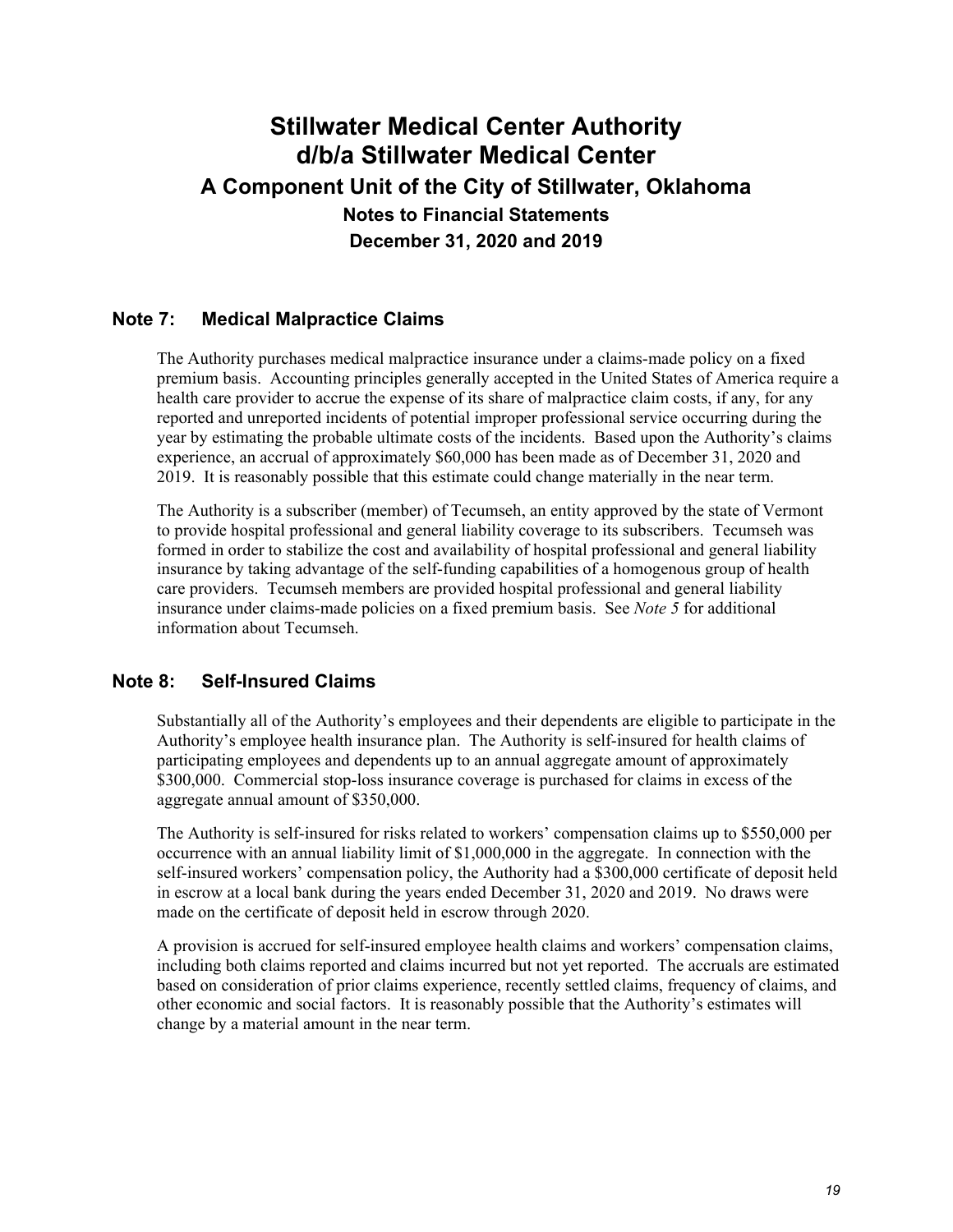### **Note 7: Medical Malpractice Claims**

The Authority purchases medical malpractice insurance under a claims-made policy on a fixed premium basis. Accounting principles generally accepted in the United States of America require a health care provider to accrue the expense of its share of malpractice claim costs, if any, for any reported and unreported incidents of potential improper professional service occurring during the year by estimating the probable ultimate costs of the incidents. Based upon the Authority's claims experience, an accrual of approximately \$60,000 has been made as of December 31, 2020 and 2019. It is reasonably possible that this estimate could change materially in the near term.

The Authority is a subscriber (member) of Tecumseh, an entity approved by the state of Vermont to provide hospital professional and general liability coverage to its subscribers. Tecumseh was formed in order to stabilize the cost and availability of hospital professional and general liability insurance by taking advantage of the self-funding capabilities of a homogenous group of health care providers. Tecumseh members are provided hospital professional and general liability insurance under claims-made policies on a fixed premium basis. See *Note 5* for additional information about Tecumseh.

### **Note 8: Self-Insured Claims**

Substantially all of the Authority's employees and their dependents are eligible to participate in the Authority's employee health insurance plan. The Authority is self-insured for health claims of participating employees and dependents up to an annual aggregate amount of approximately \$300,000. Commercial stop-loss insurance coverage is purchased for claims in excess of the aggregate annual amount of \$350,000.

The Authority is self-insured for risks related to workers' compensation claims up to \$550,000 per occurrence with an annual liability limit of \$1,000,000 in the aggregate. In connection with the self-insured workers' compensation policy, the Authority had a \$300,000 certificate of deposit held in escrow at a local bank during the years ended December 31, 2020 and 2019. No draws were made on the certificate of deposit held in escrow through 2020.

A provision is accrued for self-insured employee health claims and workers' compensation claims, including both claims reported and claims incurred but not yet reported. The accruals are estimated based on consideration of prior claims experience, recently settled claims, frequency of claims, and other economic and social factors. It is reasonably possible that the Authority's estimates will change by a material amount in the near term.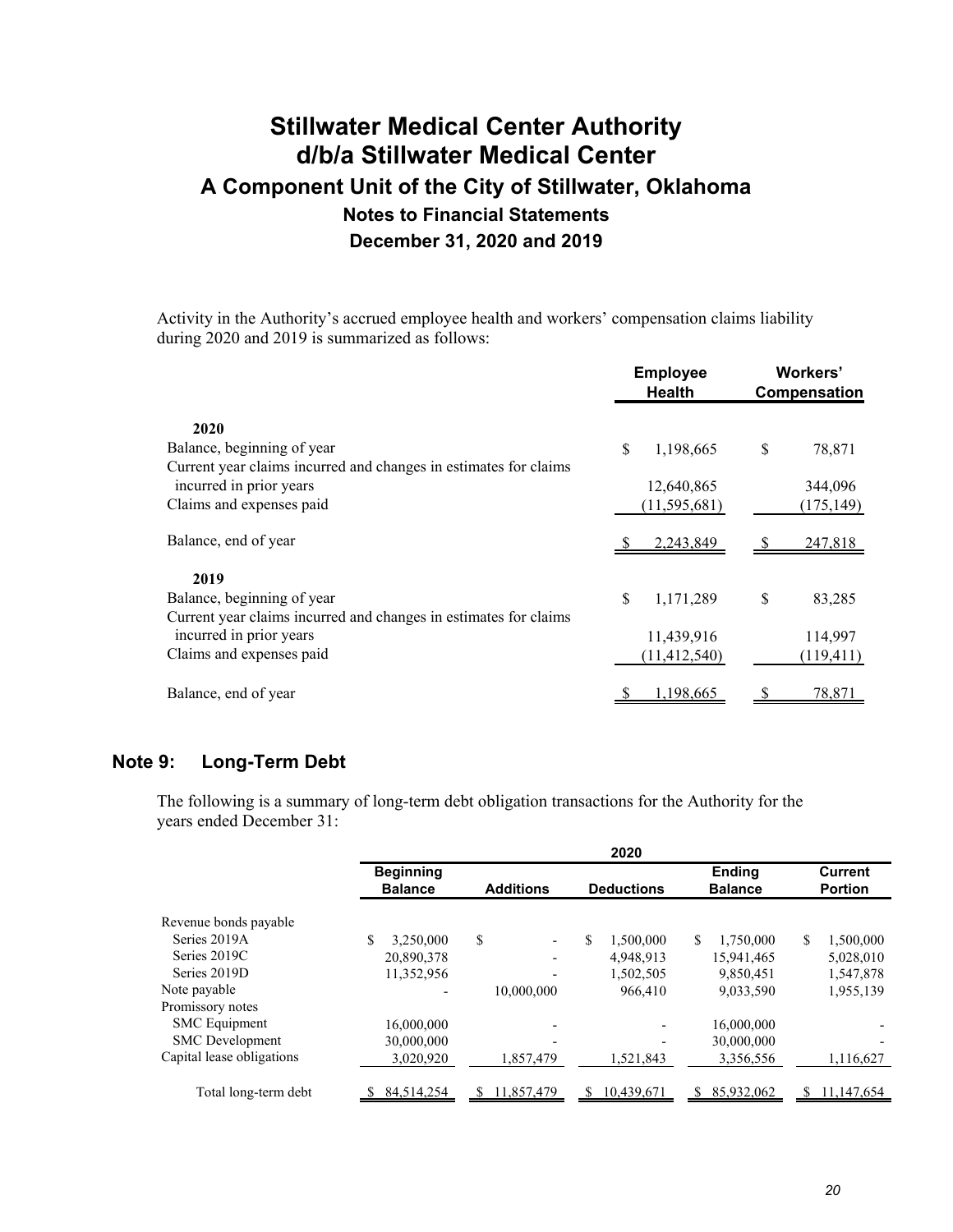Activity in the Authority's accrued employee health and workers' compensation claims liability during 2020 and 2019 is summarized as follows:

| <b>Employee</b><br><b>Health</b> |                | Workers'<br>Compensation |            |
|----------------------------------|----------------|--------------------------|------------|
|                                  |                |                          |            |
| \$                               | 1,198,665      | \$                       | 78,871     |
|                                  |                |                          |            |
|                                  | 12,640,865     |                          | 344,096    |
|                                  | (11, 595, 681) |                          | (175, 149) |
|                                  | 2,243,849      |                          | 247,818    |
|                                  |                |                          |            |
| \$                               | 1,171,289      | \$                       | 83,285     |
|                                  |                |                          |            |
|                                  | 11,439,916     |                          | 114,997    |
|                                  | (11, 412, 540) |                          | (119, 411) |
|                                  | 1,198,665      |                          | 78,871     |
|                                  |                |                          |            |

### **Note 9: Long-Term Debt**

The following is a summary of long-term debt obligation transactions for the Authority for the years ended December 31:

|                           |                  |                                | 2020              |                            |                  |
|---------------------------|------------------|--------------------------------|-------------------|----------------------------|------------------|
|                           | <b>Beginning</b> |                                |                   | <b>Ending</b>              | <b>Current</b>   |
|                           | <b>Balance</b>   | <b>Additions</b>               | <b>Deductions</b> | <b>Balance</b>             | <b>Portion</b>   |
| Revenue bonds payable     |                  |                                |                   |                            |                  |
| Series 2019A              | 3.250.000        | \$<br>$\overline{\phantom{a}}$ | \$<br>1,500,000   | <sup>\$</sup><br>1,750,000 | \$<br>1,500,000  |
| Series 2019C              | 20,890,378       | $\overline{\phantom{a}}$       | 4,948,913         | 15,941,465                 | 5,028,010        |
| Series 2019D              | 11,352,956       |                                | 1,502,505         | 9,850,451                  | 1,547,878        |
| Note payable              |                  | 10,000,000                     | 966,410           | 9,033,590                  | 1,955,139        |
| Promissory notes          |                  |                                |                   |                            |                  |
| <b>SMC</b> Equipment      | 16,000,000       |                                |                   | 16,000,000                 |                  |
| <b>SMC</b> Development    | 30,000,000       |                                |                   | 30,000,000                 |                  |
| Capital lease obligations | 3,020,920        | 1,857,479                      | 1,521,843         | 3,356,556                  | 1,116,627        |
| Total long-term debt      | 84,514,254       | 11,857,479<br>S                | 10,439,671<br>S.  | 85,932,062<br>\$.          | 11,147,654<br>S. |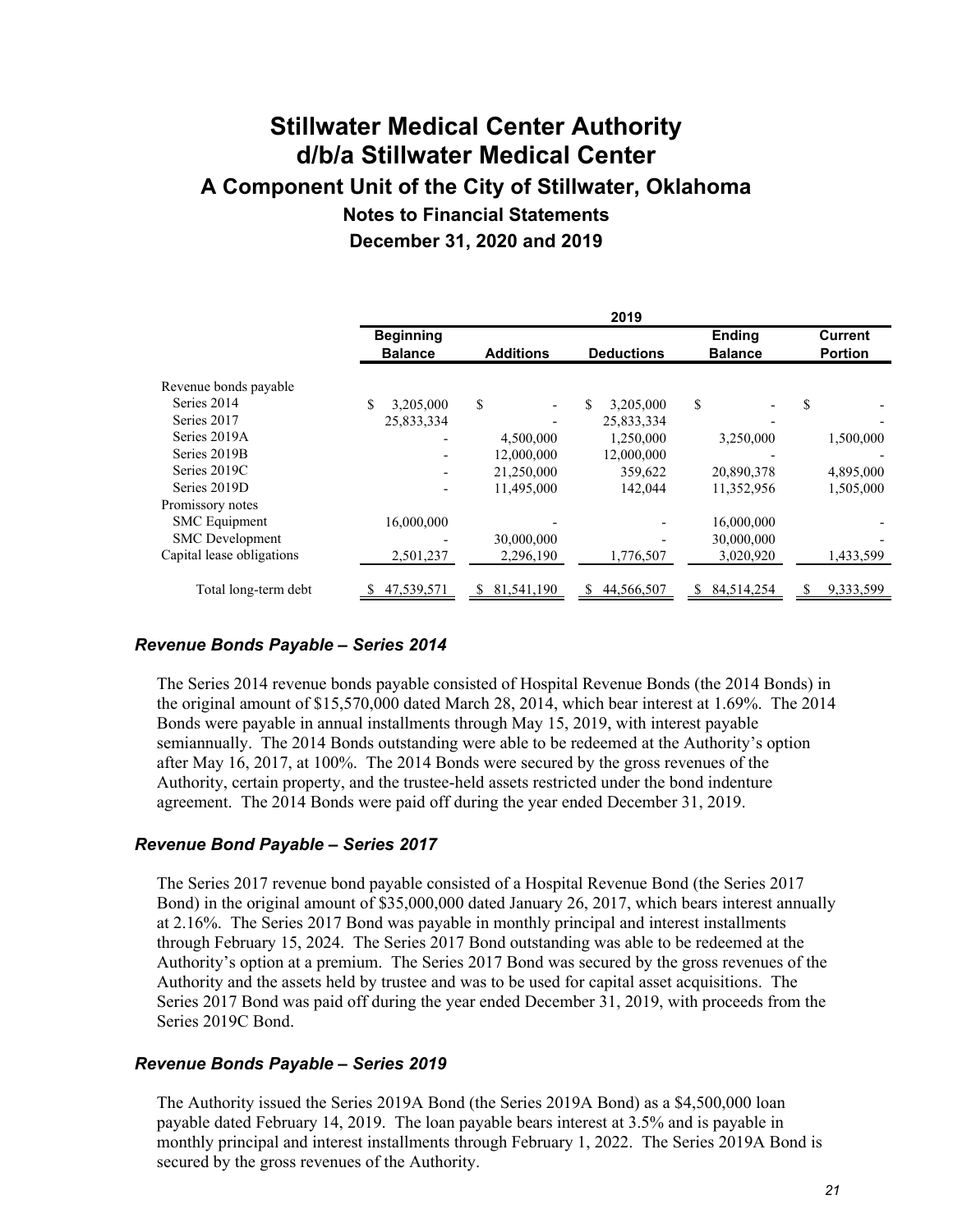|                           |                  |                  | 2019              |                 |                |
|---------------------------|------------------|------------------|-------------------|-----------------|----------------|
|                           | <b>Beginning</b> |                  |                   | <b>Ending</b>   | <b>Current</b> |
|                           | <b>Balance</b>   | <b>Additions</b> | <b>Deductions</b> | <b>Balance</b>  | <b>Portion</b> |
| Revenue bonds payable     |                  |                  |                   |                 |                |
| Series 2014               | 3,205,000        | \$               | 3,205,000         | \$              | \$             |
| Series 2017               | 25,833,334       |                  | 25,833,334        |                 |                |
| Series 2019A              |                  | 4,500,000        | 1,250,000         | 3,250,000       | 1,500,000      |
| Series 2019B              |                  | 12,000,000       | 12,000,000        |                 |                |
| Series 2019C              |                  | 21,250,000       | 359,622           | 20,890,378      | 4,895,000      |
| Series 2019D              |                  | 11,495,000       | 142,044           | 11,352,956      | 1,505,000      |
| Promissory notes          |                  |                  |                   |                 |                |
| <b>SMC</b> Equipment      | 16,000,000       |                  |                   | 16,000,000      |                |
| <b>SMC</b> Development    |                  | 30,000,000       |                   | 30,000,000      |                |
| Capital lease obligations | 2,501,237        | 2,296,190        | 1,776,507         | 3,020,920       | 1,433,599      |
| Total long-term debt      | 47,539,571       | 81,541,190<br>S. | 44,566,507<br>S.  | 84,514,254<br>S | 9,333,599      |

### *Revenue Bonds Payable – Series 2014*

The Series 2014 revenue bonds payable consisted of Hospital Revenue Bonds (the 2014 Bonds) in the original amount of \$15,570,000 dated March 28, 2014, which bear interest at 1.69%. The 2014 Bonds were payable in annual installments through May 15, 2019, with interest payable semiannually. The 2014 Bonds outstanding were able to be redeemed at the Authority's option after May 16, 2017, at 100%. The 2014 Bonds were secured by the gross revenues of the Authority, certain property, and the trustee-held assets restricted under the bond indenture agreement. The 2014 Bonds were paid off during the year ended December 31, 2019.

#### *Revenue Bond Payable – Series 2017*

The Series 2017 revenue bond payable consisted of a Hospital Revenue Bond (the Series 2017 Bond) in the original amount of \$35,000,000 dated January 26, 2017, which bears interest annually at 2.16%. The Series 2017 Bond was payable in monthly principal and interest installments through February 15, 2024. The Series 2017 Bond outstanding was able to be redeemed at the Authority's option at a premium. The Series 2017 Bond was secured by the gross revenues of the Authority and the assets held by trustee and was to be used for capital asset acquisitions. The Series 2017 Bond was paid off during the year ended December 31, 2019, with proceeds from the Series 2019C Bond.

#### *Revenue Bonds Payable – Series 2019*

The Authority issued the Series 2019A Bond (the Series 2019A Bond) as a \$4,500,000 loan payable dated February 14, 2019. The loan payable bears interest at 3.5% and is payable in monthly principal and interest installments through February 1, 2022. The Series 2019A Bond is secured by the gross revenues of the Authority.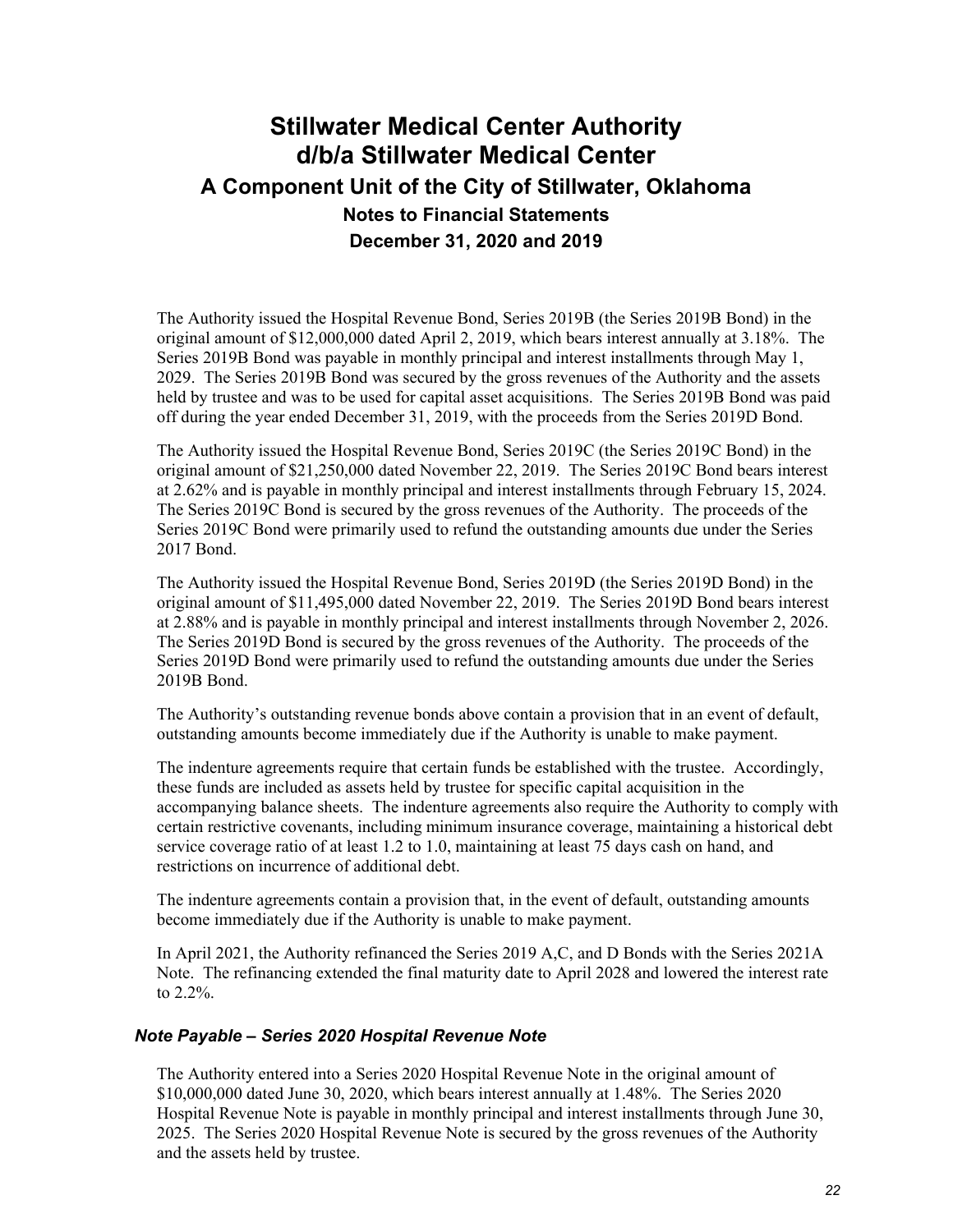The Authority issued the Hospital Revenue Bond, Series 2019B (the Series 2019B Bond) in the original amount of \$12,000,000 dated April 2, 2019, which bears interest annually at 3.18%. The Series 2019B Bond was payable in monthly principal and interest installments through May 1, 2029. The Series 2019B Bond was secured by the gross revenues of the Authority and the assets held by trustee and was to be used for capital asset acquisitions. The Series 2019B Bond was paid off during the year ended December 31, 2019, with the proceeds from the Series 2019D Bond.

The Authority issued the Hospital Revenue Bond, Series 2019C (the Series 2019C Bond) in the original amount of \$21,250,000 dated November 22, 2019. The Series 2019C Bond bears interest at 2.62% and is payable in monthly principal and interest installments through February 15, 2024. The Series 2019C Bond is secured by the gross revenues of the Authority. The proceeds of the Series 2019C Bond were primarily used to refund the outstanding amounts due under the Series 2017 Bond.

The Authority issued the Hospital Revenue Bond, Series 2019D (the Series 2019D Bond) in the original amount of \$11,495,000 dated November 22, 2019. The Series 2019D Bond bears interest at 2.88% and is payable in monthly principal and interest installments through November 2, 2026. The Series 2019D Bond is secured by the gross revenues of the Authority. The proceeds of the Series 2019D Bond were primarily used to refund the outstanding amounts due under the Series 2019B Bond.

The Authority's outstanding revenue bonds above contain a provision that in an event of default, outstanding amounts become immediately due if the Authority is unable to make payment.

The indenture agreements require that certain funds be established with the trustee. Accordingly, these funds are included as assets held by trustee for specific capital acquisition in the accompanying balance sheets. The indenture agreements also require the Authority to comply with certain restrictive covenants, including minimum insurance coverage, maintaining a historical debt service coverage ratio of at least 1.2 to 1.0, maintaining at least 75 days cash on hand, and restrictions on incurrence of additional debt.

The indenture agreements contain a provision that, in the event of default, outstanding amounts become immediately due if the Authority is unable to make payment.

In April 2021, the Authority refinanced the Series 2019 A,C, and D Bonds with the Series 2021A Note. The refinancing extended the final maturity date to April 2028 and lowered the interest rate to 2.2%.

#### *Note Payable – Series 2020 Hospital Revenue Note*

The Authority entered into a Series 2020 Hospital Revenue Note in the original amount of \$10,000,000 dated June 30, 2020, which bears interest annually at 1.48%. The Series 2020 Hospital Revenue Note is payable in monthly principal and interest installments through June 30, 2025. The Series 2020 Hospital Revenue Note is secured by the gross revenues of the Authority and the assets held by trustee.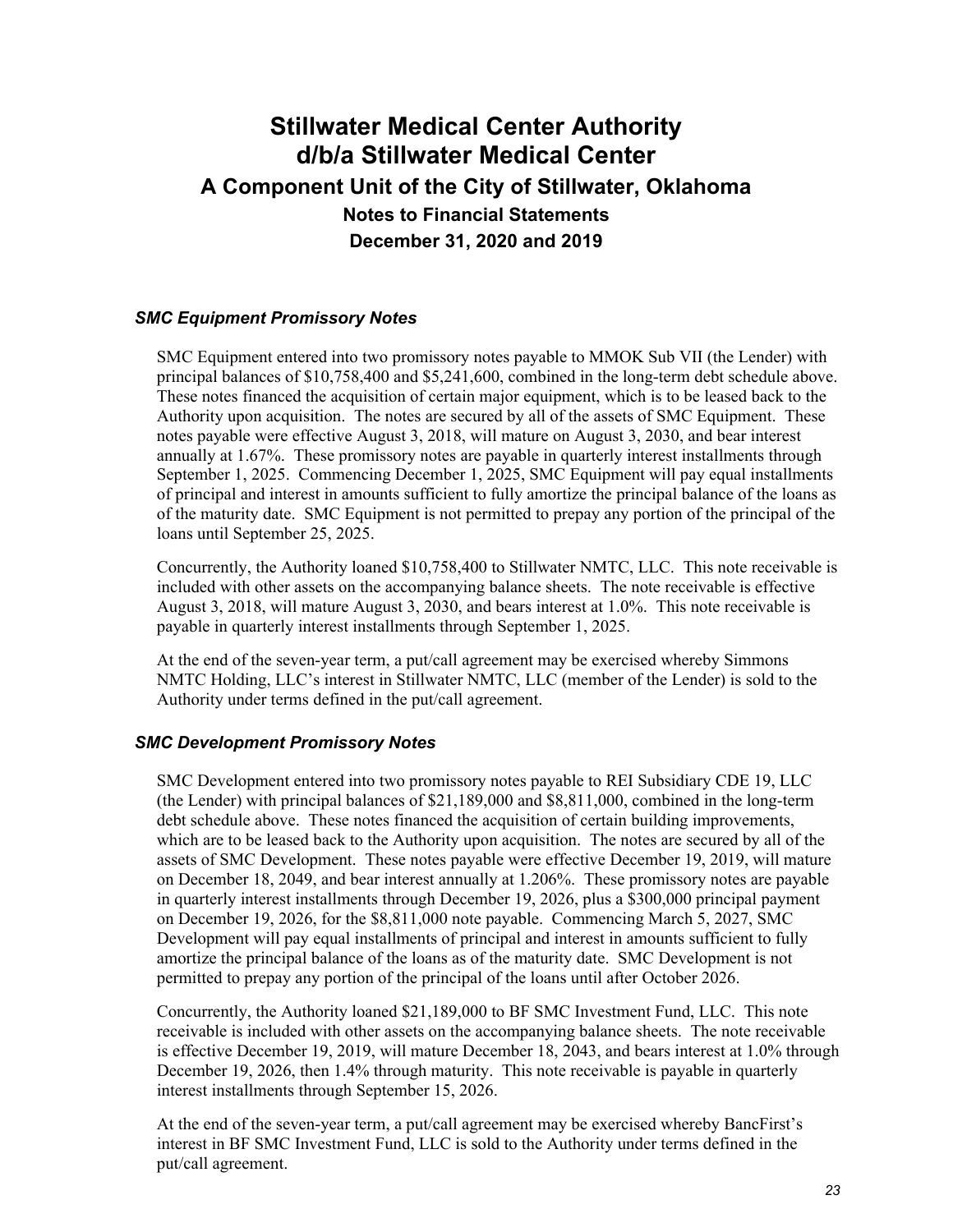### *SMC Equipment Promissory Notes*

SMC Equipment entered into two promissory notes payable to MMOK Sub VII (the Lender) with principal balances of \$10,758,400 and \$5,241,600, combined in the long-term debt schedule above. These notes financed the acquisition of certain major equipment, which is to be leased back to the Authority upon acquisition. The notes are secured by all of the assets of SMC Equipment. These notes payable were effective August 3, 2018, will mature on August 3, 2030, and bear interest annually at 1.67%. These promissory notes are payable in quarterly interest installments through September 1, 2025. Commencing December 1, 2025, SMC Equipment will pay equal installments of principal and interest in amounts sufficient to fully amortize the principal balance of the loans as of the maturity date. SMC Equipment is not permitted to prepay any portion of the principal of the loans until September 25, 2025.

Concurrently, the Authority loaned \$10,758,400 to Stillwater NMTC, LLC. This note receivable is included with other assets on the accompanying balance sheets. The note receivable is effective August 3, 2018, will mature August 3, 2030, and bears interest at 1.0%. This note receivable is payable in quarterly interest installments through September 1, 2025.

At the end of the seven-year term, a put/call agreement may be exercised whereby Simmons NMTC Holding, LLC's interest in Stillwater NMTC, LLC (member of the Lender) is sold to the Authority under terms defined in the put/call agreement.

#### *SMC Development Promissory Notes*

SMC Development entered into two promissory notes payable to REI Subsidiary CDE 19, LLC (the Lender) with principal balances of \$21,189,000 and \$8,811,000, combined in the long-term debt schedule above. These notes financed the acquisition of certain building improvements, which are to be leased back to the Authority upon acquisition. The notes are secured by all of the assets of SMC Development. These notes payable were effective December 19, 2019, will mature on December 18, 2049, and bear interest annually at 1.206%. These promissory notes are payable in quarterly interest installments through December 19, 2026, plus a \$300,000 principal payment on December 19, 2026, for the \$8,811,000 note payable. Commencing March 5, 2027, SMC Development will pay equal installments of principal and interest in amounts sufficient to fully amortize the principal balance of the loans as of the maturity date. SMC Development is not permitted to prepay any portion of the principal of the loans until after October 2026.

Concurrently, the Authority loaned \$21,189,000 to BF SMC Investment Fund, LLC. This note receivable is included with other assets on the accompanying balance sheets. The note receivable is effective December 19, 2019, will mature December 18, 2043, and bears interest at 1.0% through December 19, 2026, then 1.4% through maturity. This note receivable is payable in quarterly interest installments through September 15, 2026.

At the end of the seven-year term, a put/call agreement may be exercised whereby BancFirst's interest in BF SMC Investment Fund, LLC is sold to the Authority under terms defined in the put/call agreement.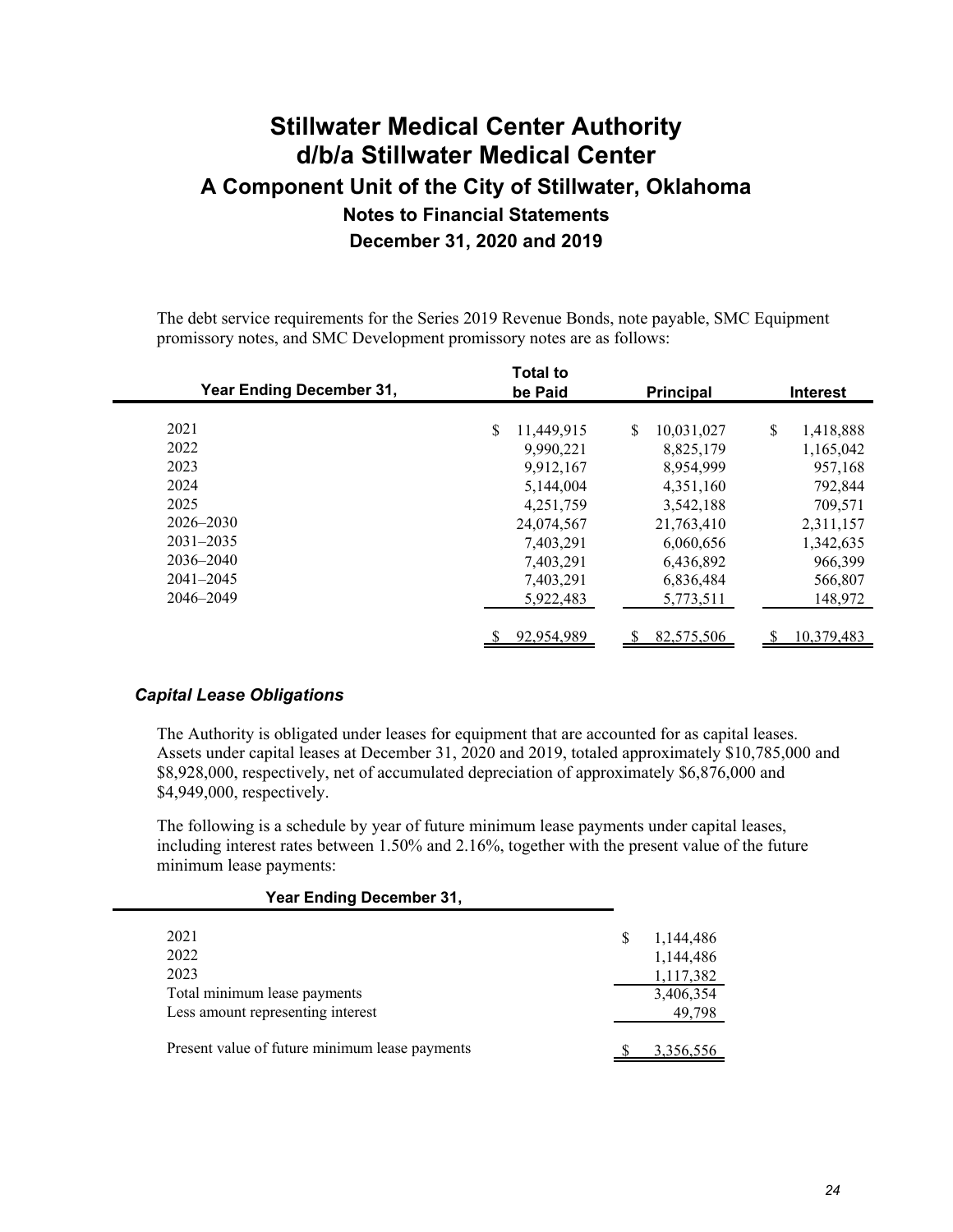The debt service requirements for the Series 2019 Revenue Bonds, note payable, SMC Equipment promissory notes, and SMC Development promissory notes are as follows:

| <b>Year Ending December 31,</b> | <b>Total to</b><br>be Paid | <b>Principal</b> | <b>Interest</b> |
|---------------------------------|----------------------------|------------------|-----------------|
| 2021                            | \$<br>11.449.915           | \$               | \$              |
| 2022                            |                            | 10,031,027       | 1,418,888       |
| 2023                            | 9,990,221                  | 8,825,179        | 1,165,042       |
|                                 | 9,912,167                  | 8,954,999        | 957,168         |
| 2024                            | 5,144,004                  | 4,351,160        | 792,844         |
| 2025                            | 4,251,759                  | 3,542,188        | 709,571         |
| 2026–2030                       | 24,074,567                 | 21,763,410       | 2,311,157       |
| $2031 - 2035$                   | 7,403,291                  | 6,060,656        | 1,342,635       |
| $2036 - 2040$                   | 7,403,291                  | 6,436,892        | 966,399         |
| $2041 - 2045$                   | 7,403,291                  | 6,836,484        | 566,807         |
| 2046-2049                       | 5,922,483                  | 5,773,511        | 148,972         |
|                                 | 92,954,989                 | 82,575,506<br>\$ | 10,379,483<br>S |

#### *Capital Lease Obligations*

The Authority is obligated under leases for equipment that are accounted for as capital leases. Assets under capital leases at December 31, 2020 and 2019, totaled approximately \$10,785,000 and \$8,928,000, respectively, net of accumulated depreciation of approximately \$6,876,000 and \$4,949,000, respectively.

The following is a schedule by year of future minimum lease payments under capital leases, including interest rates between 1.50% and 2.16%, together with the present value of the future minimum lease payments:

#### **Year Ending December 31,**

| 2021<br>2022<br>2023<br>Total minimum lease payments<br>Less amount representing interest | 1,144,486<br>1,144,486<br>1,117,382<br>3,406,354<br>49,798 |
|-------------------------------------------------------------------------------------------|------------------------------------------------------------|
| Present value of future minimum lease payments                                            | 3,356,556                                                  |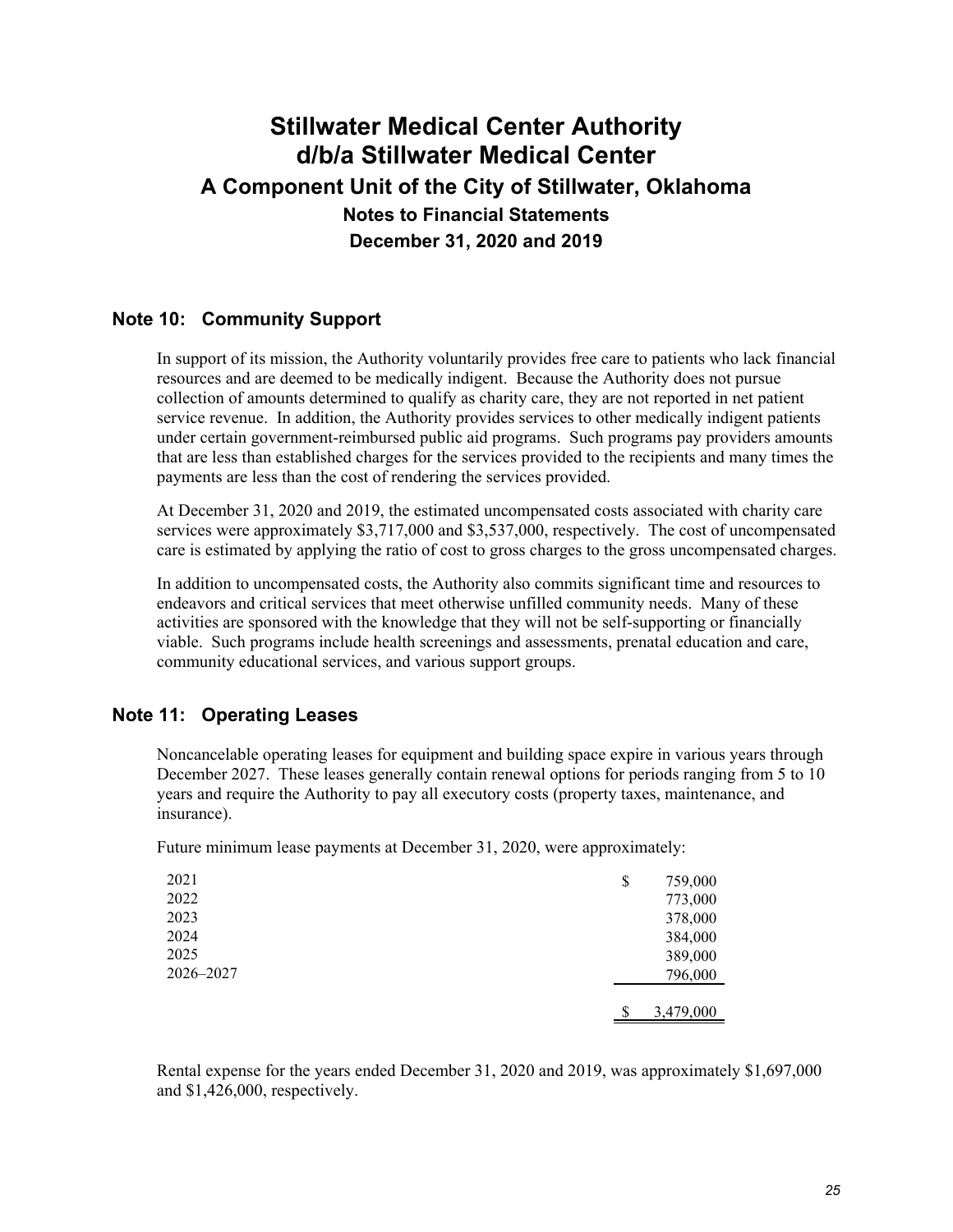### **Note 10: Community Support**

In support of its mission, the Authority voluntarily provides free care to patients who lack financial resources and are deemed to be medically indigent. Because the Authority does not pursue collection of amounts determined to qualify as charity care, they are not reported in net patient service revenue. In addition, the Authority provides services to other medically indigent patients under certain government-reimbursed public aid programs. Such programs pay providers amounts that are less than established charges for the services provided to the recipients and many times the payments are less than the cost of rendering the services provided.

At December 31, 2020 and 2019, the estimated uncompensated costs associated with charity care services were approximately \$3,717,000 and \$3,537,000, respectively. The cost of uncompensated care is estimated by applying the ratio of cost to gross charges to the gross uncompensated charges.

In addition to uncompensated costs, the Authority also commits significant time and resources to endeavors and critical services that meet otherwise unfilled community needs. Many of these activities are sponsored with the knowledge that they will not be self-supporting or financially viable. Such programs include health screenings and assessments, prenatal education and care, community educational services, and various support groups.

### **Note 11: Operating Leases**

Noncancelable operating leases for equipment and building space expire in various years through December 2027. These leases generally contain renewal options for periods ranging from 5 to 10 years and require the Authority to pay all executory costs (property taxes, maintenance, and insurance).

Future minimum lease payments at December 31, 2020, were approximately:

| 2021      | \$<br>759,000 |
|-----------|---------------|
| 2022      | 773,000       |
| 2023      | 378,000       |
| 2024      | 384,000       |
| 2025      | 389,000       |
| 2026-2027 | 796,000       |
|           |               |
|           | 3,479,000     |

Rental expense for the years ended December 31, 2020 and 2019, was approximately \$1,697,000 and \$1,426,000, respectively.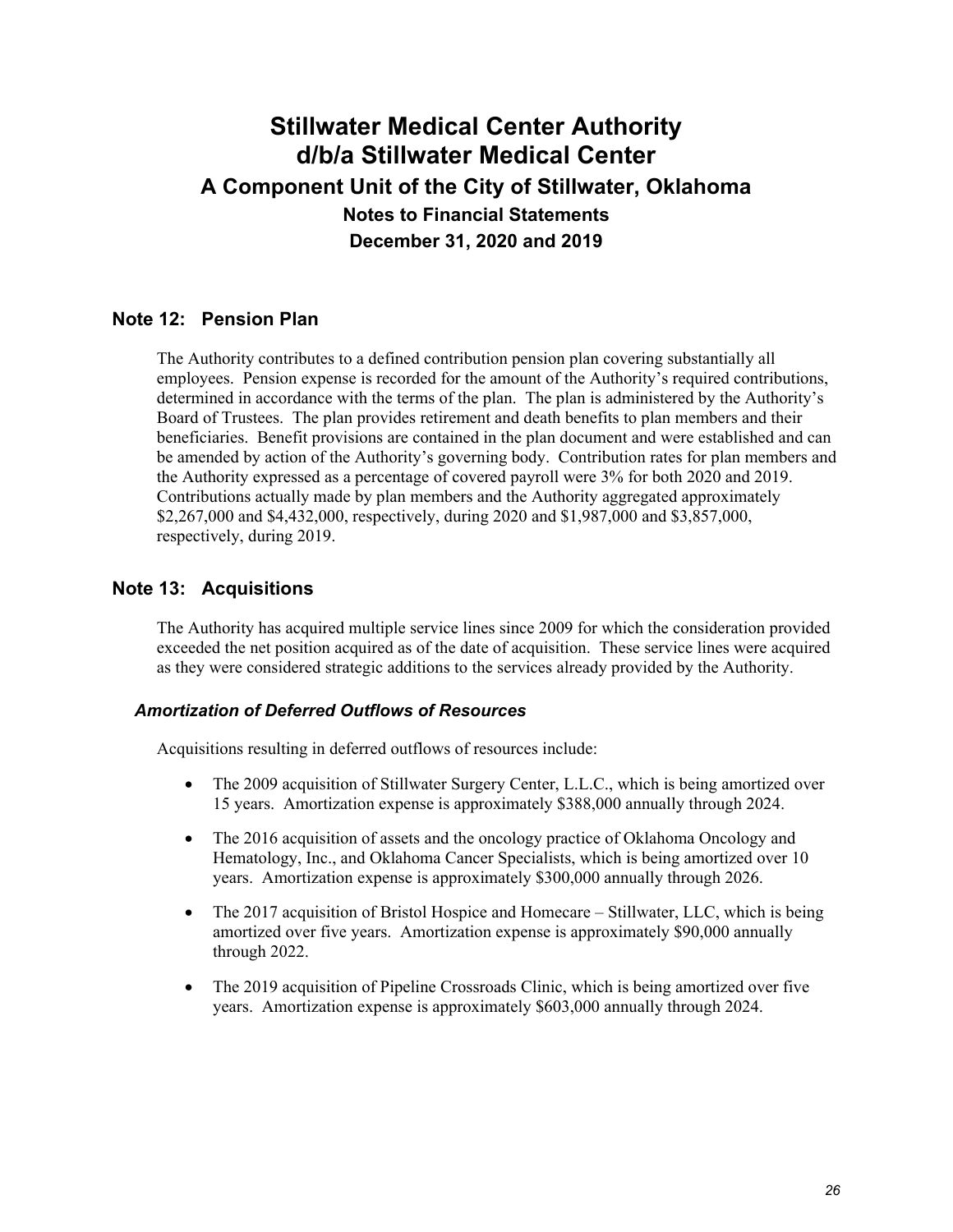### **Note 12: Pension Plan**

The Authority contributes to a defined contribution pension plan covering substantially all employees. Pension expense is recorded for the amount of the Authority's required contributions, determined in accordance with the terms of the plan. The plan is administered by the Authority's Board of Trustees. The plan provides retirement and death benefits to plan members and their beneficiaries. Benefit provisions are contained in the plan document and were established and can be amended by action of the Authority's governing body. Contribution rates for plan members and the Authority expressed as a percentage of covered payroll were 3% for both 2020 and 2019. Contributions actually made by plan members and the Authority aggregated approximately \$2,267,000 and \$4,432,000, respectively, during 2020 and \$1,987,000 and \$3,857,000, respectively, during 2019.

### **Note 13: Acquisitions**

The Authority has acquired multiple service lines since 2009 for which the consideration provided exceeded the net position acquired as of the date of acquisition. These service lines were acquired as they were considered strategic additions to the services already provided by the Authority.

### *Amortization of Deferred Outflows of Resources*

Acquisitions resulting in deferred outflows of resources include:

- The 2009 acquisition of Stillwater Surgery Center, L.L.C., which is being amortized over 15 years. Amortization expense is approximately \$388,000 annually through 2024.
- The 2016 acquisition of assets and the oncology practice of Oklahoma Oncology and Hematology, Inc., and Oklahoma Cancer Specialists, which is being amortized over 10 years. Amortization expense is approximately \$300,000 annually through 2026.
- The 2017 acquisition of Bristol Hospice and Homecare Stillwater, LLC, which is being amortized over five years. Amortization expense is approximately \$90,000 annually through 2022.
- The 2019 acquisition of Pipeline Crossroads Clinic, which is being amortized over five years. Amortization expense is approximately \$603,000 annually through 2024.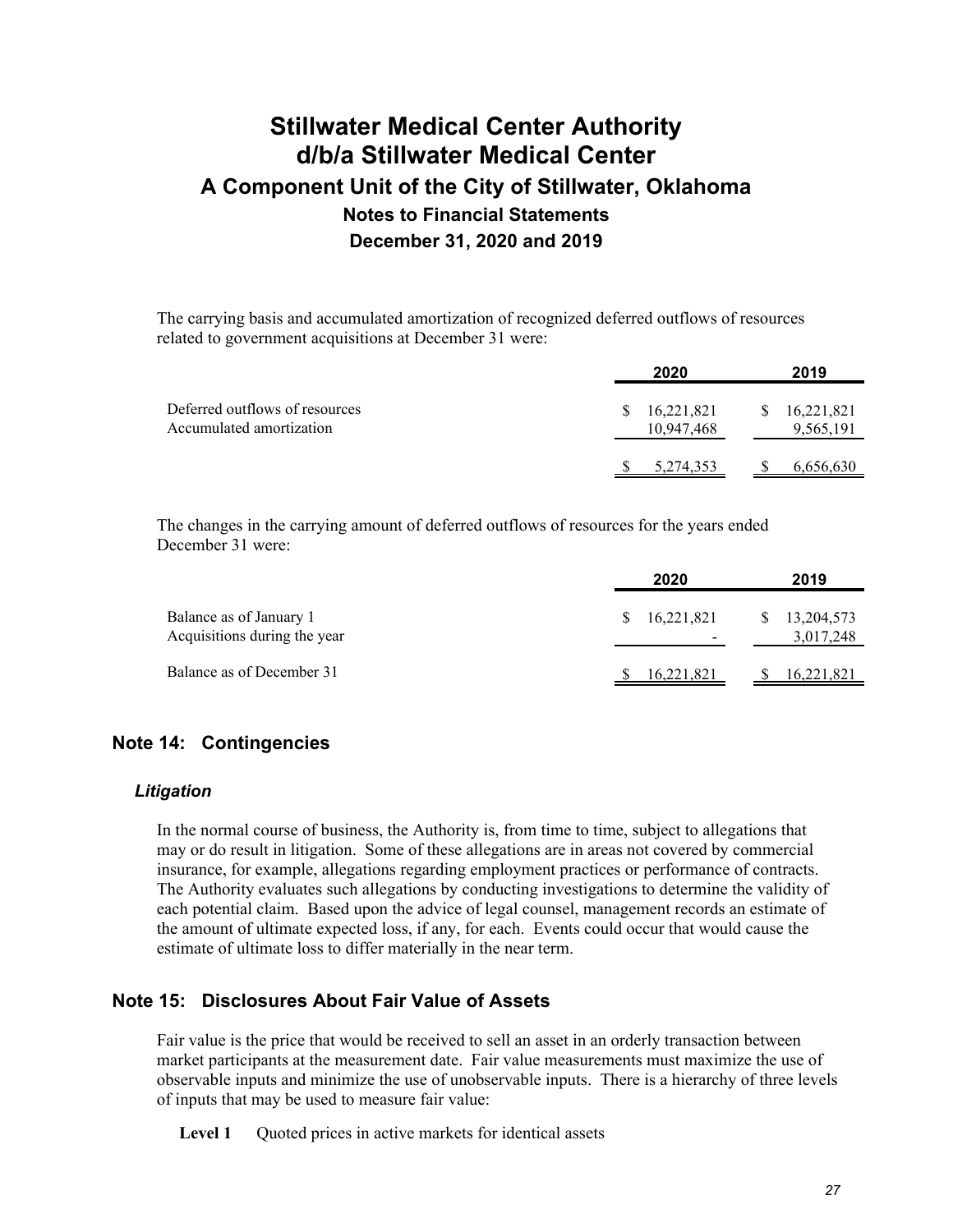The carrying basis and accumulated amortization of recognized deferred outflows of resources related to government acquisitions at December 31 were:

|                                                            | 2020                           | 2019                          |
|------------------------------------------------------------|--------------------------------|-------------------------------|
| Deferred outflows of resources<br>Accumulated amortization | 16,221,821<br>S.<br>10,947,468 | 16,221,821<br>S.<br>9,565,191 |
|                                                            | 5,274,353                      | 6,656,630                     |

The changes in the carrying amount of deferred outflows of resources for the years ended December 31 were:

|                                                         | 2020       | 2019                    |
|---------------------------------------------------------|------------|-------------------------|
| Balance as of January 1<br>Acquisitions during the year | 16,221,821 | 13,204,573<br>3,017,248 |
| Balance as of December 31                               | 16,221,821 | 16,221,821              |

### **Note 14: Contingencies**

#### *Litigation*

In the normal course of business, the Authority is, from time to time, subject to allegations that may or do result in litigation. Some of these allegations are in areas not covered by commercial insurance, for example, allegations regarding employment practices or performance of contracts. The Authority evaluates such allegations by conducting investigations to determine the validity of each potential claim. Based upon the advice of legal counsel, management records an estimate of the amount of ultimate expected loss, if any, for each. Events could occur that would cause the estimate of ultimate loss to differ materially in the near term.

### **Note 15: Disclosures About Fair Value of Assets**

Fair value is the price that would be received to sell an asset in an orderly transaction between market participants at the measurement date. Fair value measurements must maximize the use of observable inputs and minimize the use of unobservable inputs. There is a hierarchy of three levels of inputs that may be used to measure fair value:

Level 1 Quoted prices in active markets for identical assets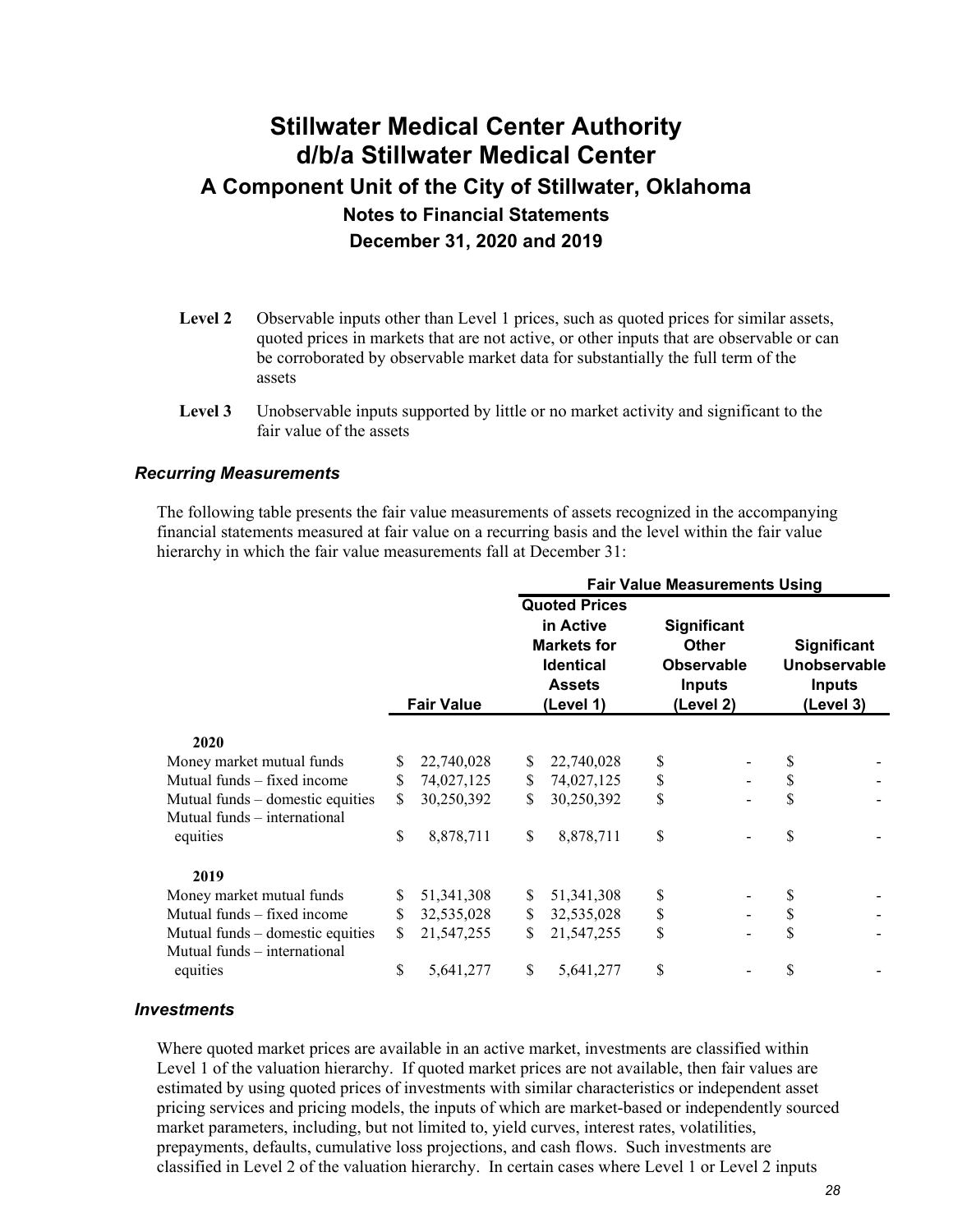- Level 2 Observable inputs other than Level 1 prices, such as quoted prices for similar assets, quoted prices in markets that are not active, or other inputs that are observable or can be corroborated by observable market data for substantially the full term of the assets
- **Level 3** Unobservable inputs supported by little or no market activity and significant to the fair value of the assets

#### *Recurring Measurements*

The following table presents the fair value measurements of assets recognized in the accompanying financial statements measured at fair value on a recurring basis and the level within the fair value hierarchy in which the fair value measurements fall at December 31:

|                                  |    |                   | <b>Fair Value Measurements Using</b> |                                                                                                           |                                                                                       |  |                                                                  |  |  |  |
|----------------------------------|----|-------------------|--------------------------------------|-----------------------------------------------------------------------------------------------------------|---------------------------------------------------------------------------------------|--|------------------------------------------------------------------|--|--|--|
|                                  |    | <b>Fair Value</b> |                                      | <b>Quoted Prices</b><br>in Active<br><b>Markets for</b><br><b>Identical</b><br><b>Assets</b><br>(Level 1) | <b>Significant</b><br><b>Other</b><br><b>Observable</b><br><b>Inputs</b><br>(Level 2) |  | <b>Significant</b><br>Unobservable<br><b>Inputs</b><br>(Level 3) |  |  |  |
| 2020                             |    |                   |                                      |                                                                                                           |                                                                                       |  |                                                                  |  |  |  |
| Money market mutual funds        | \$ | 22,740,028        | \$                                   | 22,740,028                                                                                                | \$                                                                                    |  | S                                                                |  |  |  |
| Mutual funds – fixed income      | \$ | 74,027,125        | \$                                   | 74,027,125                                                                                                | \$                                                                                    |  | \$                                                               |  |  |  |
| Mutual funds – domestic equities | \$ | 30,250,392        | \$                                   | 30,250,392                                                                                                | \$                                                                                    |  | \$                                                               |  |  |  |
| Mutual funds – international     |    |                   |                                      |                                                                                                           |                                                                                       |  |                                                                  |  |  |  |
| equities                         | \$ | 8,878,711         | \$                                   | 8,878,711                                                                                                 | \$                                                                                    |  | \$                                                               |  |  |  |
| 2019                             |    |                   |                                      |                                                                                                           |                                                                                       |  |                                                                  |  |  |  |
| Money market mutual funds        | \$ | 51, 341, 308      | S                                    | 51, 341, 308                                                                                              | \$                                                                                    |  | \$                                                               |  |  |  |
| Mutual funds – fixed income      | \$ | 32,535,028        | \$                                   | 32,535,028                                                                                                | \$                                                                                    |  | \$                                                               |  |  |  |
| Mutual funds – domestic equities | \$ | 21,547,255        | \$                                   | 21,547,255                                                                                                | \$                                                                                    |  | \$                                                               |  |  |  |
| Mutual funds - international     |    |                   |                                      |                                                                                                           |                                                                                       |  |                                                                  |  |  |  |
| equities                         | \$ | 5,641,277         | \$                                   | 5,641,277                                                                                                 | \$                                                                                    |  | \$                                                               |  |  |  |

#### *Investments*

Where quoted market prices are available in an active market, investments are classified within Level 1 of the valuation hierarchy. If quoted market prices are not available, then fair values are estimated by using quoted prices of investments with similar characteristics or independent asset pricing services and pricing models, the inputs of which are market-based or independently sourced market parameters, including, but not limited to, yield curves, interest rates, volatilities, prepayments, defaults, cumulative loss projections, and cash flows. Such investments are classified in Level 2 of the valuation hierarchy. In certain cases where Level 1 or Level 2 inputs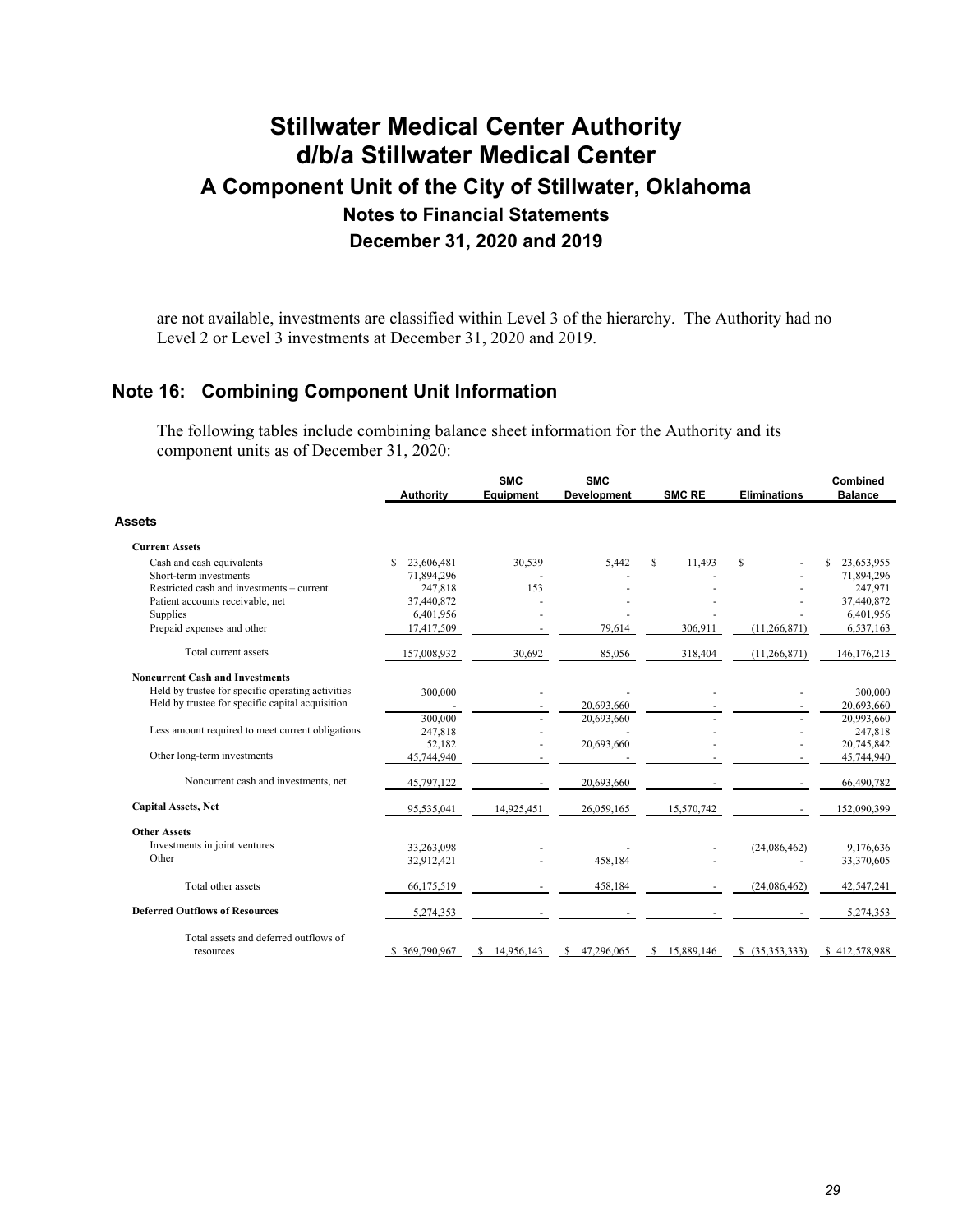are not available, investments are classified within Level 3 of the hierarchy. The Authority had no Level 2 or Level 3 investments at December 31, 2020 and 2019.

### **Note 16: Combining Component Unit Information**

The following tables include combining balance sheet information for the Authority and its component units as of December 31, 2020:

|                                                   | <b>Authority</b> | <b>SMC</b><br><b>Equipment</b> | <b>SMC</b><br>Development | <b>SMC RE</b> | <b>Eliminations</b> | Combined<br><b>Balance</b> |
|---------------------------------------------------|------------------|--------------------------------|---------------------------|---------------|---------------------|----------------------------|
| Assets                                            |                  |                                |                           |               |                     |                            |
| <b>Current Assets</b>                             |                  |                                |                           |               |                     |                            |
| Cash and cash equivalents                         | S<br>23,606,481  | 30,539                         | 5,442                     | S<br>11,493   | \$                  | 23,653,955<br>S            |
| Short-term investments                            | 71,894,296       |                                |                           |               |                     | 71,894,296                 |
| Restricted cash and investments – current         | 247,818          | 153                            |                           |               |                     | 247,971                    |
| Patient accounts receivable, net                  | 37,440,872       |                                |                           |               |                     | 37,440,872                 |
| Supplies                                          | 6,401,956        |                                |                           |               |                     | 6,401,956                  |
| Prepaid expenses and other                        | 17,417,509       |                                | 79,614                    | 306,911       | (11,266,871)        | 6,537,163                  |
| Total current assets                              | 157,008,932      | 30,692                         | 85,056                    | 318,404       | (11,266,871)        | 146, 176, 213              |
| <b>Noncurrent Cash and Investments</b>            |                  |                                |                           |               |                     |                            |
| Held by trustee for specific operating activities | 300,000          |                                |                           |               |                     | 300,000                    |
| Held by trustee for specific capital acquisition  |                  |                                | 20,693,660                |               |                     | 20,693,660                 |
|                                                   | 300,000          |                                | 20,693,660                |               |                     | 20,993,660                 |
| Less amount required to meet current obligations  | 247,818          |                                |                           |               |                     | 247,818                    |
|                                                   | 52,182           |                                | 20,693,660                |               |                     | 20,745,842                 |
| Other long-term investments                       | 45,744,940       |                                |                           |               |                     | 45,744,940                 |
| Noncurrent cash and investments, net              | 45,797,122       |                                | 20,693,660                |               |                     | 66,490,782                 |
| <b>Capital Assets, Net</b>                        | 95,535,041       | 14,925,451                     | 26,059,165                | 15,570,742    |                     | 152,090,399                |
| <b>Other Assets</b>                               |                  |                                |                           |               |                     |                            |
| Investments in joint ventures                     | 33,263,098       |                                |                           |               | (24,086,462)        | 9,176,636                  |
| Other                                             | 32,912,421       |                                | 458,184                   |               |                     | 33,370,605                 |
| Total other assets                                | 66,175,519       |                                | 458,184                   |               | (24,086,462)        | 42,547,241                 |
| <b>Deferred Outflows of Resources</b>             | 5,274,353        |                                |                           |               |                     | 5,274,353                  |
| Total assets and deferred outflows of             |                  |                                |                           |               |                     |                            |
| resources                                         | \$369,790,967    | 14,956,143                     | 47,296,065                | 15,889,146    | (35,353,333)<br>S   | \$412,578,988              |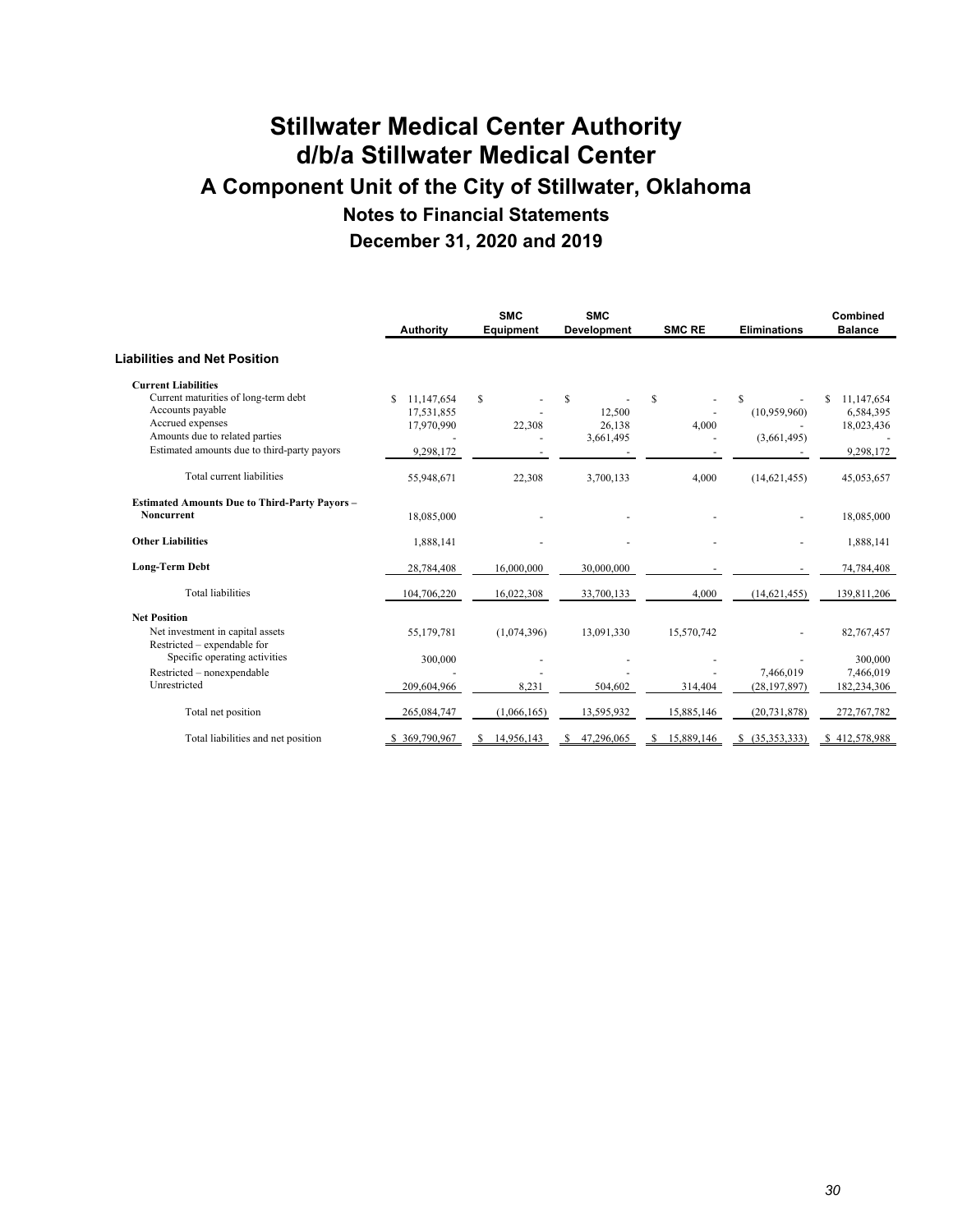|                                                                                                                                                                                             | <b>Authority</b>                                           | <b>SMC</b><br><b>Equipment</b> | <b>SMC</b><br>Development          | <b>SMC RE</b> | <b>Eliminations</b>              | Combined<br><b>Balance</b>                         |
|---------------------------------------------------------------------------------------------------------------------------------------------------------------------------------------------|------------------------------------------------------------|--------------------------------|------------------------------------|---------------|----------------------------------|----------------------------------------------------|
| Liabilities and Net Position                                                                                                                                                                |                                                            |                                |                                    |               |                                  |                                                    |
| <b>Current Liabilities</b><br>Current maturities of long-term debt<br>Accounts payable<br>Accrued expenses<br>Amounts due to related parties<br>Estimated amounts due to third-party payors | \$.<br>11.147.654<br>17,531,855<br>17,970,990<br>9,298,172 | $\mathbb{S}$<br>22,308         | S<br>12,500<br>26,138<br>3,661,495 | \$<br>4,000   | S<br>(10,959,960)<br>(3,661,495) | 11.147.654<br>6,584,395<br>18,023,436<br>9,298,172 |
| Total current liabilities                                                                                                                                                                   | 55,948,671                                                 | 22,308                         | 3,700,133                          | 4,000         | (14,621,455)                     | 45,053,657                                         |
| <b>Estimated Amounts Due to Third-Party Payors -</b><br>Noncurrent                                                                                                                          | 18,085,000                                                 |                                |                                    |               |                                  | 18,085,000                                         |
| <b>Other Liabilities</b>                                                                                                                                                                    | 1,888,141                                                  |                                |                                    |               |                                  | 1,888,141                                          |
| <b>Long-Term Debt</b>                                                                                                                                                                       | 28,784,408                                                 | 16,000,000                     | 30,000,000                         |               |                                  | 74,784,408                                         |
| <b>Total liabilities</b>                                                                                                                                                                    | 104,706,220                                                | 16,022,308                     | 33,700,133                         | 4,000         | (14, 621, 455)                   | 139,811,206                                        |
| <b>Net Position</b><br>Net investment in capital assets<br>Restricted – expendable for                                                                                                      | 55,179,781                                                 | (1,074,396)                    | 13,091,330                         | 15,570,742    |                                  | 82,767,457                                         |
| Specific operating activities<br>Restricted - nonexpendable<br>Unrestricted                                                                                                                 | 300,000<br>209,604,966                                     | 8.231                          | 504,602                            | 314,404       | 7,466,019<br>(28, 197, 897)      | 300,000<br>7,466,019<br>182,234,306                |
| Total net position                                                                                                                                                                          | 265,084,747                                                | (1,066,165)                    | 13,595,932                         | 15,885,146    | (20, 731, 878)                   | 272,767,782                                        |
| Total liabilities and net position                                                                                                                                                          | \$369,790,967                                              | 14,956,143                     | 47,296,065                         | 15,889,146    | (35,353,333)                     | \$412,578,988                                      |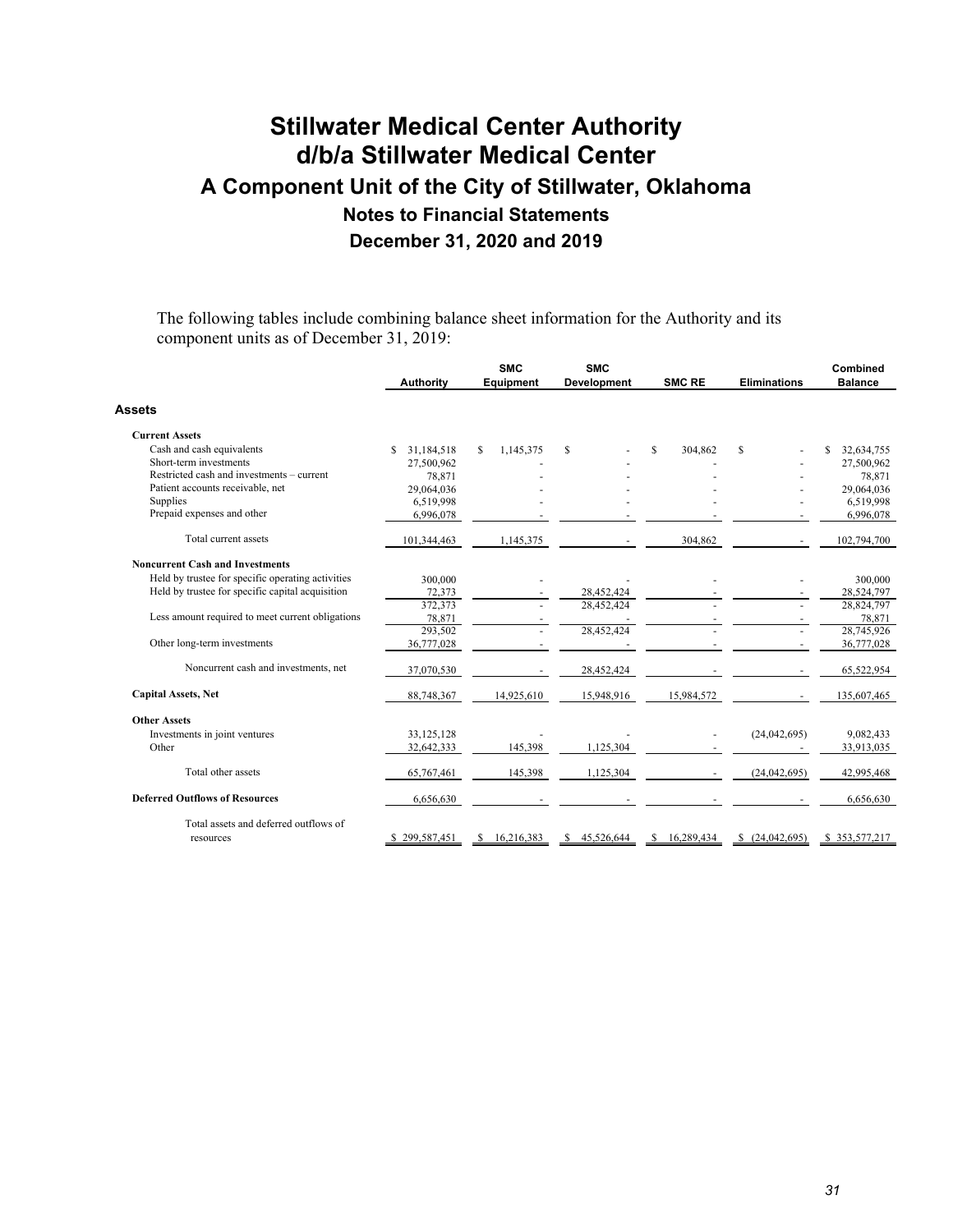The following tables include combining balance sheet information for the Authority and its component units as of December 31, 2019:

|                                                   | <b>Authority</b>  | <b>SMC</b><br><b>Equipment</b> | <b>SMC</b><br>Development | <b>SMC RE</b> | <b>Eliminations</b> | Combined<br><b>Balance</b> |
|---------------------------------------------------|-------------------|--------------------------------|---------------------------|---------------|---------------------|----------------------------|
| Assets                                            |                   |                                |                           |               |                     |                            |
| <b>Current Assets</b>                             |                   |                                |                           |               |                     |                            |
| Cash and cash equivalents                         | \$.<br>31.184.518 | \$<br>1,145,375                | S                         | S<br>304,862  | S                   | 32,634,755<br>\$           |
| Short-term investments                            | 27,500,962        |                                |                           |               |                     | 27,500,962                 |
| Restricted cash and investments – current         | 78,871            |                                |                           |               |                     | 78,871                     |
| Patient accounts receivable, net                  | 29,064,036        |                                |                           |               |                     | 29,064,036                 |
| Supplies                                          | 6,519,998         |                                |                           |               |                     | 6,519,998                  |
| Prepaid expenses and other                        | 6,996,078         |                                |                           |               |                     | 6,996,078                  |
| Total current assets                              | 101,344,463       | 1,145,375                      |                           | 304,862       |                     | 102,794,700                |
| <b>Noncurrent Cash and Investments</b>            |                   |                                |                           |               |                     |                            |
| Held by trustee for specific operating activities | 300,000           |                                |                           |               |                     | 300,000                    |
| Held by trustee for specific capital acquisition  | 72,373            |                                | 28,452,424                |               |                     | 28,524,797                 |
|                                                   | 372,373           |                                | 28.452.424                |               |                     | 28,824,797                 |
| Less amount required to meet current obligations  | 78,871            |                                |                           |               |                     | 78,871                     |
|                                                   | 293,502           |                                | 28,452,424                |               |                     | 28,745,926                 |
| Other long-term investments                       | 36,777,028        |                                |                           |               |                     | 36,777,028                 |
| Noncurrent cash and investments, net              | 37,070,530        |                                | 28,452,424                |               |                     | 65,522,954                 |
| <b>Capital Assets, Net</b>                        | 88,748,367        | 14,925,610                     | 15,948,916                | 15,984,572    |                     | 135,607,465                |
| <b>Other Assets</b>                               |                   |                                |                           |               |                     |                            |
| Investments in joint ventures                     | 33,125,128        |                                |                           |               | (24,042,695)        | 9,082,433                  |
| Other                                             | 32,642,333        | 145,398                        | 1,125,304                 |               |                     | 33,913,035                 |
| Total other assets                                | 65,767,461        | 145,398                        | 1,125,304                 |               | (24,042,695)        | 42,995,468                 |
| <b>Deferred Outflows of Resources</b>             | 6,656,630         |                                |                           |               |                     | 6,656,630                  |
| Total assets and deferred outflows of             |                   |                                |                           |               |                     |                            |
| resources                                         | 299,587,451       | 16,216,383                     | 45.526.644                | 16.289.434    | (24,042,695)<br>S.  | \$353,577,217              |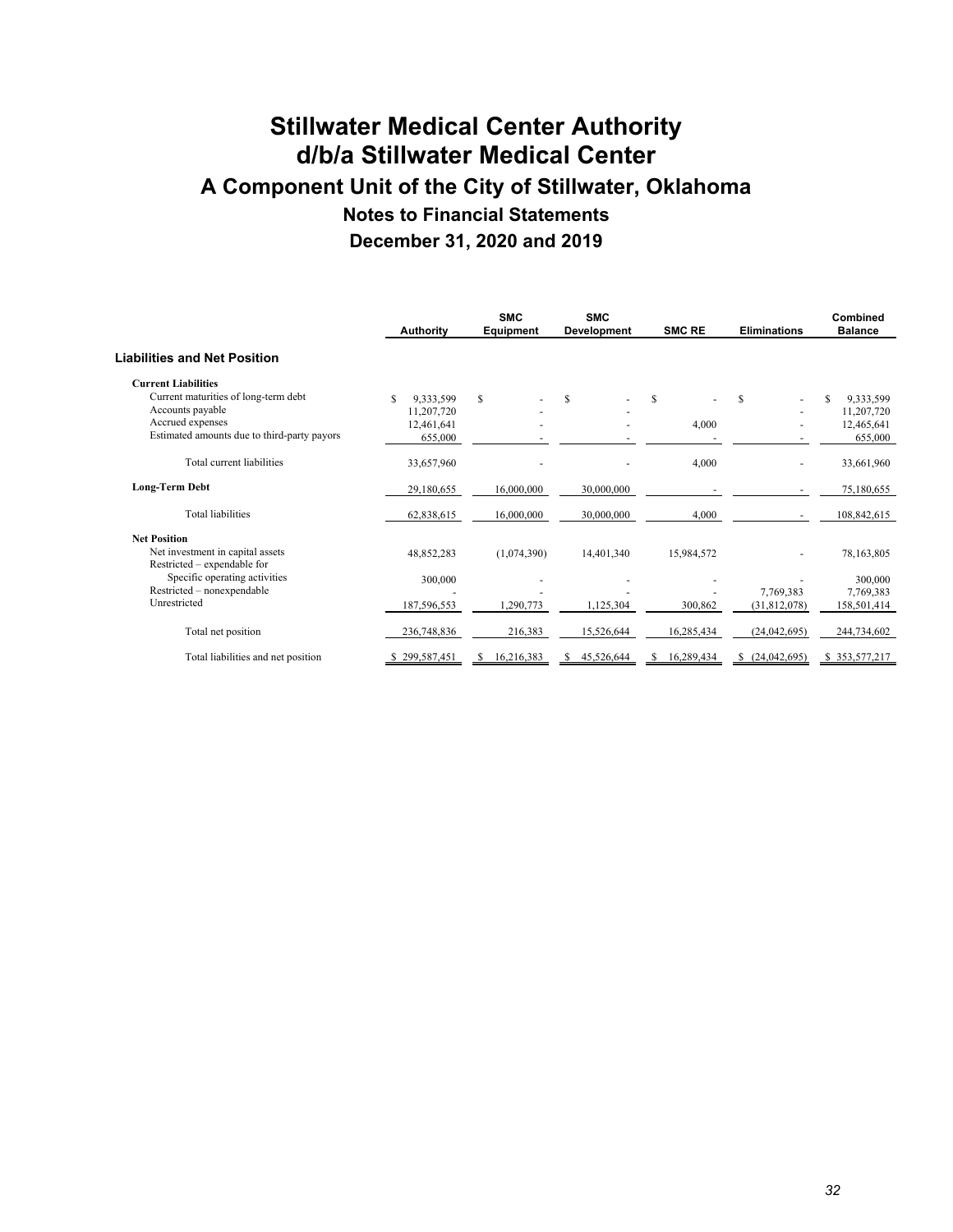|                                             | <b>Authority</b> | <b>SMC</b><br><b>Equipment</b> | <b>SMC</b><br><b>Development</b> | <b>SMC RE</b> | <b>Eliminations</b> | Combined<br><b>Balance</b> |
|---------------------------------------------|------------------|--------------------------------|----------------------------------|---------------|---------------------|----------------------------|
| Liabilities and Net Position                |                  |                                |                                  |               |                     |                            |
| <b>Current Liabilities</b>                  |                  |                                |                                  |               |                     |                            |
| Current maturities of long-term debt        | S<br>9,333,599   | \$.                            | S.                               | \$.           | S                   | 9,333,599<br>S             |
| Accounts payable                            | 11,207,720       |                                |                                  |               |                     | 11,207,720                 |
| Accrued expenses                            | 12,461,641       |                                |                                  | 4,000         |                     | 12,465,641                 |
| Estimated amounts due to third-party payors | 655,000          |                                |                                  |               |                     | 655,000                    |
| Total current liabilities                   | 33,657,960       |                                |                                  | 4,000         |                     | 33,661,960                 |
| <b>Long-Term Debt</b>                       | 29,180,655       | 16,000,000                     | 30,000,000                       |               |                     | 75,180,655                 |
| <b>Total liabilities</b>                    | 62,838,615       | 16,000,000                     | 30,000,000                       | 4,000         |                     | 108,842,615                |
| <b>Net Position</b>                         |                  |                                |                                  |               |                     |                            |
| Net investment in capital assets            | 48,852,283       | (1,074,390)                    | 14,401,340                       | 15,984,572    |                     | 78,163,805                 |
| Restricted – expendable for                 |                  |                                |                                  |               |                     |                            |
| Specific operating activities               | 300,000          |                                |                                  |               |                     | 300,000                    |
| Restricted - nonexpendable                  |                  |                                |                                  |               | 7,769,383           | 7,769,383                  |
| Unrestricted                                | 187,596,553      | 1,290,773                      | 1,125,304                        | 300,862       | (31,812,078)        | 158,501,414                |
| Total net position                          | 236,748,836      | 216,383                        | 15,526,644                       | 16,285,434    | (24,042,695)        | 244,734,602                |
| Total liabilities and net position          | \$299,587,451    | 16,216,383                     | 45,526,644<br>S.                 | 16,289,434    | \$(24,042,695)      | \$353,577,217              |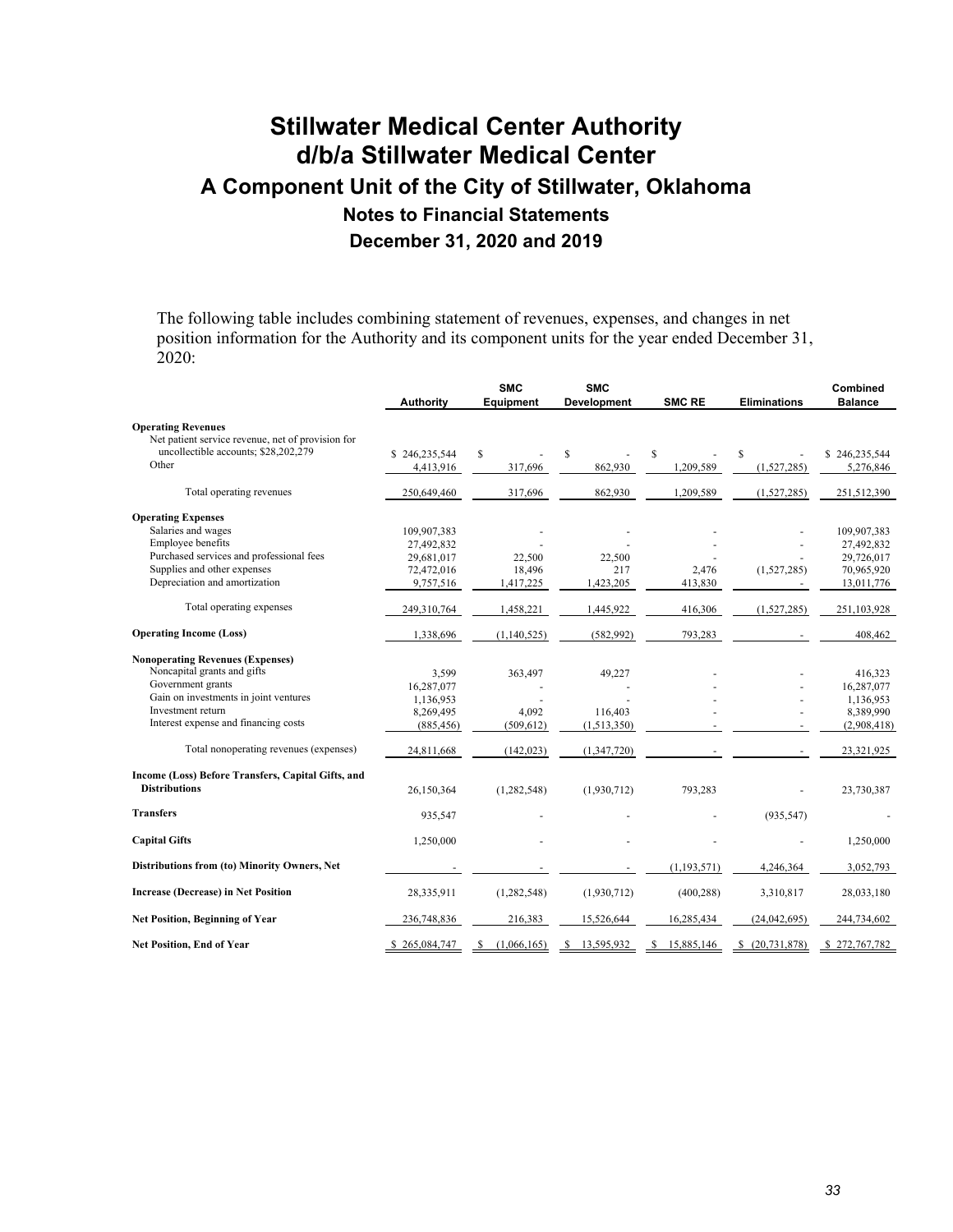The following table includes combining statement of revenues, expenses, and changes in net position information for the Authority and its component units for the year ended December 31, 2020:

|                                                    | <b>Authority</b> | <b>SMC</b><br><b>Equipment</b> | <b>SMC</b><br><b>Development</b> | <b>SMC RE</b>   | <b>Eliminations</b> | Combined<br><b>Balance</b> |
|----------------------------------------------------|------------------|--------------------------------|----------------------------------|-----------------|---------------------|----------------------------|
| <b>Operating Revenues</b>                          |                  |                                |                                  |                 |                     |                            |
| Net patient service revenue, net of provision for  |                  |                                |                                  |                 |                     |                            |
| uncollectible accounts; \$28,202,279               | \$246,235,544    | \$                             | S                                | S               | \$                  | \$246,235,544              |
| Other                                              | 4,413,916        | 317,696                        | 862,930                          | 1,209,589       | (1,527,285)         | 5,276,846                  |
| Total operating revenues                           | 250,649,460      | 317,696                        | 862,930                          | 1,209,589       | (1,527,285)         | 251,512,390                |
| <b>Operating Expenses</b>                          |                  |                                |                                  |                 |                     |                            |
| Salaries and wages                                 | 109,907,383      |                                |                                  |                 |                     | 109,907,383                |
| Employee benefits                                  | 27,492,832       |                                |                                  |                 |                     | 27,492,832                 |
| Purchased services and professional fees           | 29,681,017       | 22,500                         | 22,500                           |                 |                     | 29,726,017                 |
| Supplies and other expenses                        | 72,472,016       | 18,496                         | 217                              | 2,476           | (1,527,285)         | 70,965,920                 |
| Depreciation and amortization                      | 9,757,516        | 1,417,225                      | 1,423,205                        | 413,830         |                     | 13,011,776                 |
| Total operating expenses                           | 249,310,764      | 1,458,221                      | 1,445,922                        | 416,306         | (1,527,285)         | 251,103,928                |
| <b>Operating Income (Loss)</b>                     | 1,338,696        | (1,140,525)                    | (582,992)                        | 793,283         |                     | 408,462                    |
| <b>Nonoperating Revenues (Expenses)</b>            |                  |                                |                                  |                 |                     |                            |
| Noncapital grants and gifts                        | 3,599            | 363,497                        | 49,227                           |                 |                     | 416,323                    |
| Government grants                                  | 16,287,077       |                                |                                  |                 |                     | 16,287,077                 |
| Gain on investments in joint ventures              | 1,136,953        |                                |                                  |                 |                     | 1,136,953                  |
| Investment return                                  | 8,269,495        | 4,092                          | 116,403                          |                 |                     | 8,389,990                  |
| Interest expense and financing costs               | (885, 456)       | (509, 612)                     | (1,513,350)                      |                 |                     | (2,908,418)                |
| Total nonoperating revenues (expenses)             | 24,811,668       | (142, 023)                     | (1,347,720)                      |                 |                     | 23,321,925                 |
| Income (Loss) Before Transfers, Capital Gifts, and |                  |                                |                                  |                 |                     |                            |
| <b>Distributions</b>                               | 26,150,364       | (1, 282, 548)                  | (1,930,712)                      | 793,283         |                     | 23,730,387                 |
| <b>Transfers</b>                                   | 935,547          |                                |                                  |                 | (935, 547)          |                            |
| <b>Capital Gifts</b>                               | 1,250,000        |                                |                                  |                 |                     | 1,250,000                  |
| Distributions from (to) Minority Owners, Net       |                  |                                |                                  | (1, 193, 571)   | 4,246,364           | 3,052,793                  |
| <b>Increase (Decrease) in Net Position</b>         | 28,335,911       | (1,282,548)                    | (1,930,712)                      | (400, 288)      | 3,310,817           | 28,033,180                 |
| <b>Net Position, Beginning of Year</b>             | 236,748,836      | 216,383                        | 15,526,644                       | 16,285,434      | (24,042,695)        | 244,734,602                |
| Net Position, End of Year                          | \$265,084,747    | <sup>\$</sup><br>(1,066,165)   | 13,595,932<br>S                  | 15,885,146<br>S | \$ (20,731,878)     | \$272,767,782              |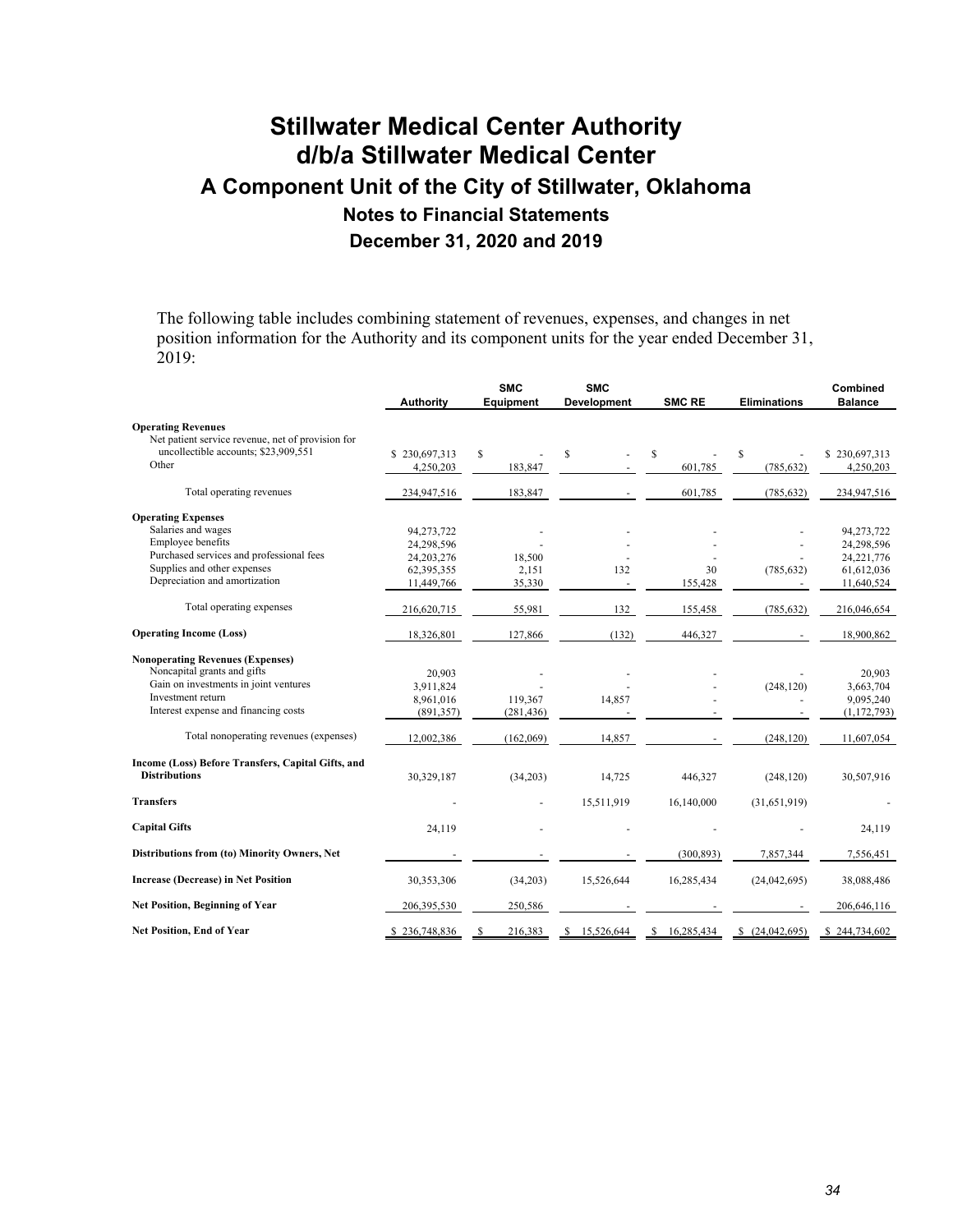The following table includes combining statement of revenues, expenses, and changes in net position information for the Authority and its component units for the year ended December 31, 2019:

|                                                    | <b>Authority</b> | <b>SMC</b><br>Equipment | <b>SMC</b><br><b>Development</b> | <b>SMC RE</b>    | <b>Eliminations</b> | Combined<br><b>Balance</b> |
|----------------------------------------------------|------------------|-------------------------|----------------------------------|------------------|---------------------|----------------------------|
| <b>Operating Revenues</b>                          |                  |                         |                                  |                  |                     |                            |
| Net patient service revenue, net of provision for  |                  |                         |                                  |                  |                     |                            |
| uncollectible accounts; \$23,909,551               | \$230,697,313    | \$                      | S                                | \$               | \$                  | \$230,697,313              |
| Other                                              | 4,250,203        | 183,847                 |                                  | 601,785          | (785, 632)          | 4,250,203                  |
| Total operating revenues                           | 234,947,516      | 183,847                 |                                  | 601,785          | (785, 632)          | 234,947,516                |
| <b>Operating Expenses</b>                          |                  |                         |                                  |                  |                     |                            |
| Salaries and wages                                 | 94,273,722       |                         |                                  |                  |                     | 94,273,722                 |
| Employee benefits                                  | 24,298,596       |                         |                                  |                  |                     | 24,298,596                 |
| Purchased services and professional fees           | 24, 203, 276     | 18,500                  |                                  |                  |                     | 24, 221, 776               |
| Supplies and other expenses                        | 62,395,355       | 2.151                   | 132                              | 30               | (785, 632)          | 61,612,036                 |
| Depreciation and amortization                      | 11,449,766       | 35,330                  |                                  | 155,428          |                     | 11,640,524                 |
| Total operating expenses                           | 216,620,715      | 55,981                  | 132                              | 155,458          | (785, 632)          | 216,046,654                |
| <b>Operating Income (Loss)</b>                     | 18,326,801       | 127,866                 | (132)                            | 446,327          |                     | 18,900,862                 |
| <b>Nonoperating Revenues (Expenses)</b>            |                  |                         |                                  |                  |                     |                            |
| Noncapital grants and gifts                        | 20.903           |                         |                                  |                  |                     | 20.903                     |
| Gain on investments in joint ventures              | 3,911,824        |                         |                                  |                  | (248, 120)          | 3,663,704                  |
| Investment return                                  | 8,961,016        | 119,367                 | 14,857                           |                  |                     | 9,095,240                  |
| Interest expense and financing costs               | (891, 357)       | (281, 436)              |                                  |                  |                     | (1, 172, 793)              |
| Total nonoperating revenues (expenses)             | 12,002,386       | (162,069)               | 14,857                           |                  | (248, 120)          | 11,607,054                 |
| Income (Loss) Before Transfers, Capital Gifts, and |                  |                         |                                  |                  |                     |                            |
| <b>Distributions</b>                               | 30,329,187       | (34,203)                | 14,725                           | 446,327          | (248, 120)          | 30,507,916                 |
| <b>Transfers</b>                                   |                  |                         | 15,511,919                       | 16,140,000       | (31,651,919)        |                            |
| <b>Capital Gifts</b>                               | 24,119           |                         |                                  |                  |                     | 24,119                     |
| Distributions from (to) Minority Owners, Net       |                  |                         |                                  | (300, 893)       | 7,857,344           | 7,556,451                  |
| <b>Increase (Decrease) in Net Position</b>         | 30,353,306       | (34,203)                | 15,526,644                       | 16,285,434       | (24,042,695)        | 38,088,486                 |
| <b>Net Position, Beginning of Year</b>             | 206,395,530      | 250,586                 |                                  |                  |                     | 206,646,116                |
| <b>Net Position, End of Year</b>                   | \$236,748,836    | 216,383                 | 15,526,644<br>S.                 | 16,285,434<br>-S | \$ (24,042,695)     | \$244,734,602              |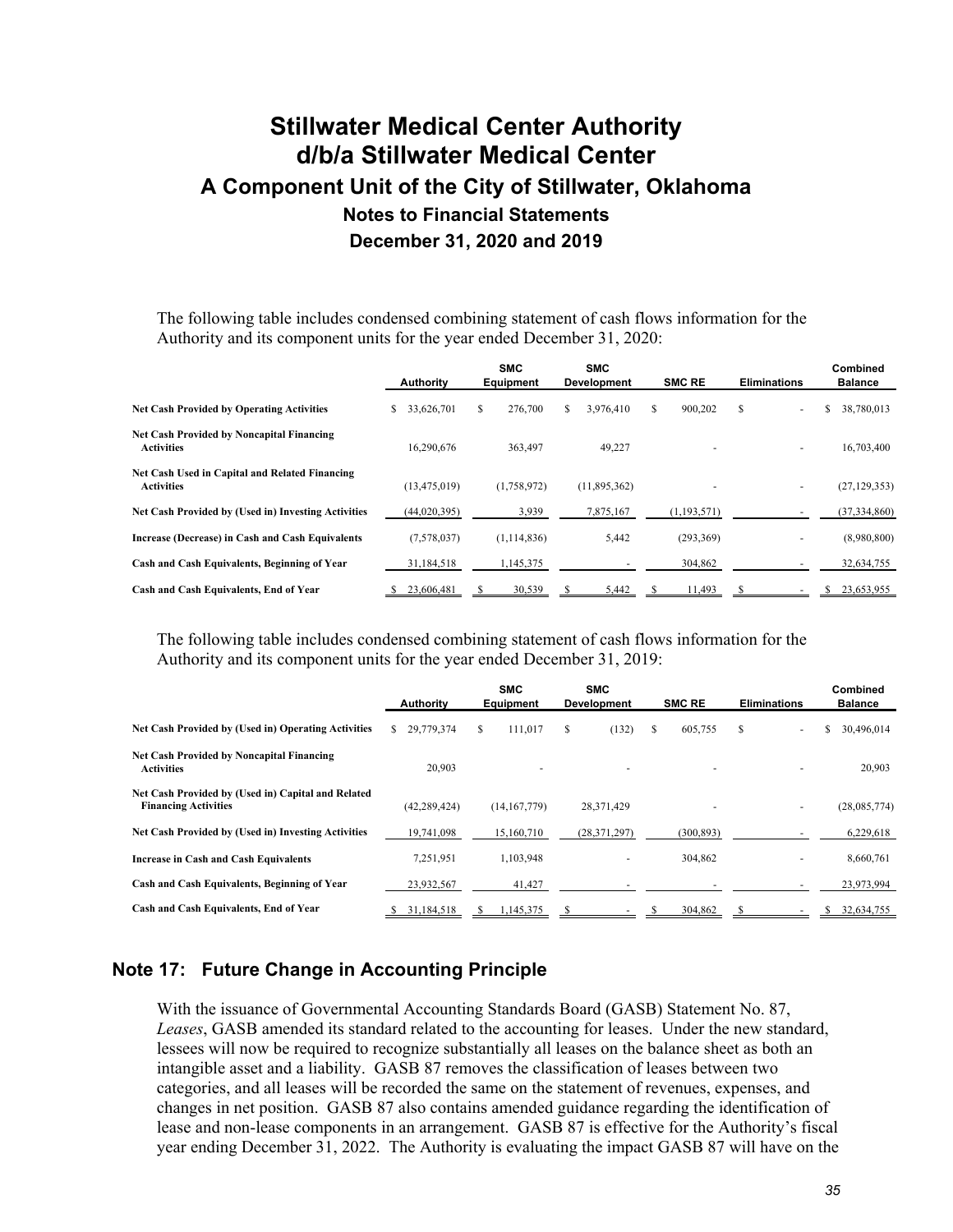The following table includes condensed combining statement of cash flows information for the Authority and its component units for the year ended December 31, 2020:

|                                                                       | Authority        | <b>SMC</b><br><b>Equipment</b> |    | <b>SMC</b><br><b>Development</b> |   | <b>SMC RE</b> | <b>Eliminations</b>      | Combined<br><b>Balance</b> |
|-----------------------------------------------------------------------|------------------|--------------------------------|----|----------------------------------|---|---------------|--------------------------|----------------------------|
| <b>Net Cash Provided by Operating Activities</b>                      | \$<br>33,626,701 | \$<br>276,700                  | S. | 3.976.410                        | S | 900,202       | S                        | \$<br>38,780,013           |
| <b>Net Cash Provided by Noncapital Financing</b><br><b>Activities</b> | 16,290,676       | 363,497                        |    | 49,227                           |   |               | $\overline{a}$           | 16,703,400                 |
| Net Cash Used in Capital and Related Financing<br><b>Activities</b>   | (13, 475, 019)   | (1,758,972)                    |    | (11,895,362)                     |   |               | $\overline{\phantom{a}}$ | (27, 129, 353)             |
| <b>Net Cash Provided by (Used in) Investing Activities</b>            | (44, 020, 395)   | 3,939                          |    | 7,875,167                        |   | (1,193,571)   |                          | (37, 334, 860)             |
| Increase (Decrease) in Cash and Cash Equivalents                      | (7,578,037)      | (1,114,836)                    |    | 5,442                            |   | (293, 369)    |                          | (8,980,800)                |
| Cash and Cash Equivalents, Beginning of Year                          | 31,184,518       | 1,145,375                      |    |                                  |   | 304,862       |                          | 32,634,755                 |
| Cash and Cash Equivalents, End of Year                                | 23,606,481       | 30,539                         |    | 5,442                            |   | 11,493        |                          | 23,653,955                 |

The following table includes condensed combining statement of cash flows information for the Authority and its component units for the year ended December 31, 2019:

|                                                                                   | <b>Authority</b> | <b>SMC</b><br>Equipment | <b>SMC</b><br><b>Development</b> | <b>SMC RE</b> | <b>Eliminations</b>  | Combined<br><b>Balance</b> |
|-----------------------------------------------------------------------------------|------------------|-------------------------|----------------------------------|---------------|----------------------|----------------------------|
| <b>Net Cash Provided by (Used in) Operating Activities</b>                        | 29,779,374<br>S. | 111,017<br>\$           | S<br>(132)                       | 605,755<br>S  | \$<br>$\overline{a}$ | 30,496,014<br>ъ            |
| <b>Net Cash Provided by Noncapital Financing</b><br><b>Activities</b>             | 20,903           |                         | $\overline{a}$                   |               |                      | 20,903                     |
| Net Cash Provided by (Used in) Capital and Related<br><b>Financing Activities</b> | (42, 289, 424)   | (14, 167, 779)          | 28,371,429                       |               |                      | (28,085,774)               |
| <b>Net Cash Provided by (Used in) Investing Activities</b>                        | 19,741,098       | 15,160,710              | (28, 371, 297)                   | (300, 893)    |                      | 6,229,618                  |
| <b>Increase in Cash and Cash Equivalents</b>                                      | 7,251,951        | 1,103,948               |                                  | 304,862       |                      | 8,660,761                  |
| Cash and Cash Equivalents, Beginning of Year                                      | 23,932,567       | 41,427                  |                                  |               |                      | 23,973,994                 |
| Cash and Cash Equivalents, End of Year                                            | 31,184,518       | 1,145,375               |                                  | 304,862       |                      | 32,634,755                 |

### **Note 17: Future Change in Accounting Principle**

With the issuance of Governmental Accounting Standards Board (GASB) Statement No. 87, *Leases*, GASB amended its standard related to the accounting for leases. Under the new standard, lessees will now be required to recognize substantially all leases on the balance sheet as both an intangible asset and a liability. GASB 87 removes the classification of leases between two categories, and all leases will be recorded the same on the statement of revenues, expenses, and changes in net position. GASB 87 also contains amended guidance regarding the identification of lease and non-lease components in an arrangement. GASB 87 is effective for the Authority's fiscal year ending December 31, 2022. The Authority is evaluating the impact GASB 87 will have on the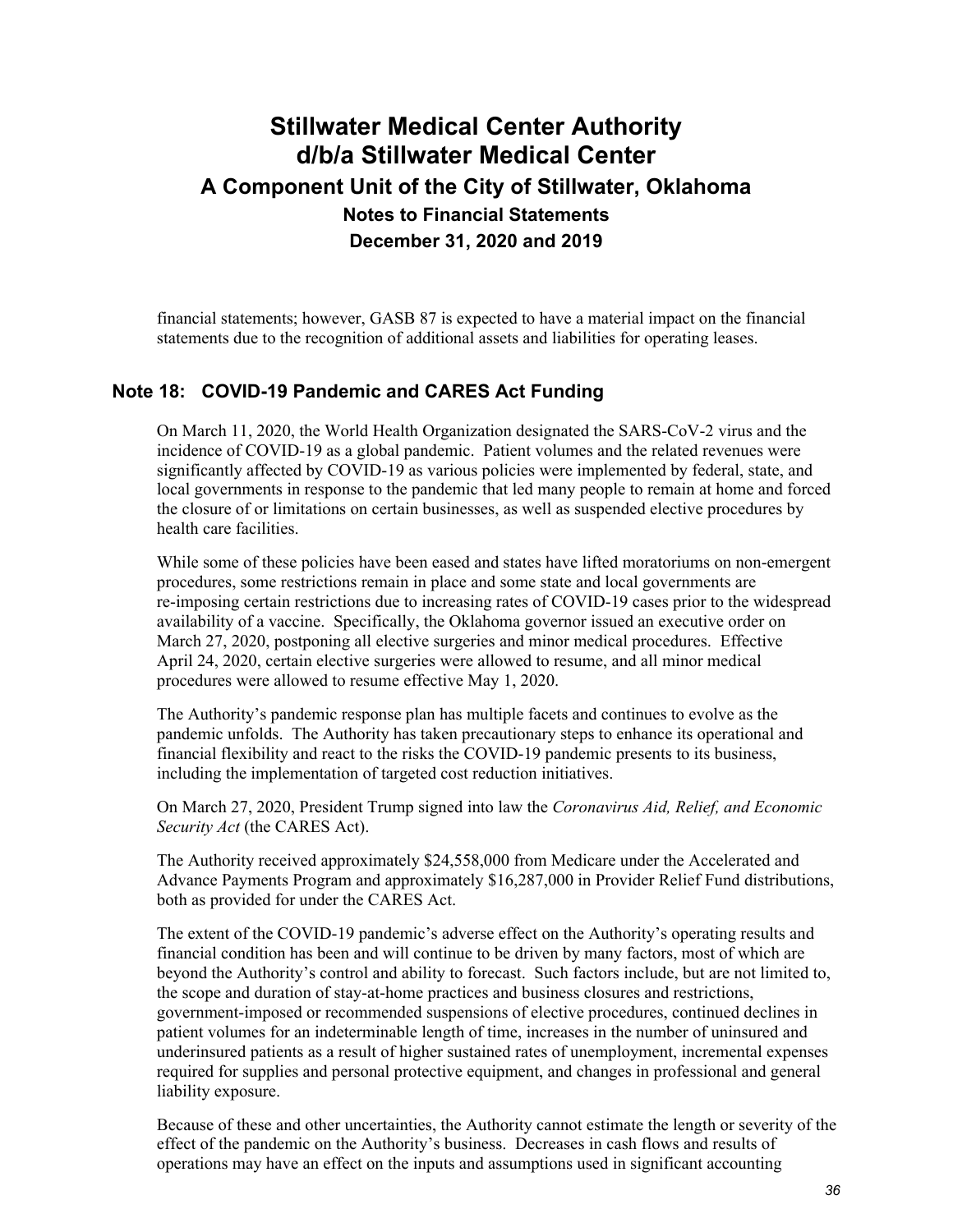financial statements; however, GASB 87 is expected to have a material impact on the financial statements due to the recognition of additional assets and liabilities for operating leases.

### **Note 18: COVID-19 Pandemic and CARES Act Funding**

On March 11, 2020, the World Health Organization designated the SARS-CoV-2 virus and the incidence of COVID-19 as a global pandemic. Patient volumes and the related revenues were significantly affected by COVID-19 as various policies were implemented by federal, state, and local governments in response to the pandemic that led many people to remain at home and forced the closure of or limitations on certain businesses, as well as suspended elective procedures by health care facilities.

While some of these policies have been eased and states have lifted moratoriums on non-emergent procedures, some restrictions remain in place and some state and local governments are re-imposing certain restrictions due to increasing rates of COVID-19 cases prior to the widespread availability of a vaccine. Specifically, the Oklahoma governor issued an executive order on March 27, 2020, postponing all elective surgeries and minor medical procedures. Effective April 24, 2020, certain elective surgeries were allowed to resume, and all minor medical procedures were allowed to resume effective May 1, 2020.

The Authority's pandemic response plan has multiple facets and continues to evolve as the pandemic unfolds. The Authority has taken precautionary steps to enhance its operational and financial flexibility and react to the risks the COVID-19 pandemic presents to its business, including the implementation of targeted cost reduction initiatives.

On March 27, 2020, President Trump signed into law the *Coronavirus Aid, Relief, and Economic Security Act* (the CARES Act).

The Authority received approximately \$24,558,000 from Medicare under the Accelerated and Advance Payments Program and approximately \$16,287,000 in Provider Relief Fund distributions, both as provided for under the CARES Act.

The extent of the COVID-19 pandemic's adverse effect on the Authority's operating results and financial condition has been and will continue to be driven by many factors, most of which are beyond the Authority's control and ability to forecast. Such factors include, but are not limited to, the scope and duration of stay-at-home practices and business closures and restrictions, government-imposed or recommended suspensions of elective procedures, continued declines in patient volumes for an indeterminable length of time, increases in the number of uninsured and underinsured patients as a result of higher sustained rates of unemployment, incremental expenses required for supplies and personal protective equipment, and changes in professional and general liability exposure.

Because of these and other uncertainties, the Authority cannot estimate the length or severity of the effect of the pandemic on the Authority's business. Decreases in cash flows and results of operations may have an effect on the inputs and assumptions used in significant accounting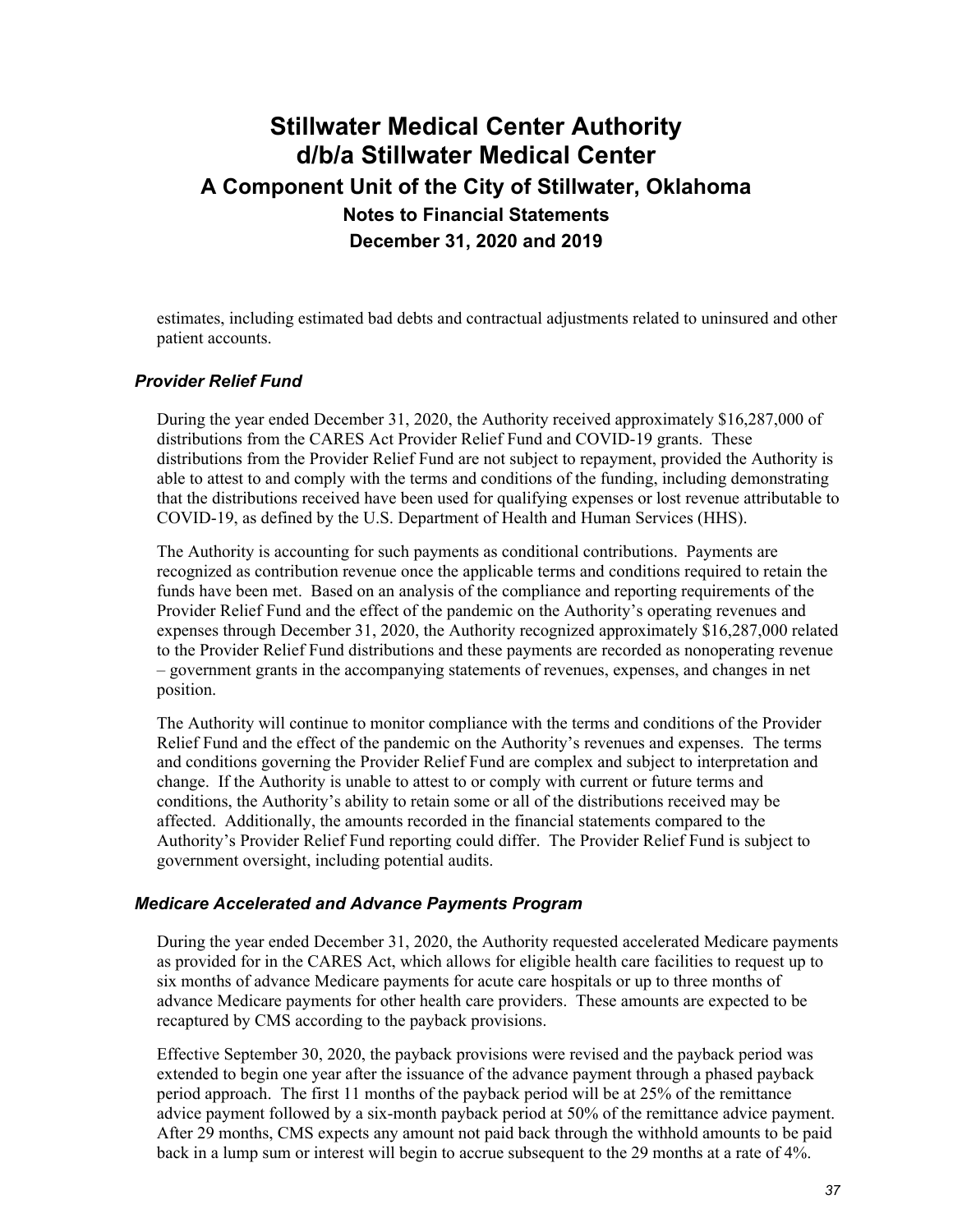estimates, including estimated bad debts and contractual adjustments related to uninsured and other patient accounts.

#### *Provider Relief Fund*

During the year ended December 31, 2020, the Authority received approximately \$16,287,000 of distributions from the CARES Act Provider Relief Fund and COVID-19 grants. These distributions from the Provider Relief Fund are not subject to repayment, provided the Authority is able to attest to and comply with the terms and conditions of the funding, including demonstrating that the distributions received have been used for qualifying expenses or lost revenue attributable to COVID-19, as defined by the U.S. Department of Health and Human Services (HHS).

The Authority is accounting for such payments as conditional contributions. Payments are recognized as contribution revenue once the applicable terms and conditions required to retain the funds have been met. Based on an analysis of the compliance and reporting requirements of the Provider Relief Fund and the effect of the pandemic on the Authority's operating revenues and expenses through December 31, 2020, the Authority recognized approximately \$16,287,000 related to the Provider Relief Fund distributions and these payments are recorded as nonoperating revenue – government grants in the accompanying statements of revenues, expenses, and changes in net position.

The Authority will continue to monitor compliance with the terms and conditions of the Provider Relief Fund and the effect of the pandemic on the Authority's revenues and expenses. The terms and conditions governing the Provider Relief Fund are complex and subject to interpretation and change. If the Authority is unable to attest to or comply with current or future terms and conditions, the Authority's ability to retain some or all of the distributions received may be affected. Additionally, the amounts recorded in the financial statements compared to the Authority's Provider Relief Fund reporting could differ. The Provider Relief Fund is subject to government oversight, including potential audits.

#### *Medicare Accelerated and Advance Payments Program*

During the year ended December 31, 2020, the Authority requested accelerated Medicare payments as provided for in the CARES Act, which allows for eligible health care facilities to request up to six months of advance Medicare payments for acute care hospitals or up to three months of advance Medicare payments for other health care providers. These amounts are expected to be recaptured by CMS according to the payback provisions.

Effective September 30, 2020, the payback provisions were revised and the payback period was extended to begin one year after the issuance of the advance payment through a phased payback period approach. The first 11 months of the payback period will be at 25% of the remittance advice payment followed by a six-month payback period at 50% of the remittance advice payment. After 29 months, CMS expects any amount not paid back through the withhold amounts to be paid back in a lump sum or interest will begin to accrue subsequent to the 29 months at a rate of 4%.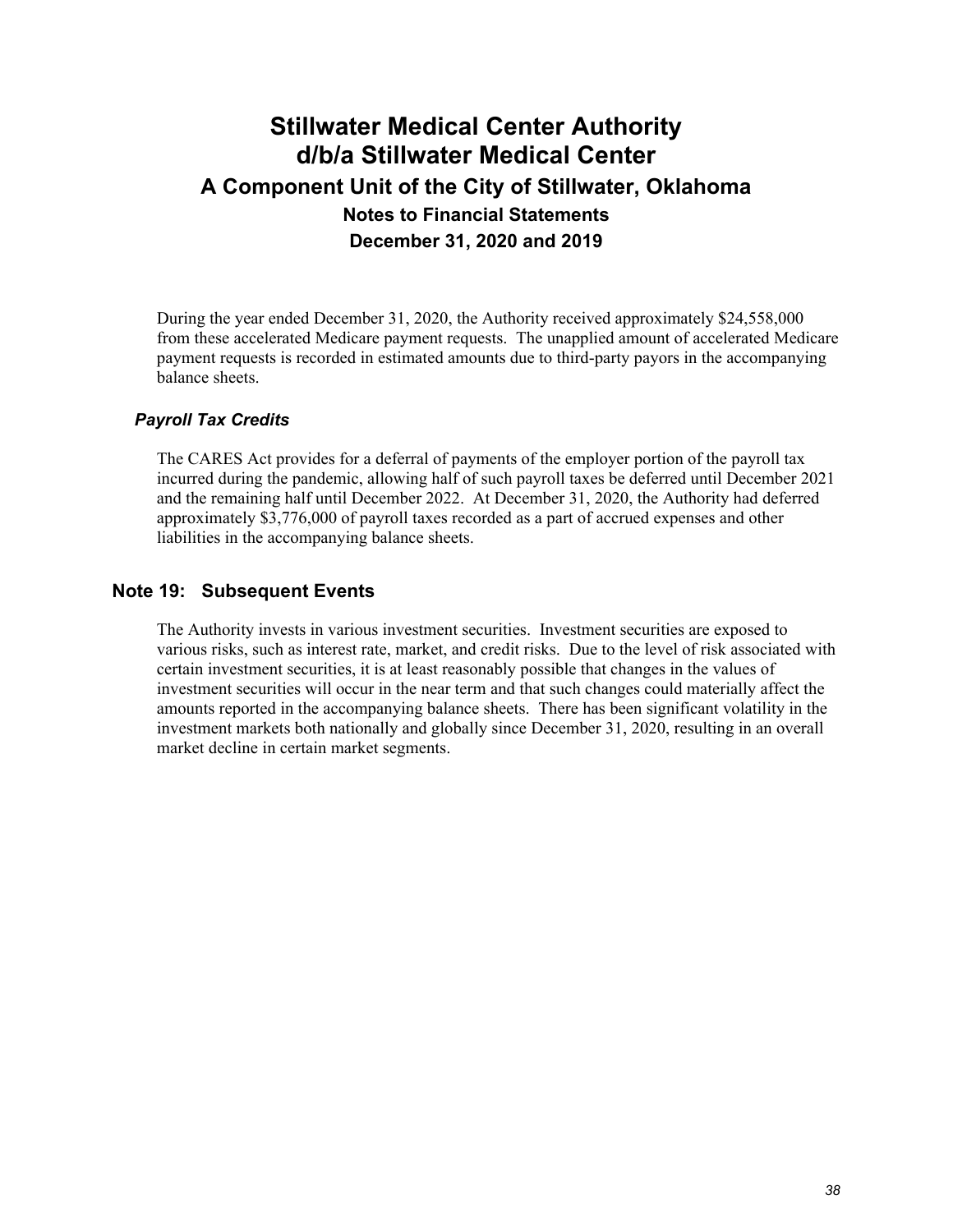During the year ended December 31, 2020, the Authority received approximately \$24,558,000 from these accelerated Medicare payment requests. The unapplied amount of accelerated Medicare payment requests is recorded in estimated amounts due to third-party payors in the accompanying balance sheets.

### *Payroll Tax Credits*

The CARES Act provides for a deferral of payments of the employer portion of the payroll tax incurred during the pandemic, allowing half of such payroll taxes be deferred until December 2021 and the remaining half until December 2022. At December 31, 2020, the Authority had deferred approximately \$3,776,000 of payroll taxes recorded as a part of accrued expenses and other liabilities in the accompanying balance sheets.

### **Note 19: Subsequent Events**

The Authority invests in various investment securities. Investment securities are exposed to various risks, such as interest rate, market, and credit risks. Due to the level of risk associated with certain investment securities, it is at least reasonably possible that changes in the values of investment securities will occur in the near term and that such changes could materially affect the amounts reported in the accompanying balance sheets. There has been significant volatility in the investment markets both nationally and globally since December 31, 2020, resulting in an overall market decline in certain market segments.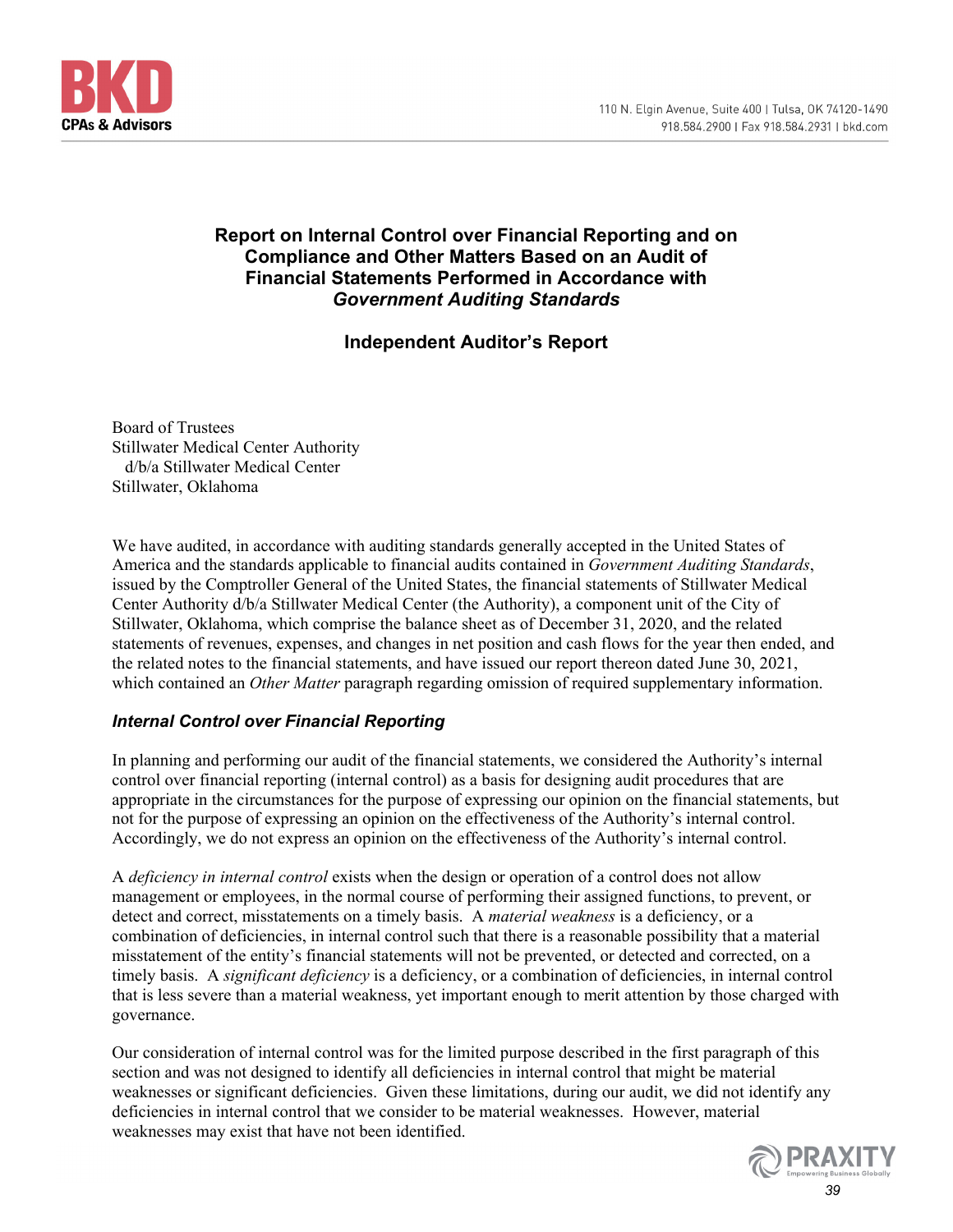

### **Report on Internal Control over Financial Reporting and on Compliance and Other Matters Based on an Audit of Financial Statements Performed in Accordance with**  *Government Auditing Standards*

### **Independent Auditor's Report**

Board of Trustees Stillwater Medical Center Authority d/b/a Stillwater Medical Center Stillwater, Oklahoma

We have audited, in accordance with auditing standards generally accepted in the United States of America and the standards applicable to financial audits contained in *Government Auditing Standards*, issued by the Comptroller General of the United States, the financial statements of Stillwater Medical Center Authority d/b/a Stillwater Medical Center (the Authority), a component unit of the City of Stillwater, Oklahoma, which comprise the balance sheet as of December 31, 2020, and the related statements of revenues, expenses, and changes in net position and cash flows for the year then ended, and the related notes to the financial statements, and have issued our report thereon dated June 30, 2021, which contained an *Other Matter* paragraph regarding omission of required supplementary information.

### *Internal Control over Financial Reporting*

In planning and performing our audit of the financial statements, we considered the Authority's internal control over financial reporting (internal control) as a basis for designing audit procedures that are appropriate in the circumstances for the purpose of expressing our opinion on the financial statements, but not for the purpose of expressing an opinion on the effectiveness of the Authority's internal control. Accordingly, we do not express an opinion on the effectiveness of the Authority's internal control.

A *deficiency in internal control* exists when the design or operation of a control does not allow management or employees, in the normal course of performing their assigned functions, to prevent, or detect and correct, misstatements on a timely basis. A *material weakness* is a deficiency, or a combination of deficiencies, in internal control such that there is a reasonable possibility that a material misstatement of the entity's financial statements will not be prevented, or detected and corrected, on a timely basis. A *significant deficiency* is a deficiency, or a combination of deficiencies, in internal control that is less severe than a material weakness, yet important enough to merit attention by those charged with governance.

Our consideration of internal control was for the limited purpose described in the first paragraph of this section and was not designed to identify all deficiencies in internal control that might be material weaknesses or significant deficiencies. Given these limitations, during our audit, we did not identify any deficiencies in internal control that we consider to be material weaknesses. However, material weaknesses may exist that have not been identified.

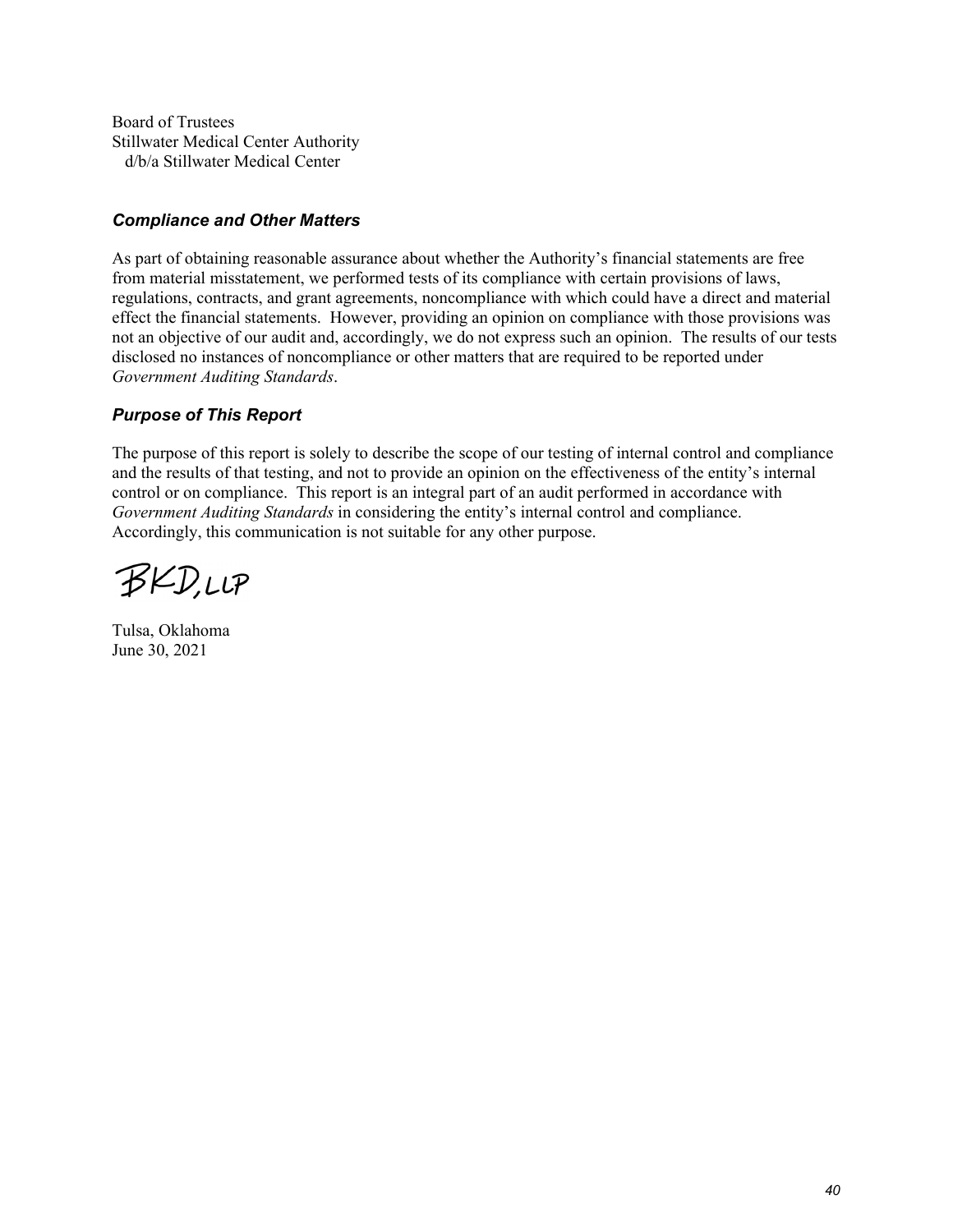Board of Trustees Stillwater Medical Center Authority d/b/a Stillwater Medical Center

### *Compliance and Other Matters*

As part of obtaining reasonable assurance about whether the Authority's financial statements are free from material misstatement, we performed tests of its compliance with certain provisions of laws, regulations, contracts, and grant agreements, noncompliance with which could have a direct and material effect the financial statements. However, providing an opinion on compliance with those provisions was not an objective of our audit and, accordingly, we do not express such an opinion. The results of our tests disclosed no instances of noncompliance or other matters that are required to be reported under *Government Auditing Standards*.

### *Purpose of This Report*

The purpose of this report is solely to describe the scope of our testing of internal control and compliance and the results of that testing, and not to provide an opinion on the effectiveness of the entity's internal control or on compliance. This report is an integral part of an audit performed in accordance with *Government Auditing Standards* in considering the entity's internal control and compliance. Accordingly, this communication is not suitable for any other purpose.

**BKD,LLP** 

Tulsa, Oklahoma June 30, 2021